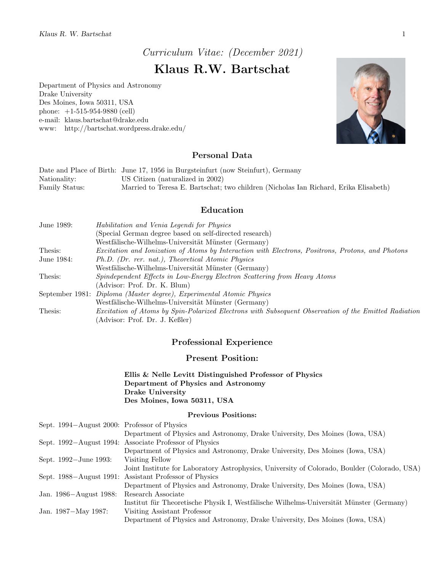Curriculum Vitae: (December 2021)

# Klaus R.W. Bartschat

Department of Physics and Astronomy Drake University Des Moines, Iowa 50311, USA phone: +1-515-954-9880 (cell) e-mail: klaus.bartschat@drake.edu www: http://bartschat.wordpress.drake.edu/



# Personal Data

|                | Date and Place of Birth: June 17, 1956 in Burgsteinfurt (now Steinfurt), Germany     |
|----------------|--------------------------------------------------------------------------------------|
| Nationality:   | US Citizen (naturalized in 2002)                                                     |
| Family Status: | Married to Teresa E. Bartschat; two children (Nicholas Ian Richard, Erika Elisabeth) |

# Education

| June 1989: | Habilitation and Venia Legendi for Physics                                                           |
|------------|------------------------------------------------------------------------------------------------------|
|            | (Special German degree based on self-directed research)                                              |
|            | Westfälische-Wilhelms-Universität Münster (Germany)                                                  |
| Thesis:    | Excitation and Ionization of Atoms by Interaction with Electrons, Positrons, Protons, and Photons    |
| June 1984: | Ph.D. (Dr. rer. nat.), Theoretical Atomic Physics                                                    |
|            | Westfälische-Wilhelms-Universität Münster (Germany)                                                  |
| Thesis:    | Spindependent Effects in Low-Energy Electron Scattering from Heavy Atoms                             |
|            | (Advisor: Prof. Dr. K. Blum)                                                                         |
|            | September 1981: Diploma (Master degree), Experimental Atomic Physics                                 |
|            | Westfälische-Wilhelms-Universität Münster (Germany)                                                  |
| Thesis:    | Excitation of Atoms by Spin-Polarized Electrons with Subsequent Observation of the Emitted Radiation |
|            | (Advisor: Prof. Dr. J. Keßler)                                                                       |

# Professional Experience

## Present Position:

Ellis & Nelle Levitt Distinguished Professor of Physics Department of Physics and Astronomy Drake University Des Moines, Iowa 50311, USA

#### Previous Positions:

| Sept. 1994–August 2000: Professor of Physics |                                                                                              |
|----------------------------------------------|----------------------------------------------------------------------------------------------|
|                                              | Department of Physics and Astronomy, Drake University, Des Moines (Iowa, USA)                |
|                                              | Sept. 1992–August 1994: Associate Professor of Physics                                       |
|                                              | Department of Physics and Astronomy, Drake University, Des Moines (Iowa, USA)                |
| Sept. 1992-June 1993:                        | Visiting Fellow                                                                              |
|                                              | Joint Institute for Laboratory Astrophysics, University of Colorado, Boulder (Colorado, USA) |
|                                              | Sept. 1988–August 1991: Assistant Professor of Physics                                       |
|                                              | Department of Physics and Astronomy, Drake University, Des Moines (Iowa, USA)                |
| Jan. 1986–August 1988:                       | Research Associate                                                                           |
|                                              | Institut für Theoretische Physik I, Westfälische Wilhelms-Universität Münster (Germany)      |
| Jan. 1987-May 1987:                          | Visiting Assistant Professor                                                                 |
|                                              | Department of Physics and Astronomy, Drake University, Des Moines (Iowa, USA)                |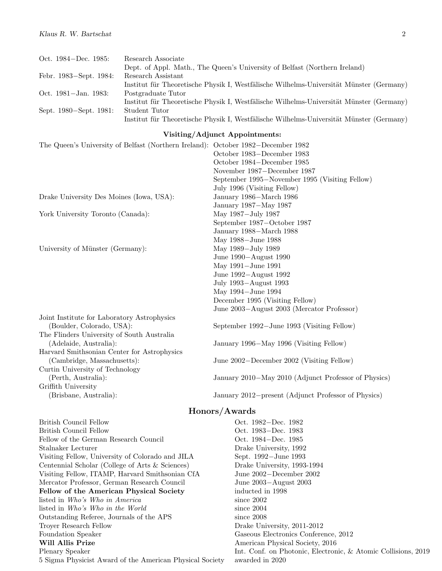| Oct. 1984–Dec. 1985:   | Research Associate                                                                      |
|------------------------|-----------------------------------------------------------------------------------------|
|                        | Dept. of Appl. Math., The Queen's University of Belfast (Northern Ireland)              |
| Febr. 1983–Sept. 1984: | Research Assistant                                                                      |
|                        | Institut für Theoretische Physik I, Westfälische Wilhelms-Universität Münster (Germany) |
| Oct. 1981-Jan. 1983:   | Postgraduate Tutor                                                                      |
|                        | Institut für Theoretische Physik I, Westfälische Wilhelms-Universität Münster (Germany) |
| Sept. 1980–Sept. 1981: | Student Tutor                                                                           |
|                        | Institut für Theoretische Physik I, Westfälische Wilhelms-Universität Münster (Germany) |

#### Visiting/Adjunct Appointments:

| The Queen's University of Belfast (Northern Ireland): October 1982–December 1982 |                                                      |
|----------------------------------------------------------------------------------|------------------------------------------------------|
|                                                                                  | October 1983-December 1983                           |
|                                                                                  | October 1984–December 1985                           |
|                                                                                  | November 1987–December 1987                          |
|                                                                                  | September 1995–November 1995 (Visiting Fellow)       |
|                                                                                  | July 1996 (Visiting Fellow)                          |
| Drake University Des Moines (Iowa, USA):                                         | January 1986–March 1986                              |
|                                                                                  | January 1987-May 1987                                |
| York University Toronto (Canada):                                                | May 1987-July 1987                                   |
|                                                                                  | September 1987–October 1987                          |
|                                                                                  | January 1988–March 1988                              |
|                                                                                  | May 1988-June 1988                                   |
| University of Münster (Germany):                                                 | May 1989-July 1989                                   |
|                                                                                  | June 1990–August 1990                                |
|                                                                                  | May 1991-June 1991                                   |
|                                                                                  | June 1992-August 1992                                |
|                                                                                  | July 1993–August 1993                                |
|                                                                                  | May 1994-June 1994                                   |
|                                                                                  | December 1995 (Visiting Fellow)                      |
|                                                                                  | June 2003–August 2003 (Mercator Professor)           |
| Joint Institute for Laboratory Astrophysics                                      |                                                      |
| (Boulder, Colorado, USA):                                                        | September 1992–June 1993 (Visiting Fellow)           |
| The Flinders University of South Australia                                       |                                                      |
| (Adelaide, Australia):                                                           | January 1996–May 1996 (Visiting Fellow)              |
| Harvard Smithsonian Center for Astrophysics                                      |                                                      |
| (Cambridge, Massachusetts):                                                      | June 2002–December 2002 (Visiting Fellow)            |
| Curtin University of Technology                                                  |                                                      |
| (Perth, Australia):                                                              | January 2010–May 2010 (Adjunct Professor of Physics) |
| Griffith University                                                              |                                                      |
| (Brisbane, Australia):                                                           | January 2012–present (Adjunct Professor of Physics)  |

### Honors/Awards

British Council Fellow Oct. 1982−Dec. 1982 British Council Fellow Oct. 1983−Dec. 1983 Fellow of the German Research Council Oct. 1984−Dec. 1985 Stalnaker Lecturer Drake University, 1992 Visiting Fellow, University of Colorado and JILA Sept. 1992−June 1993 Centennial Scholar (College of Arts & Sciences) Drake University, 1993-1994 Visiting Fellow, ITAMP, Harvard Smithsonian CfA June 2002−December 2002 Mercator Professor, German Research Council June 2003−August 2003 Fellow of the American Physical Society inducted in 1998 listed in Who's Who in America since 2002 listed in *Who's Who in the World* since 2004 Outstanding Referee, Journals of the APS since 2008 Troyer Research Fellow Drake University, 2011-2012 Foundation Speaker Gaseous Electronics Conference, 2012 Will Allis Prize American Physical Society, 2016 5 Sigma Physicist Award of the American Physical Society awarded in 2020

Plenary Speaker Int. Conf. on Photonic, Electronic, & Atomic Collisions, 2019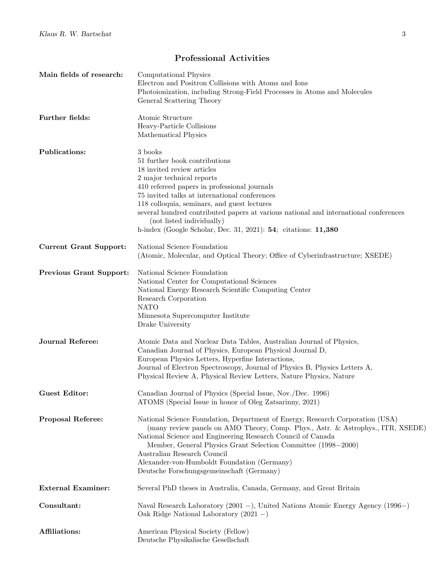# Professional Activities

| Main fields of research:       | Computational Physics<br>Electron and Positron Collisions with Atoms and Ions<br>Photoionization, including Strong-Field Processes in Atoms and Molecules<br>General Scattering Theory                                                                                                                                                                                                                                                     |
|--------------------------------|--------------------------------------------------------------------------------------------------------------------------------------------------------------------------------------------------------------------------------------------------------------------------------------------------------------------------------------------------------------------------------------------------------------------------------------------|
| Further fields:                | Atomic Structure<br>Heavy-Particle Collisions<br>Mathematical Physics                                                                                                                                                                                                                                                                                                                                                                      |
| Publications:                  | 3 books<br>51 further book contributions<br>18 invited review articles<br>2 major technical reports<br>410 refereed papers in professional journals<br>75 invited talks at international conferences<br>118 colloquia, seminars, and guest lectures<br>several hundred contributed papers at various national and international conferences<br>(not listed individually)<br>h-index (Google Scholar, Dec. 31, 2021): 54; citations: 11,380 |
| <b>Current Grant Support:</b>  | National Science Foundation<br>(Atomic, Molecular, and Optical Theory; Office of Cyberinfrastructure; XSEDE)                                                                                                                                                                                                                                                                                                                               |
| <b>Previous Grant Support:</b> | National Science Foundation<br>National Center for Computational Sciences<br>National Energy Research Scientific Computing Center<br>Research Corporation<br><b>NATO</b><br>Minnesota Supercomputer Institute<br>Drake University                                                                                                                                                                                                          |
| <b>Journal Referee:</b>        | Atomic Data and Nuclear Data Tables, Australian Journal of Physics,<br>Canadian Journal of Physics, European Physical Journal D,<br>European Physics Letters, Hyperfine Interactions,<br>Journal of Electron Spectroscopy, Journal of Physics B, Physics Letters A,<br>Physical Review A, Physical Review Letters, Nature Physics, Nature                                                                                                  |
| <b>Guest Editor:</b>           | Canadian Journal of Physics (Special Issue, Nov./Dec. 1996)<br>ATOMS (Special Issue in honor of Oleg Zatsarinny, 2021)                                                                                                                                                                                                                                                                                                                     |
| <b>Proposal Referee:</b>       | National Science Foundation, Department of Energy, Research Corporation (USA)<br>(many review panels on AMO Theory, Comp. Phys., Astr. & Astrophys., ITR, XSEDE)<br>National Science and Engineering Research Council of Canada<br>Member, General Physics Grant Selection Committee (1998–2000)<br>Australian Research Council<br>Alexander-von-Humboldt Foundation (Germany)<br>Deutsche Forschungsgemeinschaft (Germany)                |
| <b>External Examiner:</b>      | Several PhD theses in Australia, Canada, Germany, and Great Britain                                                                                                                                                                                                                                                                                                                                                                        |
| Consultant:                    | Naval Research Laboratory (2001 -), United Nations Atomic Energy Agency (1996-)<br>Oak Ridge National Laboratory $(2021 - )$                                                                                                                                                                                                                                                                                                               |
| <b>Affiliations:</b>           | American Physical Society (Fellow)<br>Deutsche Physikalische Gesellschaft                                                                                                                                                                                                                                                                                                                                                                  |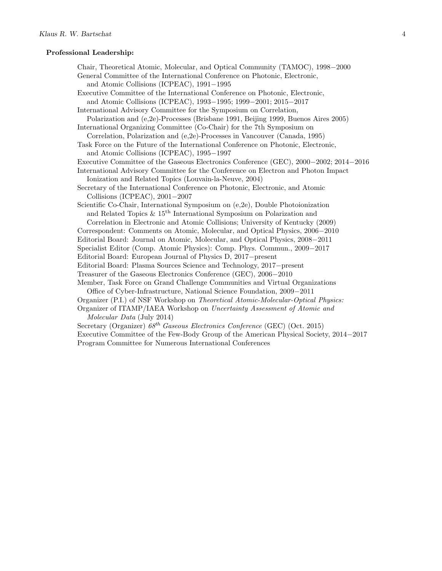#### Professional Leadership:

Chair, Theoretical Atomic, Molecular, and Optical Community (TAMOC), 1998−2000 General Committee of the International Conference on Photonic, Electronic, and Atomic Collisions (ICPEAC), 1991−1995 Executive Committee of the International Conference on Photonic, Electronic, and Atomic Collisions (ICPEAC), 1993−1995; 1999−2001; 2015−2017 International Advisory Committee for the Symposium on Correlation, Polarization and (e,2e)-Processes (Brisbane 1991, Beijing 1999, Buenos Aires 2005) International Organizing Committee (Co-Chair) for the 7th Symposium on Correlation, Polarization and (e,2e)-Processes in Vancouver (Canada, 1995) Task Force on the Future of the International Conference on Photonic, Electronic, and Atomic Collisions (ICPEAC), 1995−1997 Executive Committee of the Gaseous Electronics Conference (GEC), 2000−2002; 2014−2016 International Advisory Committee for the Conference on Electron and Photon Impact Ionization and Related Topics (Louvain-la-Neuve, 2004) Secretary of the International Conference on Photonic, Electronic, and Atomic Collisions (ICPEAC), 2001−2007 Scientific Co-Chair, International Symposium on (e,2e), Double Photoionization and Related Topics & 15th International Symposium on Polarization and Correlation in Electronic and Atomic Collisions; University of Kentucky (2009) Correspondent: Comments on Atomic, Molecular, and Optical Physics, 2006−2010 Editorial Board: Journal on Atomic, Molecular, and Optical Physics, 2008−2011 Specialist Editor (Comp. Atomic Physics): Comp. Phys. Commun., 2009−2017 Editorial Board: European Journal of Physics D, 2017−present Editorial Board: Plasma Sources Science and Technology, 2017−present Treasurer of the Gaseous Electronics Conference (GEC), 2006−2010 Member, Task Force on Grand Challenge Communities and Virtual Organizations Office of Cyber-Infrastructure, National Science Foundation, 2009−2011 Organizer (P.I.) of NSF Workshop on Theoretical Atomic-Molecular-Optical Physics: Organizer of ITAMP/IAEA Workshop on Uncertainty Assessment of Atomic and Molecular Data (July 2014) Secretary (Organizer)  $68^{th}$  Gaseous Electronics Conference (GEC) (Oct. 2015) Executive Committee of the Few-Body Group of the American Physical Society, 2014−2017 Program Committee for Numerous International Conferences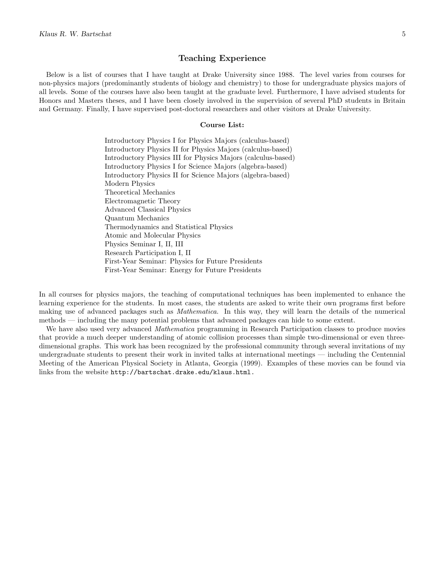#### Teaching Experience

Below is a list of courses that I have taught at Drake University since 1988. The level varies from courses for non-physics majors (predominantly students of biology and chemistry) to those for undergraduate physics majors of all levels. Some of the courses have also been taught at the graduate level. Furthermore, I have advised students for Honors and Masters theses, and I have been closely involved in the supervision of several PhD students in Britain and Germany. Finally, I have supervised post-doctoral researchers and other visitors at Drake University.

#### Course List:

Introductory Physics I for Physics Majors (calculus-based) Introductory Physics II for Physics Majors (calculus-based) Introductory Physics III for Physics Majors (calculus-based) Introductory Physics I for Science Majors (algebra-based) Introductory Physics II for Science Majors (algebra-based) Modern Physics Theoretical Mechanics Electromagnetic Theory Advanced Classical Physics Quantum Mechanics Thermodynamics and Statistical Physics Atomic and Molecular Physics Physics Seminar I, II, III Research Participation I, II First-Year Seminar: Physics for Future Presidents First-Year Seminar: Energy for Future Presidents

In all courses for physics majors, the teaching of computational techniques has been implemented to enhance the learning experience for the students. In most cases, the students are asked to write their own programs first before making use of advanced packages such as Mathematica. In this way, they will learn the details of the numerical methods — including the many potential problems that advanced packages can hide to some extent.

We have also used very advanced *Mathematica* programming in Research Participation classes to produce movies that provide a much deeper understanding of atomic collision processes than simple two-dimensional or even threedimensional graphs. This work has been recognized by the professional community through several invitations of my undergraduate students to present their work in invited talks at international meetings — including the Centennial Meeting of the American Physical Society in Atlanta, Georgia (1999). Examples of these movies can be found via links from the website http://bartschat.drake.edu/klaus.html.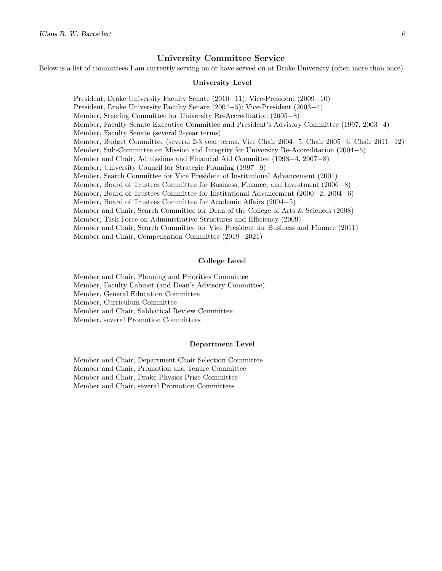### University Committee Service

Below is a list of committees I am currently serving on or have served on at Drake University (often more than once).

#### University Level

President, Drake University Faculty Senate (2010−11); Vice-President (2009−10) President, Drake University Faculty Senate (2004−5); Vice-President (2003−4) Member, Steering Committee for University Re-Accreditation (2005−8) Member, Faculty Senate Executive Committee and President's Advisory Committee (1997, 2003−4) Member, Faculty Senate (several 2-year terms) Member, Budget Committee (several 2-3 year terms, Vice Chair 2004−5, Chair 2005−6, Chair 2011−12) Member, Sub-Committee on Mission and Integrity for University Re-Accreditation (2004−5) Member and Chair, Admissions and Financial Aid Committee (1993−4, 2007−8) Member, University Council for Strategic Planning (1997−9) Member, Search Committee for Vice President of Institutional Advancement (2001) Member, Board of Trustees Committee for Business, Finance, and Investment (2006−8) Member, Board of Trustees Committee for Institutional Advancement (2000−2, 2004−6) Member, Board of Trustees Committee for Academic Affairs (2004−5) Member and Chair, Search Committee for Dean of the College of Arts & Sciences (2008) Member, Task Force on Administrative Structures and Efficiency (2009) Member and Chair, Search Committee for Vice President for Business and Finance (2011) Member and Chair, Compensation Committee (2019−2021)

#### College Level

Member and Chair, Planning and Priorities Committee Member, Faculty Cabinet (and Dean's Advisory Committee) Member, General Education Committee Member, Curriculum Committee Member and Chair, Sabbatical Review Committee Member, several Promotion Committees

#### Department Level

Member and Chair, Department Chair Selection Committee Member and Chair, Promotion and Tenure Committee Member and Chair, Drake Physics Prize Committee Member and Chair, several Promotion Committees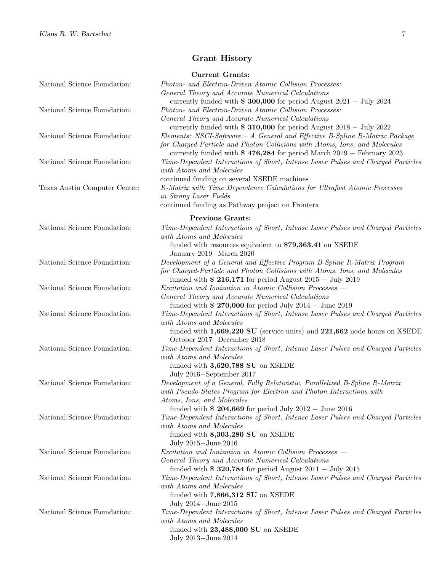# Grant History

|                               | <b>Current Grants:</b>                                                                                                                        |
|-------------------------------|-----------------------------------------------------------------------------------------------------------------------------------------------|
| National Science Foundation:  | Photon- and Electron-Driven Atomic Collision Processes:                                                                                       |
|                               | General Theory and Accurate Numerical Calculations                                                                                            |
|                               | currently funded with $\$$ 300,000 for period August 2021 - July 2024                                                                         |
| National Science Foundation:  | Photon- and Electron-Driven Atomic Collision Processes:                                                                                       |
|                               | General Theory and Accurate Numerical Calculations                                                                                            |
|                               | currently funded with $\$ 310,000$ for period August 2018 - July 2022                                                                         |
| National Science Foundation:  | Elements: NSCI-Software - A General and Effective B-Spline R-Matrix Package                                                                   |
|                               | for Charged-Particle and Photon Collisions with Atoms, Ions, and Molecules                                                                    |
|                               | currently funded with $$476,284$ for period March $2019$ – February 2023                                                                      |
| National Science Foundation:  | Time-Dependent Interactions of Short, Intense Laser Pulses and Charged Particles                                                              |
|                               | with Atoms and Molecules                                                                                                                      |
|                               | continued funding on several XSEDE machines                                                                                                   |
| Texas Austin Computer Center: | R-Matrix with Time Dependence Calculations for Ultrafast Atomic Processes                                                                     |
|                               | in Strong Laser Fields                                                                                                                        |
|                               | continued funding as Pathway project on Frontera                                                                                              |
|                               | <b>Previous Grants:</b>                                                                                                                       |
| National Science Foundation:  | Time-Dependent Interactions of Short, Intense Laser Pulses and Charged Particles                                                              |
|                               | with Atoms and Molecules                                                                                                                      |
|                               | funded with resources equivalent to \$79,363.41 on XSEDE                                                                                      |
|                               | January 2019–March 2020                                                                                                                       |
| National Science Foundation:  | Development of a General and Effective Program B-Spline R-Matrix Program                                                                      |
|                               | for Charged-Particle and Photon Collisions with Atoms, Ions, and Molecules<br>funded with $\$$ 216,171 for period August 2015 - July 2019     |
| National Science Foundation:  | Excitation and Ionization in Atomic Collision Processes –                                                                                     |
|                               | General Theory and Accurate Numerical Calculations                                                                                            |
|                               | funded with $\ $ 270,000$ for period July 2014 - June 2019                                                                                    |
| National Science Foundation:  | Time-Dependent Interactions of Short, Intense Laser Pulses and Charged Particles                                                              |
|                               | with Atoms and Molecules                                                                                                                      |
|                               | funded with $1,669,220$ SU (service units) and $221,662$ node hours on XSEDE                                                                  |
|                               | October 2017–December 2018                                                                                                                    |
| National Science Foundation:  | Time-Dependent Interactions of Short, Intense Laser Pulses and Charged Particles                                                              |
|                               | with Atoms and Molecules                                                                                                                      |
|                               | funded with $3,620,788$ SU on XSEDE                                                                                                           |
|                               | July 2016–September 2017                                                                                                                      |
| National Science Foundation:  | Development of a General, Fully Relativistic, Parallelized B-Spline R-Matrix                                                                  |
|                               | with Pseudo-States Program for Electron and Photon Interactions with                                                                          |
|                               | Atoms, Ions, and Molecules                                                                                                                    |
| National Science Foundation:  | funded with \$ 204,669 for period July $2012 -$ June 2016<br>Time-Dependent Interactions of Short, Intense Laser Pulses and Charged Particles |
|                               | with Atoms and Molecules                                                                                                                      |
|                               | funded with $8,303,280$ SU on XSEDE                                                                                                           |
|                               | July 2015-June 2016                                                                                                                           |
| National Science Foundation:  | Excitation and Ionization in Atomic Collision Processes -                                                                                     |
|                               | General Theory and Accurate Numerical Calculations                                                                                            |
|                               | funded with $\$$ 320,784 for period August 2011 - July 2015                                                                                   |
| National Science Foundation:  | Time-Dependent Interactions of Short, Intense Laser Pulses and Charged Particles                                                              |
|                               | with Atoms and Molecules                                                                                                                      |
|                               | funded with $7,866,312$ SU on XSEDE                                                                                                           |
|                               | July 2014–June 2015                                                                                                                           |
| National Science Foundation:  | Time-Dependent Interactions of Short, Intense Laser Pulses and Charged Particles                                                              |
|                               | with Atoms and Molecules                                                                                                                      |
|                               | funded with $23,488,000$ SU on XSEDE                                                                                                          |
|                               | July 2013–June 2014                                                                                                                           |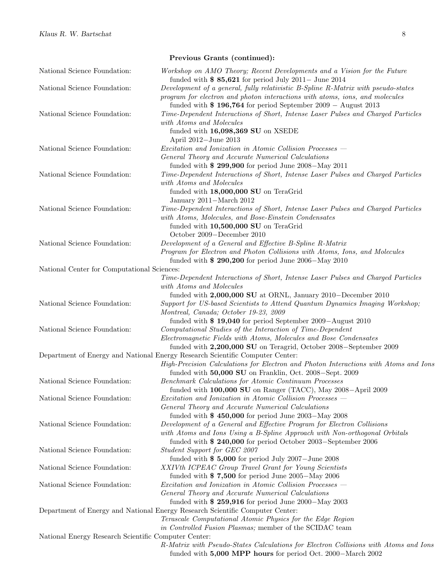|                                                      | Previous Grants (continued):                                                                                                                                                                                                       |
|------------------------------------------------------|------------------------------------------------------------------------------------------------------------------------------------------------------------------------------------------------------------------------------------|
| National Science Foundation:                         | Workshop on AMO Theory; Recent Developments and a Vision for the Future<br>funded with $\$$ 85,621 for period July 2011 – June 2014                                                                                                |
| National Science Foundation:                         | Development of a general, fully relativistic B-Spline R-Matrix with pseudo-states<br>program for electron and photon interactions with atoms, ions, and molecules                                                                  |
| National Science Foundation:                         | funded with $$196,764$ for period September 2009 - August 2013<br>Time-Dependent Interactions of Short, Intense Laser Pulses and Charged Particles<br>with Atoms and Molecules                                                     |
|                                                      | funded with $16,098,369$ SU on XSEDE<br>April 2012-June 2013                                                                                                                                                                       |
| National Science Foundation:                         | Excitation and Ionization in Atomic Collision Processes –<br>General Theory and Accurate Numerical Calculations<br>funded with $$299,900$ for period June 2008-May 2011                                                            |
| National Science Foundation:                         | Time-Dependent Interactions of Short, Intense Laser Pulses and Charged Particles<br>with Atoms and Molecules<br>funded with 18,000,000 SU on TeraGrid<br>January 2011-March 2012                                                   |
| National Science Foundation:                         | Time-Dependent Interactions of Short, Intense Laser Pulses and Charged Particles<br>with Atoms, Molecules, and Bose-Einstein Condensates<br>funded with 10,500,000 SU on TeraGrid<br>October 2009-December 2010                    |
| National Science Foundation:                         | Development of a General and Effective B-Spline R-Matrix<br>Program for Electron and Photon Collisions with Atoms, Ions, and Molecules                                                                                             |
| National Center for Computational Sciences:          | funded with $$290,200$ for period June 2006-May 2010                                                                                                                                                                               |
|                                                      | Time-Dependent Interactions of Short, Intense Laser Pulses and Charged Particles                                                                                                                                                   |
|                                                      | with Atoms and Molecules                                                                                                                                                                                                           |
|                                                      | funded with $2,000,000$ SU at ORNL, January 2010–December 2010                                                                                                                                                                     |
| National Science Foundation:                         | Support for US-based Scientists to Attend Quantum Dynamics Imaging Workshop;<br>Montreal, Canada; October 19-23, 2009                                                                                                              |
| National Science Foundation:                         | funded with $$19,040$ for period September 2009–August 2010<br>Computational Studies of the Interaction of Time-Dependent                                                                                                          |
|                                                      | Electromagnetic Fields with Atoms, Molecules and Bose Condensates                                                                                                                                                                  |
|                                                      | funded with 2,200,000 SU on Teragrid, October 2008–September 2009                                                                                                                                                                  |
|                                                      | Department of Energy and National Energy Research Scientific Computer Center:<br>High-Precision Calculations for Electron and Photon Interactions with Atoms and Ions<br>funded with $50,000$ SU on Franklin, Oct. 2008–Sept. 2009 |
| National Science Foundation:                         | Benchmark Calculations for Atomic Continuum Processes                                                                                                                                                                              |
|                                                      | funded with $100,000$ SU on Ranger (TACC), May $2008 -$ April $2009$                                                                                                                                                               |
| National Science Foundation:                         | Excitation and Ionization in Atomic Collision Processes –<br>General Theory and Accurate Numerical Calculations                                                                                                                    |
|                                                      | funded with $$450,000$ for period June 2003-May 2008                                                                                                                                                                               |
| National Science Foundation:                         | Development of a General and Effective Program for Electron Collisions<br>with Atoms and Ions Using a B-Spline Approach with Non-orthogonal Orbitals<br>funded with $$240,000$ for period October 2003–September 2006              |
| National Science Foundation:                         | Student Support for GEC 2007<br>funded with $$5,000$ for period July 2007-June 2008                                                                                                                                                |
| National Science Foundation:                         | XXIVth ICPEAC Group Travel Grant for Young Scientists<br>funded with $\$$ 7,500 for period June 2005–May 2006                                                                                                                      |
| National Science Foundation:                         | Excitation and Ionization in Atomic Collision Processes –<br>General Theory and Accurate Numerical Calculations                                                                                                                    |
|                                                      | funded with $$259,916$ for period June 2000–May 2003<br>Department of Energy and National Energy Research Scientific Computer Center:                                                                                              |
|                                                      | Terascale Computational Atomic Physics for the Edge Region                                                                                                                                                                         |
|                                                      | in Controlled Fusion Plasmas; member of the SCIDAC team                                                                                                                                                                            |
| National Energy Research Scientific Computer Center: |                                                                                                                                                                                                                                    |
|                                                      | R-Matrix with Pseudo-States Calculations for Electron Collisions with Atoms and Ions<br>funded with $5,000$ MPP hours for period Oct. 2000–March 2002                                                                              |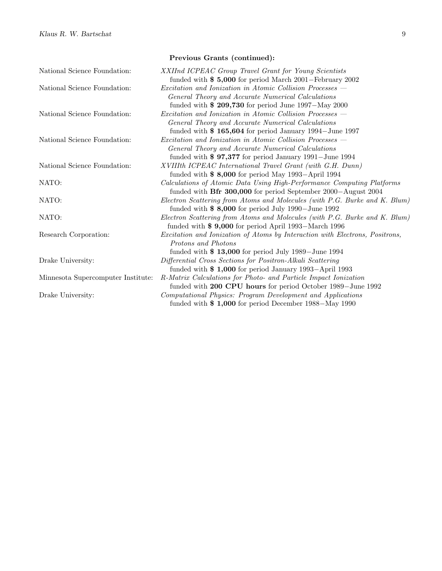National Science Foundation: XXIInd ICPEAC Group Travel Grant for Young Scientists funded with \$ 5,000 for period March 2001−February 2002 National Science Foundation: Excitation and Ionization in Atomic Collision Processes — General Theory and Accurate Numerical Calculations funded with \$ 209,730 for period June 1997−May 2000 National Science Foundation: Excitation and Ionization in Atomic Collision Processes General Theory and Accurate Numerical Calculations funded with \$ 165,604 for period January 1994−June 1997 National Science Foundation: Excitation and Ionization in Atomic Collision Processes — General Theory and Accurate Numerical Calculations funded with \$ 97,377 for period January 1991−June 1994 National Science Foundation: XVIIIth ICPEAC International Travel Grant (with G.H. Dunn) funded with \$ 8,000 for period May 1993−April 1994 NATO: Calculations of Atomic Data Using High-Performance Computing Platforms funded with Bfr 300,000 for period September 2000−August 2004 NATO: Electron Scattering from Atoms and Molecules (with P.G. Burke and K. Blum) funded with \$ 8,000 for period July 1990−June 1992 NATO: Electron Scattering from Atoms and Molecules (with P.G. Burke and K. Blum) funded with \$ 9,000 for period April 1993−March 1996 Research Corporation: Excitation and Ionization of Atoms by Interaction with Electrons, Positrons, Protons and Photons funded with \$ 13,000 for period July 1989−June 1994 Drake University: Differential Cross Sections for Positron-Alkali Scattering funded with \$ 1,000 for period January 1993−April 1993 Minnesota Supercomputer Institute: R-Matrix Calculations for Photo- and Particle Impact Ionization funded with 200 CPU hours for period October 1989−June 1992 Drake University: Computational Physics: Program Development and Applications funded with \$ 1,000 for period December 1988−May 1990

#### Previous Grants (continued):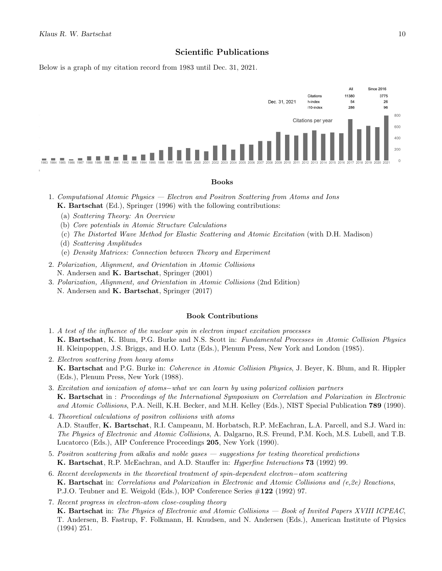## Scientific Publications

Below is a graph of my citation record from 1983 until Dec. 31, 2021.



#### Books

- 1. Computational Atomic Physics Electron and Positron Scattering from Atoms and Ions K. Bartschat (Ed.), Springer (1996) with the following contributions:
	- (a) Scattering Theory: An Overview
	- (b) Core potentials in Atomic Structure Calculations
	- (c) The Distorted Wave Method for Elastic Scattering and Atomic Excitation (with D.H. Madison)
	- (d) Scattering Amplitudes
	- (e) Density Matrices: Connection between Theory and Experiment
- 2. Polarization, Alignment, and Orientation in Atomic Collisions N. Andersen and K. Bartschat, Springer (2001)
- 3. Polarization, Alignment, and Orientation in Atomic Collisions (2nd Edition) N. Andersen and K. Bartschat, Springer (2017)

#### Book Contributions

- 1. A test of the influence of the nuclear spin in electron impact excitation processes K. Bartschat, K. Blum, P.G. Burke and N.S. Scott in: Fundamental Processes in Atomic Collision Physics H. Kleinpoppen, J.S. Briggs, and H.O. Lutz (Eds.), Plenum Press, New York and London (1985).
- 2. Electron scattering from heavy atoms K. Bartschat and P.G. Burke in: Coherence in Atomic Collision Physics, J. Beyer, K. Blum, and R. Hippler (Eds.), Plenum Press, New York (1988).
- 3. Excitation and ionization of atoms−what we can learn by using polarized collision partners K. Bartschat in : Proceedings of the International Symposium on Correlation and Polarization in Electronic and Atomic Collisions, P.A. Neill, K.H. Becker, and M.H. Kelley (Eds.), NIST Special Publication 789 (1990).
- 4. Theoretical calculations of positron collisions with atoms A.D. Stauffer, K. Bartschat, R.I. Campeanu, M. Horbatsch, R.P. McEachran, L.A. Parcell, and S.J. Ward in: The Physics of Electronic and Atomic Collisions, A. Dalgarno, R.S. Freund, P.M. Koch, M.S. Lubell, and T.B. Lucatorco (Eds.), AIP Conference Proceedings 205, New York (1990).
- 5. Positron scattering from alkalis and noble gases suggestions for testing theoretical predictions K. Bartschat, R.P. McEachran, and A.D. Stauffer in: Hyperfine Interactions 73 (1992) 99.
- 6. Recent developments in the theoretical treatment of spin-dependent electron−atom scattering K. Bartschat in: Correlations and Polarization in Electronic and Atomic Collisions and (e,2e) Reactions, P.J.O. Teubner and E. Weigold (Eds.), IOP Conference Series #122 (1992) 97.
- 7. Recent progress in electron-atom close-coupling theory K. Bartschat in: The Physics of Electronic and Atomic Collisions — Book of Invited Papers XVIII ICPEAC, T. Andersen, B. Fastrup, F. Folkmann, H. Knudsen, and N. Andersen (Eds.), American Institute of Physics (1994) 251.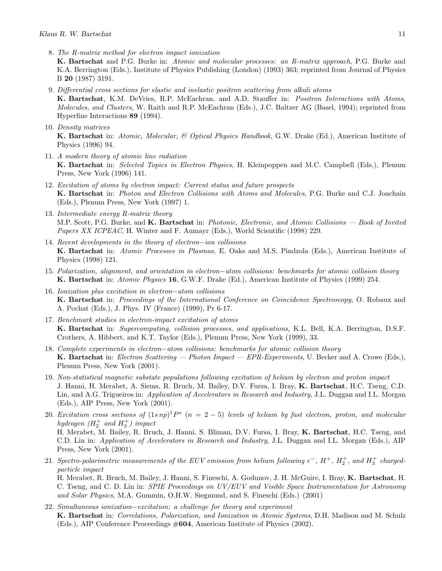8. The R-matrix method for electron impact ionization

K. Bartschat and P.G. Burke in: Atomic and molecular processes: an R-matrix approach, P.G. Burke and K.A. Berrington (Eds.), Institute of Physics Publishing (London) (1993) 363; reprinted from Journal of Physics B 20 (1987) 3191.

- 9. Differential cross sections for elastic and inelastic positron scattering from alkali atoms K. Bartschat, K.M. DeVries, R.P. McEachran, and A.D. Stauffer in: Positron Interactions with Atoms, Molecules, and Clusters, W. Raith and R.P. McEachran (Eds.), J.C. Baltzer AG (Basel, 1994); reprinted from Hyperfine Interactions 89 (1994).
- 10. Density matrices

K. Bartschat in: Atomic, Molecular, & Optical Physics Handbook, G.W. Drake (Ed.), American Institute of Physics (1996) 94.

- 11. A modern theory of atomic line radiation K. Bartschat in: Selected Topics in Electron Physics, H. Kleinpoppen and M.C. Campbell (Eds.), Plenum Press, New York (1996) 141.
- 12. Excitation of atoms by electron impact: Current status and future prospects K. Bartschat in: Photon and Electron Collisions with Atoms and Molecules, P.G. Burke and C.J. Joachain (Eds.), Plenum Press, New York (1997) 1.
- 13. Intermediate energy R-matrix theory M.P. Scott, P.G. Burke, and K. Bartschat in: Photonic, Electronic, and Atomic Collisions — Book of Invited Papers XX ICPEAC, H. Winter and F. Aumayr (Eds.), World Scientific (1998) 229.
- 14. Recent developments in the theory of electron−ion collisions K. Bartschat in: Atomic Processes in Plasmas, E. Oaks and M.S. Pindzola (Eds.), American Institute of Physics (1998) 121.
- 15. Polarization, alignment, and orientation in electron−atom collisions: benchmarks for atomic collision theory K. Bartschat in: Atomic Physics 16, G.W.F. Drake (Ed.), American Institute of Physics (1999) 254.
- 16. Ionization plus excitation in electron−atom collisions **K. Bartschat** in: *Proceedings of the International Conference on Coincidence Spectroscopy*, O. Robaux and A. Pochat (Eds.), J. Phys. IV (France) (1999), Pr 6-17.
- 17. Benchmark studies in electron-impact excitation of atoms K. Bartschat in: Supercomputing, collision processes, and applications, K.L. Bell, K.A. Berrington, D.S.F. Crothers, A. Hibbert, and K.T. Taylor (Eds.), Plenum Press, New York (1999), 33.
- 18. Complete experiments in electron−atom collisions: benchmarks for atomic collision theory K. Bartschat in: Electron Scattering — Photon Impact — EPR-Experiments, U. Becker and A. Crowe (Eds.), Plenum Press, New York (2001).
- 19. Non-statistical magnetic substate populations following excitation of helium by electron and proton impact J. Hanni, H. Merabet, A. Siems, R. Bruch, M. Bailey, D.V. Fursa, I. Bray, K. Bartschat, H.C. Tseng, C.D. Lin, and A.G. Trigueiros in: Application of Accelerators in Research and Industry, J.L. Duggan and I.L. Morgan (Eds.), AIP Press, New York (2001).
- 20. Excitation cross sections of  $(1s np)^1 P^{\circ}$   $(n = 2 5)$  levels of helium by fast electron, proton, and molecular hydrogen  $(H_2^+$  and  $H_3^+)$  impact H. Merabet, M. Bailey, R. Bruch, J. Hanni, S. Bliman, D.V. Fursa, I. Bray, K. Bartschat, H.C. Tseng, and C.D. Lin in: Application of Accelerators in Research and Industry, J.L. Duggan and I.L. Morgan (Eds.), AIP Press, New York (2001).
- 21. Spectro-polarimetric measurements of the EUV emission from helium following  $e^-$ ,  $H^+$ ,  $H_2^+$ , and  $H_3^+$  chargedparticle impact H. Merabet, R. Bruch, M. Bailey, J. Hanni, S. Fineschi, A. Godunov, J. H. McGuire, I. Bray, K. Bartschat, H.

C. Tseng, and C. D. Lin in: SPIE Proceedings on UV/EUV and Visible Space Instrumentation for Astronomy and Solar Physics, M.A. Gummin, O.H.W. Siegmund, and S. Fineschi (Eds.) (2001)

22. Simultaneous ionization−excitation: a challenge for theory and experiment K. Bartschat in: Correlations, Polarization, and Ionization in Atomic Systems, D.H. Madison and M. Schulz (Eds.), AIP Conference Proceedings #604, American Institute of Physics (2002).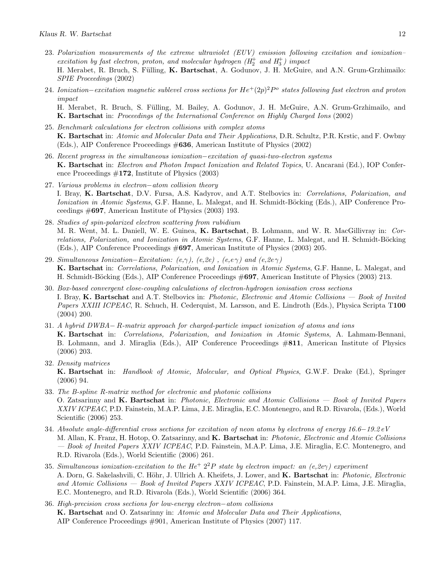- 23. Polarization measurements of the extreme ultraviolet (EUV) emission following excitation and ionization– excitation by fast electron, proton, and molecular hydrogen  $(H_2^+$  and  $H_3^+)$  impact H. Merabet, R. Bruch, S. Fülling, K. Bartschat, A. Godunov, J. H. McGuire, and A.N. Grum-Grzhimailo: SPIE Proceedings (2002)
- 24. Ionization–excitation magnetic sublevel cross sections for  $He^+(2p)^2P^{\circ}$  states following fast electron and proton impact H. Merabet, R. Bruch, S. Fülling, M. Bailey, A. Godunov, J. H. McGuire, A.N. Grum-Grzhimailo, and K. Bartschat in: Proceedings of the International Conference on Highly Charged Ions (2002)
- 25. Benchmark calculations for electron collisions with complex atoms K. Bartschat in: Atomic and Molecular Data and Their Applications, D.R. Schultz, P.R. Krstic, and F. Owbny (Eds.), AIP Conference Proceedings #636, American Institute of Physics (2002)
- 26. Recent progress in the simultaneous ionization−excitation of quasi-two-electron systems K. Bartschat in: Electron and Photon Impact Ionization and Related Topics, U. Ancarani (Ed.), IOP Conference Proceedings  $\#172$ , Institute of Physics (2003)
- 27. Various problems in electron−atom collision theory I. Bray, K. Bartschat, D.V. Fursa, A.S. Kadyrov, and A.T. Stelbovics in: Correlations, Polarization, and Ionization in Atomic Systems, G.F. Hanne, L. Malegat, and H. Schmidt-Böcking (Eds.), AIP Conference Proceedings #697, American Institute of Physics (2003) 193.
- 28. Studies of spin-polarized electron scattering from rubidium M. R. Went, M. L. Daniell, W. E. Guinea, K. Bartschat, B. Lohmann, and W. R. MacGillivray in: Correlations, Polarization, and Ionization in Atomic Systems, G.F. Hanne, L. Malegat, and H. Schmidt-Böcking (Eds.), AIP Conference Proceedings #697, American Institute of Physics (2003) 205.
- 29. Simultaneous Ionization–Excitation:  $(e, \gamma)$ ,  $(e, 2e)$ ,  $(e, e \gamma)$  and  $(e, 2e \gamma)$ K. Bartschat in: Correlations, Polarization, and Ionization in Atomic Systems, G.F. Hanne, L. Malegat, and H. Schmidt-Böcking (Eds.), AIP Conference Proceedings #697, American Institute of Physics (2003) 213.
- 30. Box-based convergent close-coupling calculations of electron-hydrogen ionisation cross sections I. Bray, K. Bartschat and A.T. Stelbovics in: Photonic, Electronic and Atomic Collisions — Book of Invited Papers XXIII ICPEAC, R. Schuch, H. Cederquist, M. Larsson, and E. Lindroth (Eds.), Physica Scripta T100 (2004) 200.
- 31. A hybrid DWBA− R-matrix approach for charged-particle impact ionization of atoms and ions K. Bartschat in: Correlations, Polarization, and Ionization in Atomic Systems, A. Lahmam-Bennani, B. Lohmann, and J. Miraglia (Eds.), AIP Conference Proceedings #811, American Institute of Physics (2006) 203.
- 32. Density matrices

K. Bartschat in: Handbook of Atomic, Molecular, and Optical Physics, G.W.F. Drake (Ed.), Springer (2006) 94.

- 33. The B-spline R-matrix method for electronic and photonic collisions O. Zatsarinny and K. Bartschat in: Photonic, Electronic and Atomic Collisions — Book of Invited Papers XXIV ICPEAC, P.D. Fainstein, M.A.P. Lima, J.E. Miraglia, E.C. Montenegro, and R.D. Rivarola, (Eds.), World Scientific (2006) 253.
- 34. Absolute angle-differential cross sections for excitation of neon atoms by electrons of energy 16.6−19.2 eV M. Allan, K. Franz, H. Hotop, O. Zatsarinny, and K. Bartschat in: Photonic, Electronic and Atomic Collisions — Book of Invited Papers XXIV ICPEAC, P.D. Fainstein, M.A.P. Lima, J.E. Miraglia, E.C. Montenegro, and R.D. Rivarola (Eds.), World Scientific (2006) 261.
- 35. Simultaneous ionization-excitation to the He<sup>+</sup>  $2^2P$  state by electron impact: an  $(e,2e\gamma)$  experiment A. Dorn, G. Sakelashvili, C. Höhr, J. Ullrich A. Kheifets, J. Lower, and K. Bartschat in: Photonic, Electronic and Atomic Collisions — Book of Invited Papers XXIV ICPEAC, P.D. Fainstein, M.A.P. Lima, J.E. Miraglia, E.C. Montenegro, and R.D. Rivarola (Eds.), World Scientific (2006) 364.
- 36. High-precision cross sections for low-energy electron−atom collisions K. Bartschat and O. Zatsarinny in: Atomic and Molecular Data and Their Applications, AIP Conference Proceedings #901, American Institute of Physics (2007) 117.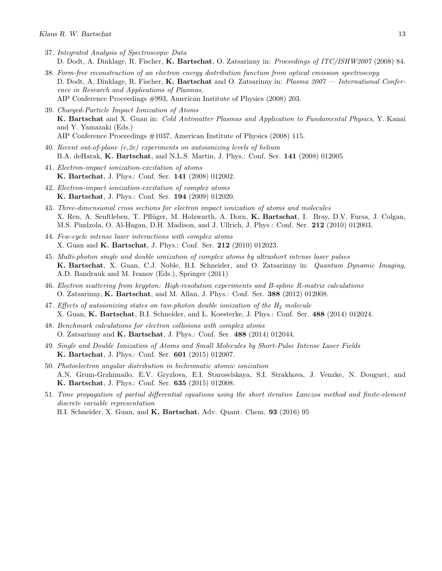- 37. Integrated Analysis of Spectroscopic Data D. Dodt, A. Dinklage, R. Fischer, K. Bartschat, O. Zatsarinny in: Proceedings of ITC/ISHW2007 (2008) 84.
- 38. Form-free reconstruction of an electron energy distribution function from optical emission spectroscopy D. Dodt, A. Dinklage, R. Fischer, K. Bartschat and O. Zatsarinny in: Plasma 2007 — International Conference in Research and Applications of Plasmas, AIP Conference Proceedings #993, American Institute of Physics (2008) 203.
- 39. Charged-Particle Impact Ionization of Atoms K. Bartschat and X. Guan in: Cold Antimatter Plasmas and Application to Fundamental Physics, Y. Kanai and Y. Yamazaki (Eds.) AIP Conference Proceedings #1037, American Institute of Physics (2008) 115.
- 40. Recent out-of-plane (e,2e) experiments on autoionizing levels of helium B.A. deHarak, K. Bartschat, and N.L.S. Martin, J. Phys.: Conf. Ser. 141 (2008) 012005
- 41. Electron-impact ionization-excitation of atoms K. Bartschat, J. Phys.: Conf. Ser. 141 (2008) 012002.
- 42. Electron-impact ionization-excitation of complex atoms K. Bartschat, J. Phys.: Conf. Ser. 194 (2009) 012020.
- 43. Three-dimensional cross sections for electron impact ionization of atoms and molecules X. Ren, A. Senftleben, T. Pflüger, M. Holzwarth, A. Dorn, K. Bartschat, I. Bray, D.V. Fursa, J. Colgan, M.S. Pindzola, O. Al-Hagan, D.H. Madison, and J. Ullrich, J. Phys.: Conf. Ser. 212 (2010) 012003.
- 44. Few-cycle intense laser interactions with complex atoms X. Guan and K. Bartschat, J. Phys.: Conf. Ser. 212 (2010) 012023.
- 45. Multi-photon single and double ionization of complex atoms by ultrashort intense laser pulses K. Bartschat, X. Guan, C.J. Noble, B.I. Schneider, and O. Zatsarinny in: Quantum Dynamic Imaging, A.D. Bandrauk and M. Ivanov (Eds.), Springer (2011)
- 46. Electron scattering from krypton: High-resolution experiments and B-spline R-matrix calculations O. Zatsarinny, K. Bartschat, and M. Allan, J. Phys.: Conf. Ser. 388 (2012) 012008.
- 47. Effects of autoionizing states on two-photon double ionization of the  $H_2$  molecule X. Guan, K. Bartschat, B.I. Schneider, and L. Koesterke, J. Phys.: Conf. Ser. 488 (2014) 012024.
- 48. Benchmark calculations for electron collisions with complex atoms O. Zatsarinny and K. Bartschat, J. Phys.: Conf. Ser. 488 (2014) 012044.
- 49. Single and Double Ionization of Atoms and Small Molecules by Short-Pulse Intense Laser Fields K. Bartschat, J. Phys.: Conf. Ser. 601 (2015) 012007.
- 50. Photoelectron angular distribution in bichromatic atomic ionization A.N. Grum-Grzhimailo, E.V. Gryzlova, E.I. Staroselskaya, S.I. Strakhova, J. Venzke, N. Douguet, and K. Bartschat, J. Phys.: Conf. Ser. 635 (2015) 012008.
- 51. Time propagation of partial differential equations using the short iterative Lanczos method and finite-element discrete variable representation

B.I. Schneider, X. Guan, and K. Bartschat, Adv. Quant. Chem. 93 (2016) 95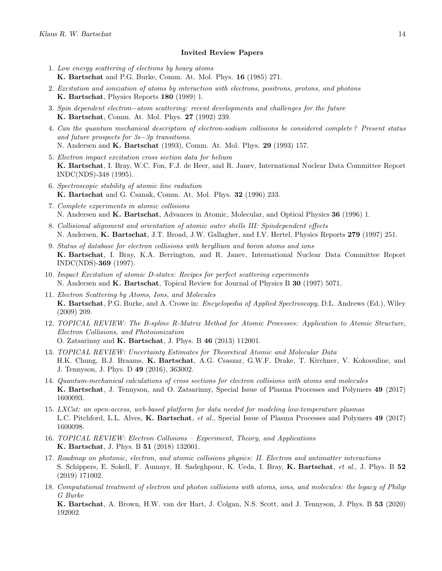#### Invited Review Papers

- 1. Low energy scattering of electrons by heavy atoms K. Bartschat and P.G. Burke, Comm. At. Mol. Phys. 16 (1985) 271.
- 2. Excitation and ionization of atoms by interaction with electrons, positrons, protons, and photons K. Bartschat, Physics Reports 180 (1989) 1.
- 3. Spin dependent electron–atom scattering: recent developments and challenges for the future K. Bartschat, Comm. At. Mol. Phys. 27 (1992) 239.
- 4. Can the quantum mechanical description of electron-sodium collisions be considered complete ? Present status and future prospects for 3s−3p transitions. N. Andersen and K. Bartschat (1993), Comm. At. Mol. Phys. 29 (1993) 157.
- 5. Electron impact excitation cross section data for helium K. Bartschat, I. Bray, W.C. Fon, F.J. de Heer, and R. Janev, International Nuclear Data Committee Report INDC(NDS)-348 (1995).
- 6. Spectroscopic stability of atomic line radiation K. Bartschat and G. Csanak, Comm. At. Mol. Phys. 32 (1996) 233.
- 7. Complete experiments in atomic collisions N. Andersen and K. Bartschat, Advances in Atomic, Molecular, and Optical Physics 36 (1996) 1.
- 8. Collisional alignment and orientation of atomic outer shells III: Spindependent effects N. Andersen, K. Bartschat, J.T. Broad, J.W. Gallagher, and I.V. Hertel, Physics Reports 279 (1997) 251.
- 9. Status of database for electron collisions with beryllium and boron atoms and ions K. Bartschat, I. Bray, K.A. Berrington, and R. Janev, International Nuclear Data Committee Report INDC(NDS)-369 (1997).
- 10. Impact Excitation of atomic D-states: Recipes for perfect scattering experiments N. Andersen and K. Bartschat, Topical Review for Journal of Physics B 30 (1997) 5071.
- 11. Electron Scattering by Atoms, Ions, and Molecules K. Bartschat, P.G. Burke, and A. Crowe in: Encyclopedia of Applied Spectroscopy, D.L. Andrews (Ed.), Wiley (2009) 209.
- 12. TOPICAL REVIEW: The B-spline R-Matrix Method for Atomic Processes: Application to Atomic Structure, Electron Collisions, and Photoionization O. Zatsarinny and K. Bartschat, J. Phys. B 46 (2013) 112001.
- 13. TOPICAL REVIEW: Uncertainty Estimates for Theoretical Atomic and Molecular Data H.K. Chung, B.J. Braams, K. Bartschat, A.G. Csaszar, G.W.F. Drake, T. Kirchner, V. Kokoouline, and J. Tennyson, J. Phys. D 49 (2016), 363002.
- 14. Quantum-mechanical calculations of cross sections for electron collisions with atoms and molecules K. Bartschat, J. Tennyson, and O. Zatsarinny, Special Issue of Plasma Processes and Polymers 49 (2017) 1600093.
- 15. LXCat: an open-access, web-based platform for data needed for modeling low-temperature plasmas L.C. Pitchford, L.L. Alves, K. Bartschat, et al., Special Issue of Plasma Processes and Polymers 49 (2017) 1600098.
- 16. TOPICAL REVIEW: Electron Collisions Experiment, Theory, and Applications K. Bartschat, J. Phys. B 51 (2018) 132001.
- 17. Roadmap on photonic, electron, and atomic collisions physics: II. Electron and antimatter interactions S. Schippers, E. Sokell, F. Aumayr, H. Sadeghpour, K. Ueda, I. Bray, K. Bartschat, et al., J. Phys. B 52 (2019) 171002.
- 18. Computational treatment of electron and photon collisions with atoms, ions, and molecules: the legacy of Philip G Burke

K. Bartschat, A. Brown, H.W. van der Hart, J. Colgan, N.S. Scott, and J. Tennyson, J. Phys. B 53 (2020) 192002.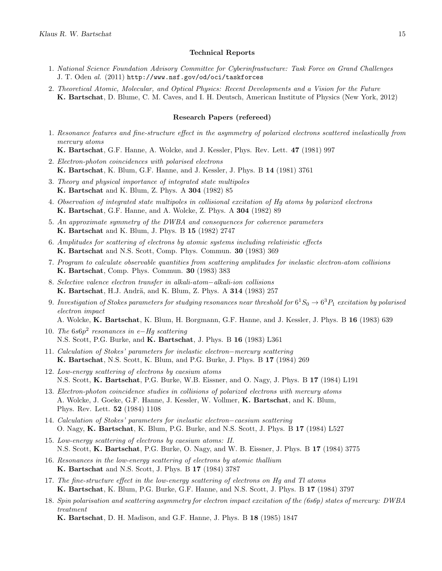#### Technical Reports

- 1. National Science Foundation Advisory Committee for Cyberinfrastucture: Task Force on Grand Challenges J. T. Oden al. (2011) http://www.nsf.gov/od/oci/taskforces
- 2. Theoretical Atomic, Molecular, and Optical Physics: Recent Developments and a Vision for the Future K. Bartschat, D. Blume, C. M. Caves, and I. H. Deutsch, American Institute of Physics (New York, 2012)

#### Research Papers (refereed)

1. Resonance features and fine-structure effect in the asymmetry of polarized electrons scattered inelastically from mercury atoms

K. Bartschat, G.F. Hanne, A. Wolcke, and J. Kessler, Phys. Rev. Lett. 47 (1981) 997

- 2. Electron-photon coincidences with polarised electrons K. Bartschat, K. Blum, G.F. Hanne, and J. Kessler, J. Phys. B 14 (1981) 3761
- 3. Theory and physical importance of integrated state multipoles K. Bartschat and K. Blum, Z. Phys. A 304 (1982) 85
- 4. Observation of integrated state multipoles in collisional excitation of Hg atoms by polarized electrons K. Bartschat, G.F. Hanne, and A. Wolcke, Z. Phys. A 304 (1982) 89
- 5. An approximate symmetry of the DWBA and consequences for coherence parameters K. Bartschat and K. Blum, J. Phys. B 15 (1982) 2747
- 6. Amplitudes for scattering of electrons by atomic systems including relativistic effects K. Bartschat and N.S. Scott, Comp. Phys. Commun. 30 (1983) 369
- 7. Program to calculate observable quantities from scattering amplitudes for inelastic electron-atom collisions K. Bartschat, Comp. Phys. Commun. 30 (1983) 383
- 8. Selective valence electron transfer in alkali-atom−alkali-ion collisions K. Bartschat, H.J. Andrä, and K. Blum, Z. Phys. A 314 (1983) 257
- 9. Investigation of Stokes parameters for studying resonances near threshold for  $6^1S_0\to 6^3P_1$  excitation by polarised electron impact

A. Wolcke, K. Bartschat, K. Blum, H. Borgmann, G.F. Hanne, and J. Kessler, J. Phys. B 16 (1983) 639

- 10. The  $6s6p^2$  resonances in e-Hg scattering N.S. Scott, P.G. Burke, and K. Bartschat, J. Phys. B 16 (1983) L361
- 11. Calculation of Stokes' parameters for inelastic electron−mercury scattering K. Bartschat, N.S. Scott, K. Blum, and P.G. Burke, J. Phys. B 17 (1984) 269
- 12. Low-energy scattering of electrons by caesium atoms N.S. Scott, K. Bartschat, P.G. Burke, W.B. Eissner, and O. Nagy, J. Phys. B 17 (1984) L191
- 13. Electron-photon coincidence studies in collisions of polarized electrons with mercury atoms A. Wolcke, J. Goeke, G.F. Hanne, J. Kessler, W. Vollmer, K. Bartschat, and K. Blum, Phys. Rev. Lett. 52 (1984) 1108
- 14. Calculation of Stokes' parameters for inelastic electron−caesium scattering O. Nagy, K. Bartschat, K. Blum, P.G. Burke, and N.S. Scott, J. Phys. B 17 (1984) L527
- 15. Low-energy scattering of electrons by caesium atoms: II. N.S. Scott, K. Bartschat, P.G. Burke, O. Nagy, and W. B. Eissner, J. Phys. B 17 (1984) 3775
- 16. Resonances in the low-energy scattering of electrons by atomic thallium K. Bartschat and N.S. Scott, J. Phys. B 17 (1984) 3787
- 17. The fine-structure effect in the low-energy scattering of electrons on Hg and Tl atoms K. Bartschat, K. Blum, P.G. Burke, G.F. Hanne, and N.S. Scott, J. Phys. B 17 (1984) 3797
- 18. Spin polarisation and scattering asymmetry for electron impact excitation of the (6s6p) states of mercury: DWBA treatment

K. Bartschat, D. H. Madison, and G.F. Hanne, J. Phys. B 18 (1985) 1847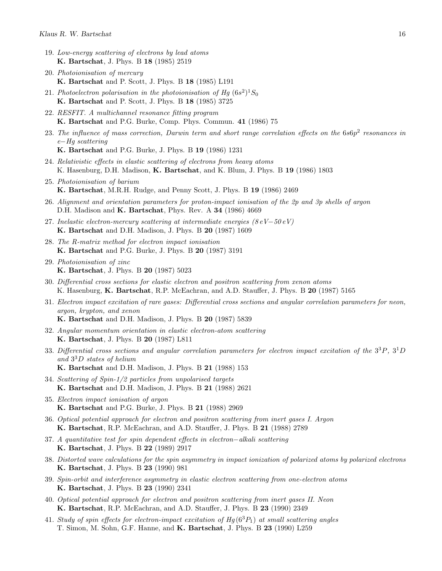- 19. Low-energy scattering of electrons by lead atoms K. Bartschat, J. Phys. B 18 (1985) 2519
- 20. Photoionisation of mercury K. Bartschat and P. Scott, J. Phys. B 18 (1985) L191
- 21. Photoelectron polarisation in the photoionisation of Hg  $(6s^2)^1S_0$ K. Bartschat and P. Scott, J. Phys. B 18 (1985) 3725
- 22. RESFIT. A multichannel resonance fitting program K. Bartschat and P.G. Burke, Comp. Phys. Commun. 41 (1986) 75
- 23. The influence of mass correction, Darwin term and short range correlation effects on the  $6s6p^2$  resonances in e−Hg scattering
	- K. Bartschat and P.G. Burke, J. Phys. B 19 (1986) 1231
- 24. Relativistic effects in elastic scattering of electrons from heavy atoms K. Hasenburg, D.H. Madison, K. Bartschat, and K. Blum, J. Phys. B 19 (1986) 1803
- 25. Photoionisation of barium K. Bartschat, M.R.H. Rudge, and Penny Scott, J. Phys. B 19 (1986) 2469
- 26. Alignment and orientation parameters for proton-impact ionisation of the 2p and 3p shells of argon D.H. Madison and K. Bartschat, Phys. Rev. A 34 (1986) 4669
- 27. Inelastic electron-mercury scattering at intermediate energies (8 eV−50 eV) K. Bartschat and D.H. Madison, J. Phys. B 20 (1987) 1609
- 28. The R-matrix method for electron impact ionisation K. Bartschat and P.G. Burke, J. Phys. B 20 (1987) 3191
- 29. Photoionisation of zinc K. Bartschat, J. Phys. B 20 (1987) 5023
- 30. Differential cross sections for elastic electron and positron scattering from xenon atoms K. Hasenburg, **K. Bartschat**, R.P. McEachran, and A.D. Stauffer, J. Phys. B 20 (1987) 5165
- 31. Electron impact excitation of rare gases: Differential cross sections and angular correlation parameters for neon, argon, krypton, and xenon K. Bartschat and D.H. Madison, J. Phys. B 20 (1987) 5839
- 32. Angular momentum orientation in elastic electron-atom scattering K. Bartschat, J. Phys. B 20 (1987) L811
- 33. Differential cross sections and angular correlation parameters for electron impact excitation of the  $3^{3}P$ ,  $3^{1}D$ and 3 <sup>3</sup>D states of helium
	- K. Bartschat and D.H. Madison, J. Phys. B 21 (1988) 153
- 34. Scattering of Spin-1/2 particles from unpolarised targets K. Bartschat and D.H. Madison, J. Phys. B 21 (1988) 2621
- 35. Electron impact ionisation of argon K. Bartschat and P.G. Burke, J. Phys. B 21 (1988) 2969
- 36. Optical potential approach for electron and positron scattering from inert gases I. Argon K. Bartschat, R.P. McEachran, and A.D. Stauffer, J. Phys. B 21 (1988) 2789
- 37. A quantitative test for spin dependent effects in electron−alkali scattering K. Bartschat, J. Phys. B 22 (1989) 2917
- 38. Distorted wave calculations for the spin asymmetry in impact ionization of polarized atoms by polarized electrons K. Bartschat, J. Phys. B 23 (1990) 981
- 39. Spin-orbit and interference asymmetry in elastic electron scattering from one-electron atoms K. Bartschat, J. Phys. B 23 (1990) 2341
- 40. Optical potential approach for electron and positron scattering from inert gases II. Neon K. Bartschat, R.P. McEachran, and A.D. Stauffer, J. Phys. B 23 (1990) 2349
- 41. Study of spin effects for electron-impact excitation of  $H_q(6^3P_1)$  at small scattering angles T. Simon, M. Sohn, G.F. Hanne, and K. Bartschat, J. Phys. B 23 (1990) L259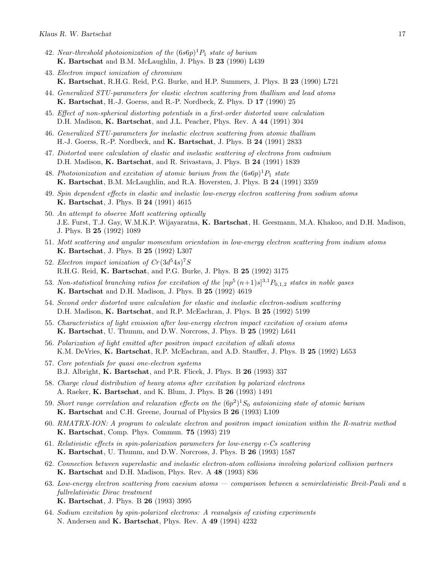- 42. Near-threshold photoionization of the  $(6s6p)^1P_1$  state of barium K. Bartschat and B.M. McLaughlin, J. Phys. B 23 (1990) L439
- 43. Electron impact ionization of chromium K. Bartschat, R.H.G. Reid, P.G. Burke, and H.P. Summers, J. Phys. B 23 (1990) L721
- 44. Generalized STU-parameters for elastic electron scattering from thallium and lead atoms K. Bartschat, H.-J. Goerss, and R.-P. Nordbeck, Z. Phys. D 17 (1990) 25
- 45. Effect of non-spherical distorting potentials in a first-order distorted wave calculation D.H. Madison, K. Bartschat, and J.L. Peacher, Phys. Rev. A 44 (1991) 304
- 46. Generalized STU-parameters for inelastic electron scattering from atomic thallium H.-J. Goerss, R.-P. Nordbeck, and K. Bartschat, J. Phys. B 24 (1991) 2833
- 47. Distorted wave calculation of elastic and inelastic scattering of electrons from cadmium D.H. Madison, K. Bartschat, and R. Srivastava, J. Phys. B 24 (1991) 1839
- 48. Photoionization and excitation of atomic barium from the  $(6s6p)^1P_1$  state K. Bartschat, B.M. McLaughlin, and R.A. Hoversten, J. Phys. B 24 (1991) 3359
- 49. Spin dependent effects in elastic and inelastic low-energy electron scattering from sodium atoms K. Bartschat, J. Phys. B 24 (1991) 4615
- 50. An attempt to observe Mott scattering optically J.E. Furst, T.J. Gay, W.M.K.P. Wijayaratna, K. Bartschat, H. Geesmann, M.A. Khakoo, and D.H. Madison, J. Phys. B 25 (1992) 1089
- 51. Mott scattering and angular momentum orientation in low-energy electron scattering from indium atoms K. Bartschat, J. Phys. B 25 (1992) L307
- 52. Electron impact ionization of  $Cr(3d^54s)^7S$ R.H.G. Reid, K. Bartschat, and P.G. Burke, J. Phys. B 25 (1992) 3175
- 53. Non-statistical branching ratios for excitation of the  $[np^5 (n+1)s]^{3,1}P_{0,1,2}$  states in noble gases K. Bartschat and D.H. Madison, J. Phys. B 25 (1992) 4619
- 54. Second order distorted wave calculation for elastic and inelastic electron-sodium scattering D.H. Madison, K. Bartschat, and R.P. McEachran, J. Phys. B 25 (1992) 5199
- 55. Characteristics of light emission after low-energy electron impact excitation of cesium atoms K. Bartschat, U. Thumm, and D.W. Norcross, J. Phys. B 25 (1992) L641
- 56. Polarization of light emitted after positron impact excitation of alkali atoms K.M. DeVries, K. Bartschat, R.P. McEachran, and A.D. Stauffer, J. Phys. B 25 (1992) L653
- 57. Core potentials for quasi one-electron systems B.J. Albright, K. Bartschat, and P.R. Flicek, J. Phys. B 26 (1993) 337
- 58. Charge cloud distribution of heavy atoms after excitation by polarized electrons A. Raeker, K. Bartschat, and K. Blum, J. Phys. B 26 (1993) 1491
- 59. Short range correlation and relaxation effects on the  $(6p^2)^1S_0$  autoionizing state of atomic barium K. Bartschat and C.H. Greene, Journal of Physics B 26 (1993) L109
- 60. RMATRX-ION: A program to calculate electron and positron impact ionization within the R-matrix method K. Bartschat, Comp. Phys. Commun. 75 (1993) 219
- 61. Relativistic effects in spin-polarization parameters for low-energy e-Cs scattering K. Bartschat, U. Thumm, and D.W. Norcross, J. Phys. B 26 (1993) 1587
- 62. Connection between superelastic and inelastic electron-atom collisions involving polarized collision partners K. Bartschat and D.H. Madison, Phys. Rev. A 48 (1993) 836
- 63. Low-energy electron scattering from caesium atoms comparison between a semirelativistic Breit-Pauli and a fullrelativistic Dirac treatment K. Bartschat, J. Phys. B 26 (1993) 3995
- 64. Sodium excitation by spin-polarized electrons: A reanalysis of existing experiments N. Andersen and K. Bartschat, Phys. Rev. A 49 (1994) 4232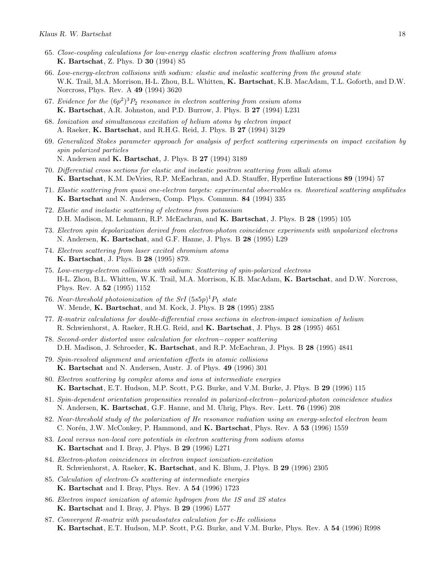- 65. Close-coupling calculations for low-energy elastic electron scattering from thallium atoms K. Bartschat, Z. Phys. D 30 (1994) 85
- 66. Low-energy-electron collisions with sodium: elastic and inelastic scattering from the ground state W.K. Trail, M.A. Morrison, H-L. Zhou, B.L. Whitten, K. Bartschat, K.B. MacAdam, T.L. Goforth, and D.W. Norcross, Phys. Rev. A 49 (1994) 3620
- 67. Evidence for the  $(6p^2)^3P_2$  resonance in electron scattering from cesium atoms K. Bartschat, A.R. Johnston, and P.D. Burrow, J. Phys. B 27 (1994) L231
- 68. Ionization and simultaneous excitation of helium atoms by electron impact A. Raeker, K. Bartschat, and R.H.G. Reid, J. Phys. B 27 (1994) 3129
- 69. Generalized Stokes parameter approach for analysis of perfect scattering experiments on impact excitation by spin polarized particles N. Andersen and K. Bartschat, J. Phys. B 27 (1994) 3189
- 70. Differential cross sections for elastic and inelastic positron scattering from alkali atoms K. Bartschat, K.M. DeVries, R.P. McEachran, and A.D. Stauffer, Hyperfine Interactions 89 (1994) 57
- 71. Elastic scattering from quasi one-electron targets: experimental observables vs. theoretical scattering amplitudes K. Bartschat and N. Andersen, Comp. Phys. Commun. 84 (1994) 335
- 72. Elastic and inelastic scattering of electrons from potassium D.H. Madison, M. Lehmann, R.P. McEachran, and K. Bartschat, J. Phys. B 28 (1995) 105
- 73. Electron spin depolarization derived from electron-photon coincidence experiments with unpolarized electrons N. Andersen, K. Bartschat, and G.F. Hanne, J. Phys. B 28 (1995) L29
- 74. Electron scattering from laser excited chromium atoms K. Bartschat, J. Phys. B 28 (1995) 879.
- 75. Low-energy-electron collisions with sodium: Scattering of spin-polarized electrons H-L. Zhou, B.L. Whitten, W.K. Trail, M.A. Morrison, K.B. MacAdam, K. Bartschat, and D.W. Norcross, Phys. Rev. A 52 (1995) 1152
- 76. Near-threshold photoionization of the SrI  $(5s5p)^1P_1$  state W. Mende, K. Bartschat, and M. Kock, J. Phys. B 28 (1995) 2385
- 77. R-matrix calculations for double-differential cross sections in electron-impact ionization of helium R. Schwienhorst, A. Raeker, R.H.G. Reid, and K. Bartschat, J. Phys. B 28 (1995) 4651
- 78. Second-order distorted wave calculation for electron−copper scattering D.H. Madison, J. Schroeder, K. Bartschat, and R.P. McEachran, J. Phys. B 28 (1995) 4841
- 79. Spin-resolved alignment and orientation effects in atomic collisions K. Bartschat and N. Andersen, Austr. J. of Phys. 49 (1996) 301
- 80. Electron scattering by complex atoms and ions at intermediate energies K. Bartschat, E.T. Hudson, M.P. Scott, P.G. Burke, and V.M. Burke, J. Phys. B 29 (1996) 115
- 81. Spin-dependent orientation propensities revealed in polarized-electron−polarized-photon coincidence studies N. Andersen, K. Bartschat, G.F. Hanne, and M. Uhrig, Phys. Rev. Lett. 76 (1996) 208
- 82. Near-threshold study of the polarization of He resonance radiation using an energy-selected electron beam C. Norén, J.W. McConkey, P. Hammond, and K. Bartschat, Phys. Rev. A 53 (1996) 1559
- 83. Local versus non-local core potentials in electron scattering from sodium atoms K. Bartschat and I. Bray, J. Phys. B 29 (1996) L271
- 84. Electron-photon coincidences in electron impact ionization-excitation R. Schwienhorst, A. Raeker, K. Bartschat, and K. Blum, J. Phys. B 29 (1996) 2305
- 85. Calculation of electron-Cs scattering at intermediate energies K. Bartschat and I. Bray, Phys. Rev. A 54 (1996) 1723
- 86. Electron impact ionization of atomic hydrogen from the 1S and 2S states K. Bartschat and I. Bray, J. Phys. B 29 (1996) L577
- 87. Convergent R-matrix with pseudostates calculation for e-He collisions K. Bartschat, E.T. Hudson, M.P. Scott, P.G. Burke, and V.M. Burke, Phys. Rev. A 54 (1996) R998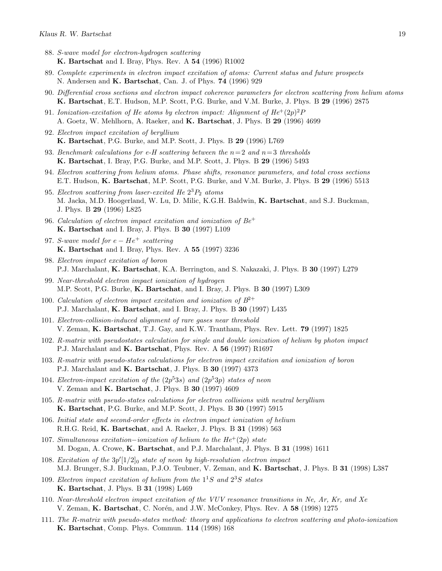- 88. S-wave model for electron-hydrogen scattering K. Bartschat and I. Bray, Phys. Rev. A 54 (1996) R1002
- 89. Complete experiments in electron impact excitation of atoms: Current status and future prospects N. Andersen and **K. Bartschat**, Can. J. of Phys. **74** (1996) 929
- 90. Differential cross sections and electron impact coherence parameters for electron scattering from helium atoms K. Bartschat, E.T. Hudson, M.P. Scott, P.G. Burke, and V.M. Burke, J. Phys. B 29 (1996) 2875
- 91. Ionization-excitation of He atoms by electron impact: Alignment of  $He^{+}(2p)^{2}P$ A. Goetz, W. Mehlhorn, A. Raeker, and K. Bartschat, J. Phys. B 29 (1996) 4699
- 92. Electron impact excitation of beryllium K. Bartschat, P.G. Burke, and M.P. Scott, J. Phys. B 29 (1996) L769
- 93. Benchmark calculations for e-H scattering between the  $n=2$  and  $n=3$  thresholds K. Bartschat, I. Bray, P.G. Burke, and M.P. Scott, J. Phys. B 29 (1996) 5493
- 94. Electron scattering from helium atoms. Phase shifts, resonance parameters, and total cross sections E.T. Hudson, K. Bartschat, M.P. Scott, P.G. Burke, and V.M. Burke, J. Phys. B 29 (1996) 5513
- 95. Electron scattering from laser-excited He  $2^{3}P_{2}$  atoms M. Jacka, M.D. Hoogerland, W. Lu, D. Milic, K.G.H. Baldwin, K. Bartschat, and S.J. Buckman, J. Phys. B 29 (1996) L825
- 96. Calculation of electron impact excitation and ionization of  $Be^+$ K. Bartschat and I. Bray, J. Phys. B 30 (1997) L109
- 97. S-wave model for  $e He^+$  scattering K. Bartschat and I. Bray, Phys. Rev. A 55 (1997) 3236
- 98. Electron impact excitation of boron P.J. Marchalant, K. Bartschat, K.A. Berrington, and S. Nakazaki, J. Phys. B 30 (1997) L279
- 99. Near-threshold electron impact ionization of hydrogen M.P. Scott, P.G. Burke, K. Bartschat, and I. Bray, J. Phys. B 30 (1997) L309
- 100. Calculation of electron impact excitation and ionization of  $B^{2+}$ P.J. Marchalant, K. Bartschat, and I. Bray, J. Phys. B 30 (1997) L435
- 101. Electron-collision-induced alignment of rare gases near threshold V. Zeman, K. Bartschat, T.J. Gay, and K.W. Trantham, Phys. Rev. Lett. 79 (1997) 1825
- 102. R-matrix with pseudostates calculation for single and double ionization of helium by photon impact P.J. Marchalant and K. Bartschat, Phys. Rev. A 56 (1997) R1697
- 103. R-matrix with pseudo-states calculations for electron impact excitation and ionization of boron P.J. Marchalant and K. Bartschat, J. Phys. B 30 (1997) 4373
- 104. Electron-impact excitation of the  $(2p^53s)$  and  $(2p^53p)$  states of neon V. Zeman and K. Bartschat, J. Phys. B 30 (1997) 4609
- 105. R-matrix with pseudo-states calculations for electron collisions with neutral beryllium K. Bartschat, P.G. Burke, and M.P. Scott, J. Phys. B 30 (1997) 5915
- 106. Initial state and second-order effects in electron impact ionization of helium R.H.G. Reid, K. Bartschat, and A. Raeker, J. Phys. B 31 (1998) 563
- 107. Simultaneous excitation–ionization of helium to the  $He^{+}(2p)$  state M. Dogan, A. Crowe, K. Bartschat, and P.J. Marchalant, J. Phys. B 31 (1998) 1611
- 108. Excitation of the  $3p'[1/2]_0$  state of neon by high-resolution electron impact M.J. Brunger, S.J. Buckman, P.J.O. Teubner, V. Zeman, and K. Bartschat, J. Phys. B 31 (1998) L387
- 109. Electron impact excitation of helium from the  $1<sup>1</sup>S$  and  $2<sup>3</sup>S$  states K. Bartschat, J. Phys. B 31 (1998) L469
- 110. Near-threshold electron impact excitation of the VUV resonance transitions in Ne, Ar, Kr, and Xe V. Zeman, K. Bartschat, C. Norén, and J.W. McConkey, Phys. Rev. A 58 (1998) 1275
- 111. The R-matrix with pseudo-states method: theory and applications to electron scattering and photo-ionization K. Bartschat, Comp. Phys. Commun. 114 (1998) 168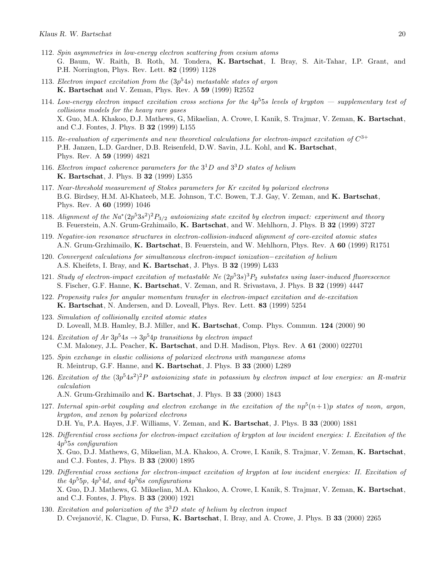- 112. Spin asymmetries in low-energy electron scattering from cesium atoms G. Baum, W. Raith, B. Roth, M. Tondera, K. Bartschat, I. Bray, S. Ait-Tahar, I.P. Grant, and P.H. Norrington, Phys. Rev. Lett. 82 (1999) 1128
- 113. Electron impact excitation from the  $(3p<sup>5</sup>4s)$  metastable states of argon K. Bartschat and V. Zeman, Phys. Rev. A 59 (1999) R2552
- 114. Low-energy electron impact excitation cross sections for the  $4p^55s$  levels of krypton  $-$  supplementary test of collisions models for the heavy rare gases X. Guo, M.A. Khakoo, D.J. Mathews, G, Mikaelian, A. Crowe, I. Kanik, S. Trajmar, V. Zeman, K. Bartschat, and C.J. Fontes, J. Phys. B 32 (1999) L155
- 115. Re-evaluation of experiments and new theoretical calculations for electron-impact excitation of  $C^{3+}$ P.H. Janzen, L.D. Gardner, D.B. Reisenfeld, D.W. Savin, J.L. Kohl, and K. Bartschat, Phys. Rev. A 59 (1999) 4821
- 116. Electron impact coherence parameters for the  $3^1D$  and  $3^3D$  states of helium K. Bartschat, J. Phys. B 32 (1999) L355
- 117. Near-threshold measurement of Stokes parameters for Kr excited by polarized electrons B.G. Birdsey, H.M. Al-Khateeb, M.E. Johnson, T.C. Bowen, T.J. Gay, V. Zeman, and K. Bartschat, Phys. Rev. A 60 (1999) 1046
- 118. Alignment of the  $Na^*(2p^53s^2)^2P_{3/2}$  autoionizing state excited by electron impact: experiment and theory B. Feuerstein, A.N. Grum-Grzhimailo, K. Bartschat, and W. Mehlhorn, J. Phys. B 32 (1999) 3727
- 119. Negative-ion resonance structures in electron-collision-induced alignment of core-excited atomic states A.N. Grum-Grzhimailo, K. Bartschat, B. Feuerstein, and W. Mehlhorn, Phys. Rev. A 60 (1999) R1751
- 120. Convergent calculations for simultaneous electron-impact ionization−excitation of helium A.S. Kheifets, I. Bray, and K. Bartschat, J. Phys. B 32 (1999) L433
- 121. Study of electron-impact excitation of metastable Ne  $(2p^53s)^3P_2$  substates using laser-induced fluorescence S. Fischer, G.F. Hanne, K. Bartschat, V. Zeman, and R. Srivastava, J. Phys. B 32 (1999) 4447
- 122. Propensity rules for angular momentum transfer in electron-impact excitation and de-excitation K. Bartschat, N. Andersen, and D. Loveall, Phys. Rev. Lett. 83 (1999) 5254
- 123. Simulation of collisionally excited atomic states D. Loveall, M.B. Hamley, B.J. Miller, and K. Bartschat, Comp. Phys. Commun. 124 (2000) 90
- 124. Excitation of  $Ar 3p^54s \rightarrow 3p^54p$  transitions by electron impact C.M. Maloney, J.L. Peacher, K. Bartschat, and D.H. Madison, Phys. Rev. A 61 (2000) 022701
- 125. Spin exchange in elastic collisions of polarized electrons with manganese atoms R. Meintrup, G.F. Hanne, and K. Bartschat, J. Phys. B 33 (2000) L289
- 126. Excitation of the  $(3p^54s^2)^2P$  autoionizing state in potassium by electron impact at low energies: an R-matrix calculation A.N. Grum-Grzhimailo and K. Bartschat, J. Phys. B 33 (2000) 1843
- 127. Internal spin-orbit coupling and electron exchange in the excitation of the  $np^5(n+1)p$  states of neon, argon, krypton, and xenon by polarized electrons D.H. Yu, P.A. Hayes, J.F. Williams, V. Zeman, and K. Bartschat, J. Phys. B 33 (2000) 1881
- 128. Differential cross sections for electron-impact excitation of krypton at low incident energies: I. Excitation of the  $4p<sup>5</sup>5s$  configuration X. Guo, D.J. Mathews, G, Mikaelian, M.A. Khakoo, A. Crowe, I. Kanik, S. Trajmar, V. Zeman, K. Bartschat, and C.J. Fontes, J. Phys. B 33 (2000) 1895
- 129. Differential cross sections for electron-impact excitation of krypton at low incident energies: II. Excitation of the  $4p^55p$ ,  $4p^54d$ , and  $4p^56s$  configurations X. Guo, D.J. Mathews, G. Mikaelian, M.A. Khakoo, A. Crowe, I. Kanik, S. Trajmar, V. Zeman, K. Bartschat, and C.J. Fontes, J. Phys. B 33 (2000) 1921
- 130. Excitation and polarization of the  $3^{3}D$  state of helium by electron impact D. Cvejanović, K. Clague, D. Fursa, K. Bartschat, I. Bray, and A. Crowe, J. Phys. B 33 (2000) 2265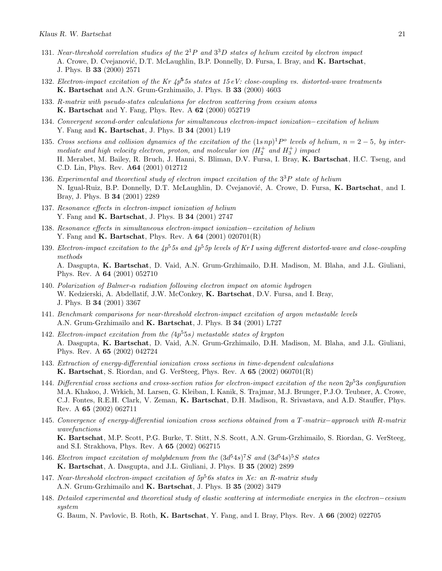- 131. Near-threshold correlation studies of the  $2^1P$  and  $3^3D$  states of helium excited by electron impact A. Crowe, D. Cvejanović, D.T. McLaughlin, B.P. Donnelly, D. Fursa, I. Bray, and K. Bartschat, J. Phys. B 33 (2000) 2571
- 132. Electron-impact excitation of the Kr  $4p^5$ 5s states at 15 eV: close-coupling vs. distorted-wave treatments K. Bartschat and A.N. Grum-Grzhimailo, J. Phys. B 33 (2000) 4603
- 133. R-matrix with pseudo-states calculations for electron scattering from cesium atoms K. Bartschat and Y. Fang, Phys. Rev. A 62 (2000) 052719
- 134. Convergent second-order calculations for simultaneous electron-impact ionization−excitation of helium Y. Fang and K. Bartschat, J. Phys. B 34 (2001) L19
- 135. Cross sections and collision dynamics of the excitation of the  $(1s np)^1 P^o$  levels of helium,  $n = 2-5$ , by intermediate and high velocity electron, proton, and molecular ion  $(H_2^+$  and  $H_3^+)$  impact H. Merabet, M. Bailey, R. Bruch, J. Hanni, S. Bliman, D.V. Fursa, I. Bray, K. Bartschat, H.C. Tseng, and C.D. Lin, Phys. Rev. A64 (2001) 012712
- 136. Experimental and theoretical study of electron impact excitation of the  $3^{3}P$  state of helium N. Igual-Ruiz, B.P. Donnelly, D.T. McLaughlin, D. Cvejanović, A. Crowe, D. Fursa, K. Bartschat, and I. Bray, J. Phys. B 34 (2001) 2289
- 137. Resonance effects in electron-impact ionization of helium Y. Fang and **K. Bartschat**, J. Phys. B **34** (2001) 2747
- 138. Resonance effects in simultaneous electron-impact ionization−excitation of helium Y. Fang and K. Bartschat, Phys. Rev. A 64 (2001) 020701(R)
- 139. Electron-impact excitation to the  $4p^55s$  and  $4p^55p$  levels of Kr I using different distorted-wave and close-coupling methods A. Dasgupta, K. Bartschat, D. Vaid, A.N. Grum-Grzhimailo, D.H. Madison, M. Blaha, and J.L. Giuliani, Phys. Rev. A 64 (2001) 052710
- 140. Polarization of Balmer- $\alpha$  radiation following electron impact on atomic hydrogen W. Kedzierski, A. Abdellatif, J.W. McConkey, K. Bartschat, D.V. Fursa, and I. Bray, J. Phys. B 34 (2001) 3367
- 141. Benchmark comparisons for near-threshold electron-impact excitation of argon metastable levels A.N. Grum-Grzhimailo and K. Bartschat, J. Phys. B 34 (2001) L727
- 142. Electron-impact excitation from the (4p <sup>5</sup>5s) metastable states of krypton A. Dasgupta, K. Bartschat, D. Vaid, A.N. Grum-Grzhimailo, D.H. Madison, M. Blaha, and J.L. Giuliani, Phys. Rev. A 65 (2002) 042724
- 143. Extraction of energy-differential ionization cross sections in time-dependent calculations K. Bartschat, S. Riordan, and G. VerSteeg, Phys. Rev. A 65 (2002) 060701(R)
- 144. Differential cross sections and cross-section ratios for electron-impact excitation of the neon  $2p^53s$  configuration M.A. Khakoo, J. Wrkich, M. Larsen, G. Kleiban, I. Kanik, S. Trajmar, M.J. Brunger, P.J.O. Teubner, A. Crowe, C.J. Fontes, R.E.H. Clark, V. Zeman, K. Bartschat, D.H. Madison, R. Srivastava, and A.D. Stauffer, Phys. Rev. A 65 (2002) 062711
- 145. Convergence of energy-differential ionization cross sections obtained from a T -matrix−approach with R-matrix wavefunctions K. Bartschat, M.P. Scott, P.G. Burke, T. Stitt, N.S. Scott, A.N. Grum-Grzhimailo, S. Riordan, G. VerSteeg, and S.I. Strakhova, Phys. Rev. A 65 (2002) 062715
- 146. Electron impact excitation of molybdenum from the  $(3d^54s)^7S$  and  $(3d^54s)^5S$  states K. Bartschat, A. Dasgupta, and J.L. Giuliani, J. Phys. B 35 (2002) 2899
- 147. Near-threshold electron-impact excitation of  $5p<sup>5</sup>$  6s states in Xe: an R-matrix study A.N. Grum-Grzhimailo and K. Bartschat, J. Phys. B 35 (2002) 3479
- 148. Detailed experimental and theoretical study of elastic scattering at intermediate energies in the electron−cesium system

G. Baum, N. Pavlovic, B. Roth, K. Bartschat, Y. Fang, and I. Bray, Phys. Rev. A 66 (2002) 022705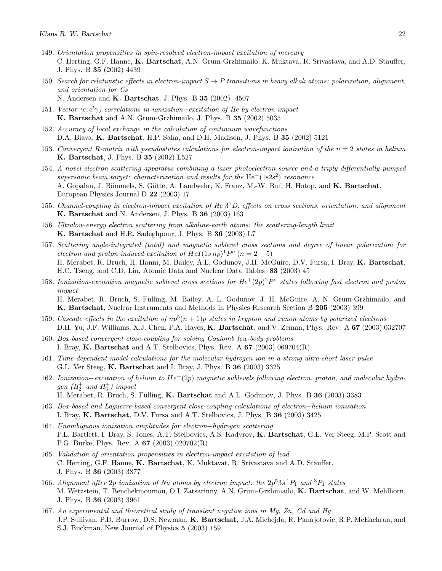- 149. Orientation propensities in spin-resolved electron-impact excitation of mercury C. Herting, G.F. Hanne, K. Bartschat, A.N. Grum-Grzhimailo, K. Muktava, R. Srivastava, and A.D. Stauffer, J. Phys. B 35 (2002) 4439
- 150. Search for relativistic effects in electron-impact  $S \to P$  transitions in heavy alkali atoms: polarization, alignment, and orientation for Cs N. Andersen and K. Bartschat, J. Phys. B 35 (2002) 4507
- 151. Vector  $(e, e' \gamma)$  correlations in ionization–excitation of He by electron impact K. Bartschat and A.N. Grum-Grzhimailo, J. Phys. B 35 (2002) 5035
- 152. Accuracy of local exchange in the calculation of continuum wavefunctions D.A. Biava, K. Bartschat, H.P. Saha, and D.H. Madison, J. Phys. B 35 (2002) 5121
- 153. Convergent R-matrix with pseudostates calculations for electron-impact ionization of the  $n = 2$  states in helium K. Bartschat, J. Phys. B 35 (2002) L527
- 154. A novel electron scattering apparatus combining a laser photoelectron source and a triply differentially pumped supersonic beam target: characterization and results for the He<sup>-</sup>(1s2s<sup>2</sup>) resonance A. Gopalan, J. Bömmels, S. Götte, A. Landwehr, K. Franz, M.-W. Ruf, H. Hotop, and K. Bartschat, European Physics Journal D 22 (2003) 17
- 155. Channel-coupling in electron-impact excitation of He  $3^1D$ : effects on cross sections, orientation, and alignment K. Bartschat and N. Andersen, J. Phys. B 36 (2003) 163
- 156. Ultralow-energy electron scattering from alkaline-earth atoms: the scattering-length limit K. Bartschat and H.R. Sadeghpour, J. Phys. B 36 (2003) L7
- 157. Scattering angle-integrated (total) and magnetic sublevel cross sections and degree of linear polarization for electron and proton induced excitation of  $HeI(1snp)^1P^{\circ}(n=2-5)$ H. Merabet, R. Bruch, H. Hanni, M. Bailey, A.L. Godunov, J.H. McGuire, D.V. Fursa, I. Bray, K. Bartschat, H.C. Tseng, and C.D. Lin, Atomic Data and Nuclear Data Tables 83 (2003) 45
- 158. Ionization-excitation magnetic sublevel cross sections for  $He^+(2p)^2P^{\circ}$  states following fast electron and proton impact H. Merabet, R. Bruch, S. Fülling, M. Bailey, A. L. Godunov, J. H. McGuire, A. N. Grum-Grzhimailo, and K. Bartschat, Nuclear Instruments and Methods in Physics Research Section B 205 (2003) 399
- 159. Cascade effects in the excitation of  $np^5(n+1)p$  states in krypton and xenon atoms by polarized electrons D.H. Yu, J.F. Williams, X.J. Chen, P.A. Hayes, K. Bartschat, and V. Zeman, Phys. Rev. A 67 (2003) 032707
- 160. Box-based convergent close-coupling for solving Coulomb few-body problems I. Bray, K. Bartschat and A.T. Stelbovics, Phys. Rev. A  $67$  (2003) 060704(R)
- 161. Time-dependent model calculations for the molecular hydrogen ion in a strong ultra-short laser pulse G.L. Ver Steeg, K. Bartschat and I. Bray, J. Phys. B 36 (2003) 3325
- 162. Ionization−excitation of helium to He<sup>+</sup>(2p) magnetic sublevels following electron, proton, and molecular hydrogen  $(H_2^+$  and  $H_3^+)$  impact H. Merabet, R. Bruch, S. Fülling, K. Bartschat and A.L. Godunov, J. Phys. B 36 (2003) 3383
	-
- 163. Box-based and Laguerre-based convergent close-coupling calculations of electron−helium ionisation I. Bray, K. Bartschat, D.V. Fursa and A.T. Stelbovics, J. Phys. B 36 (2003) 3425
- 164. Unambiguous ionization amplitudes for electron−hydrogen scattering P.L. Bartlett, I. Bray, S. Jones, A.T. Stelbovics, A.S. Kadyrov, K. Bartschat, G.L. Ver Steeg, M.P. Scott and P.G. Burke, Phys. Rev. A 67 (2003) 020702(R)
- 165. Validation of orientation propensities in electron-impact excitation of lead C. Herting, G.F. Hanne, K. Bartschat, K. Muktavat, R. Srivastava and A.D. Stauffer, J. Phys. B 36 (2003) 3877
- 166. Alignment after 2p ionization of Na atoms by electron impact: the  $2p^53s^1P_1$  and  ${}^3P_1$  states M. Wetzstein, T. Benchekmoumou, O.I. Zatsarinny, A.N. Grum-Grzhimailo, K. Bartschat, and W. Mehlhorn, J. Phys. B 36 (2003) 3961
- 167. An experimental and theoretical study of transient negative ions in Mg, Zn, Cd and Hg J.P. Sullivan, P.D. Burrow, D.S. Newman, K. Bartschat, J.A. Michejda, R. Panajotovic, R.P. McEachran, and S.J. Buckman, New Journal of Physics 5 (2003) 159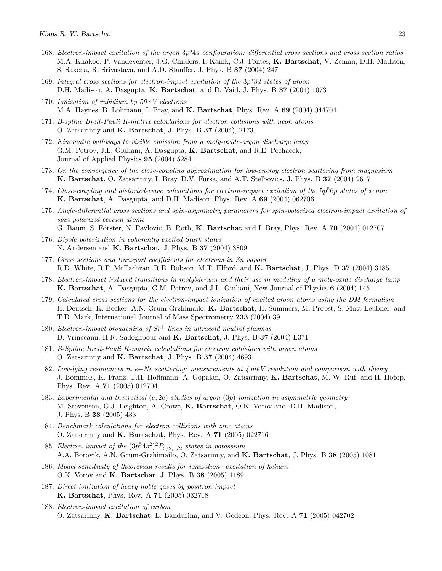- 168. Electron-impact excitation of the argon  $3p^54s$  configuration: differential cross sections and cross section ratios M.A. Khakoo, P. Vandeventer, J.G. Childers, I. Kanik, C.J. Fontes, K. Bartschat, V. Zeman, D.H. Madison, S. Saxena, R. Srivastava, and A.D. Stauffer, J. Phys. B 37 (2004) 247
- 169. Integral cross sections for electron-impact excitation of the  $3p^53d$  states of argon D.H. Madison, A. Dasgupta, K. Bartschat, and D. Vaid, J. Phys. B 37 (2004) 1073
- 170. Ionization of rubidium by 50 eV electrons M.A. Haynes, B. Lohmann, I. Bray, and K. Bartschat, Phys. Rev. A 69 (2004) 044704
- 171. B-spline Breit-Pauli R-matrix calculations for electron collisions with neon atoms O. Zatsarinny and K. Bartschat, J. Phys. B 37 (2004), 2173.
- 172. Kinematic pathways to visible emission from a moly-oxide-argon discharge lamp G.M. Petrov, J.L. Giuliani, A. Dasgupta, K. Bartschat, and R.E. Pechacek, Journal of Applied Physics 95 (2004) 5284
- 173. On the convergence of the close-coupling approximation for low-energy electron scattering from magnesium K. Bartschat, O. Zatsarinny, I. Bray, D.V. Fursa, and A.T. Stelbovics, J. Phys. B 37 (2004) 2617
- 174. Close-coupling and distorted-wave calculations for electron-impact excitation of the  $5p^56p$  states of xenon K. Bartschat, A. Dasgupta, and D.H. Madison, Phys. Rev. A 69 (2004) 062706
- 175. Angle-differential cross sections and spin-asymmetry parameters for spin-polarized electron-impact excitation of spin-polarized cesium atoms G. Baum, S. Förster, N. Pavlovic, B. Roth, K. Bartschat and I. Bray, Phys. Rev. A  $70$  (2004) 012707
- 176. Dipole polarization in coherently excited Stark states N. Andersen and K. Bartschat, J. Phys. B 37 (2004) 3809
- 177. Cross sections and transport coefficients for electrons in Zn vapour R.D. White, R.P. McEachran, R.E. Robson, M.T. Elford, and K. Bartschat, J. Phys. D 37 (2004) 3185
- 178. Electron-impact induced transitions in molybdenum and their use in modeling of a moly-oxide discharge lamp K. Bartschat, A. Dasgupta, G.M. Petrov, and J.L. Giuliani, New Journal of Physics 6 (2004) 145
- 179. Calculated cross sections for the electron-impact ionization of excited argon atoms using the DM formalism H. Deutsch, K. Becker, A.N. Grum-Grzhimailo, K. Bartschat, H. Summers, M. Probst, S. Matt-Leubner, and T.D. Märk, International Journal of Mass Spectrometry 233 (2004) 39
- 180. Electron-impact broadening of  $Sr^+$  lines in ultracold neutral plasmas D. Vrinceanu, H.R. Sadeghpour and K. Bartschat, J. Phys. B 37 (2004) L371
- 181. B-Spline Breit-Pauli R-matrix calculations for electron collisions with argon atoms O. Zatsarinny and K. Bartschat, J. Phys. B 37 (2004) 4693
- 182. Low-lying resonances in e−Ne scattering: measurements at 4 meV resolution and comparison with theory J. Bömmels, K. Franz, T.H. Hoffmann, A. Gopalan, O. Zatsarinny, K. Bartschat, M.-W. Ruf, and H. Hotop, Phys. Rev. A 71 (2005) 012704
- 183. Experimental and theoretical (e, 2e) studies of argon (3p) ionization in asymmetric geometry M. Stevenson, G.J. Leighton, A. Crowe, K. Bartschat, O.K. Vorov and, D.H. Madison, J. Phys. B 38 (2005) 433
- 184. Benchmark calculations for electron collisions with zinc atoms O. Zatsarinny and K. Bartschat, Phys. Rev. A 71 (2005) 022716
- 185. Electron-impact of the  $(3p^54s^2)^2P_{3/2,1/2}$  states in potassium A.A. Borovik, A.N. Grum-Grzhimailo, O. Zatsarinny, and K. Bartschat, J. Phys. B 38 (2005) 1081
- 186. Model sensitivity of theoretical results for ionization−excitation of helium O.K. Vorov and K. Bartschat, J. Phys. B 38 (2005) 1189
- 187. Direct ionization of heavy noble gases by positron impact K. Bartschat, Phys. Rev. A 71 (2005) 032718
- 188. Electron-impact excitation of carbon O. Zatsarinny, K. Bartschat, L. Bandurina, and V. Gedeon, Phys. Rev. A 71 (2005) 042702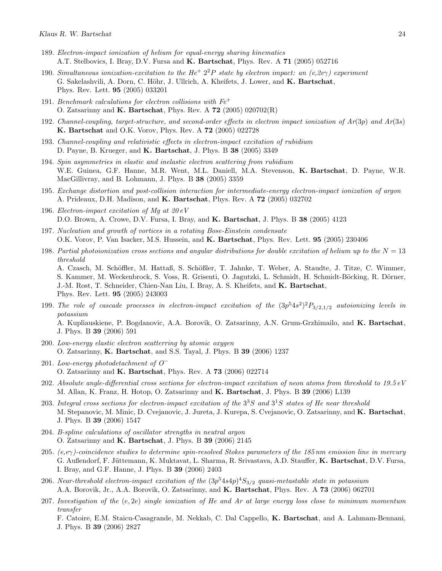- 189. Electron-impact ionization of helium for equal-energy sharing kinematics A.T. Stelbovics, I. Bray, D.V. Fursa and K. Bartschat, Phys. Rev. A 71 (2005) 052716
- 190. Simultaneous ionization-excitation to the He<sup>+</sup>  $2<sup>2</sup>P$  state by electron impact: an (e,2e $\gamma$ ) experiment G. Sakelashvili, A. Dorn, C. Höhr, J. Ullrich, A. Kheifets, J. Lower, and K. Bartschat, Phys. Rev. Lett. 95 (2005) 033201
- 191. Benchmark calculations for electron collisions with  $Fe<sup>+</sup>$ O. Zatsarinny and  $K$ . Bartschat, Phys. Rev. A  $72$  (2005) 020702(R)
- 192. Channel-coupling, target-structure, and second-order effects in electron impact ionization of  $Ar(3p)$  and  $Ar(3s)$ K. Bartschat and O.K. Vorov, Phys. Rev. A 72 (2005) 022728
- 193. Channel-coupling and relativistic effects in electron-impact excitation of rubidium D. Payne, B. Krueger, and K. Bartschat, J. Phys. B 38 (2005) 3349
- 194. Spin asymmetries in elastic and inelastic electron scattering from rubidium W.E. Guinea, G.F. Hanne, M.R. Went, M.L. Daniell, M.A. Stevenson, K. Bartschat, D. Payne, W.R. MacGillivray, and B. Lohmann, J. Phys. B 38 (2005) 3359
- 195. Exchange distortion and post-collision interaction for intermediate-energy electron-impact ionization of argon A. Prideaux, D.H. Madison, and K. Bartschat, Phys. Rev. A 72 (2005) 032702
- 196. Electron-impact excitation of Mg at  $20 eV$ D.O. Brown, A. Crowe, D.V. Fursa, I. Bray, and K. Bartschat, J. Phys. B 38 (2005) 4123
- 197. Nucleation and growth of vortices in a rotating Bose-Einstein condensate O.K. Vorov, P. Van Isacker, M.S. Hussein, and K. Bartschat, Phys. Rev. Lett. 95 (2005) 230406
- 198. Partial photoionization cross sections and angular distributions for double excitation of helium up to the  $N = 13$ threshold A. Czasch, M. Schöffler, M. Hattaß, S. Schößler, T. Jahnke, T. Weber, A. Staudte, J. Titze, C. Wimmer, S. Kammer, M. Weckenbrock, S. Voss, R. Grisenti, O. Jagutzki, L. Schmidt, H. Schmidt-Böcking, R. Dörner, J.-M. Rost, T. Schneider, Chien-Nan Liu, I. Bray, A. S. Kheifets, and K. Bartschat,

Phys. Rev. Lett. 95 (2005) 243003

- 199. The role of cascade processes in electron-impact excitation of the  $(3p^54s^2)^2P_{3/2,1/2}$  autoionizing levels in potassium A. Kupliauskiene, P. Bogdanovic, A.A. Borovik, O. Zatsarinny, A.N. Grum-Grzhimailo, and K. Bartschat, J. Phys. B 39 (2006) 591
- 200. Low-energy elastic electron scatterring by atomic oxygen O. Zatsarinny, K. Bartschat, and S.S. Tayal, J. Phys. B 39 (2006) 1237
- 201. Low-energy photodetachment of O<sup>−</sup> O. Zatsarinny and K. Bartschat, Phys. Rev. A 73 (2006) 022714
- 202. Absolute angle-differential cross sections for electron-impact excitation of neon atoms from threshold to 19.5 eV M. Allan, K. Franz, H. Hotop, O. Zatsarinny and **K. Bartschat**, J. Phys. B 39 (2006) L139
- 203. Integral cross sections for electron-impact excitation of the  $3<sup>3</sup>S$  and  $3<sup>1</sup>S$  states of He near threshold M. Stepanovic, M. Minic, D. Cvejanovic, J. Jureta, J. Kurepa, S. Cvejanovic, O. Zatsarinny, and K. Bartschat, J. Phys. B 39 (2006) 1547
- 204. B-spline calculations of oscillator strengths in neutral argon O. Zatsarinny and K. Bartschat, J. Phys. B 39 (2006) 2145
- 205.  $(e, e\gamma)$ -coincidence studies to determine spin-resolved Stokes parameters of the 185 nm emission line in mercury G. Außendorf, F. Jüttemann, K. Muktavat, L. Sharma, R. Srivastava, A.D. Stauffer, K. Bartschat, D.V. Fursa, I. Bray, and G.F. Hanne, J. Phys. B 39 (2006) 2403
- 206. Near-threshold electron-impact excitation of the  $(3p^54s4p)^4S_{3/2}$  quasi-metastable state in potassium A.A. Borovik, Jr., A.A. Borovik, O. Zatsarinny, and K. Bartschat, Phys. Rev. A 73 (2006) 062701
- 207. Investigation of the (e, 2e) single ionization of He and Ar at large energy loss close to minimum momentum transfer

F. Catoire, E.M. Staicu-Casagrande, M. Nekkab, C. Dal Cappello, K. Bartschat, and A. Lahmam-Bennani, J. Phys. B 39 (2006) 2827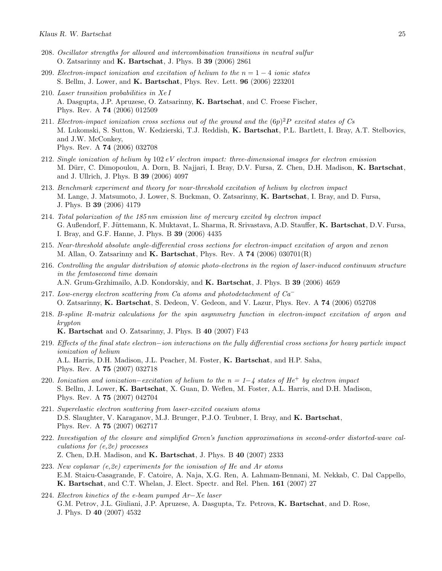- 208. Oscillator strengths for allowed and intercombination transitions in neutral sulfur O. Zatsarinny and K. Bartschat, J. Phys. B 39 (2006) 2861
- 209. Electron-impact ionization and excitation of helium to the  $n = 1 4$  ionic states S. Bellm, J. Lower, and K. Bartschat, Phys. Rev. Lett. 96 (2006) 223201
- 210. Laser transition probabilities in Xe I A. Dasgupta, J.P. Apruzese, O. Zatsarinny, K. Bartschat, and C. Froese Fischer, Phys. Rev. A 74 (2006) 012509
- 211. Electron-impact ionization cross sections out of the ground and the  $(6p)^2P$  excited states of Cs M. Lukomski, S. Sutton, W. Kedzierski, T.J. Reddish, K. Bartschat, P.L. Bartlett, I. Bray, A.T. Stelbovics, and J.W. McConkey, Phys. Rev. A 74 (2006) 032708
- 212. Single ionization of helium by 102 eV electron impact: three-dimensional images for electron emission M. Dürr, C. Dimopoulou, A. Dorn, B. Najjari, I. Bray, D.V. Fursa, Z. Chen, D.H. Madison, K. Bartschat, and J. Ullrich, J. Phys. B 39 (2006) 4097
- 213. Benchmark experiment and theory for near-threshold excitation of helium by electron impact M. Lange, J. Matsumoto, J. Lower, S. Buckman, O. Zatsarinny, K. Bartschat, I. Bray, and D. Fursa, J. Phys. B 39 (2006) 4179
- 214. Total polarization of the 185 nm emission line of mercury excited by electron impact G. Außendorf, F. Jüttemann, K. Muktavat, L. Sharma, R. Srivastava, A.D. Stauffer, K. Bartschat, D.V. Fursa, I. Bray, and G.F. Hanne, J. Phys. B 39 (2006) 4435
- 215. Near-threshold absolute angle-differential cross sections for electron-impact excitation of argon and xenon M. Allan, O. Zatsarinny and  $\mathbf{K}$ . Bartschat, Phys. Rev. A 74 (2006) 030701(R)
- 216. Controlling the angular distribution of atomic photo-electrons in the region of laser-induced continuum structure in the femtosecond time domain A.N. Grum-Grzhimailo, A.D. Kondorskiy, and K. Bartschat, J. Phys. B 39 (2006) 4659
- 217. Low-energy electron scattering from Ca atoms and photodetachment of  $Ca<sup>-</sup>$ O. Zatsarinny, K. Bartschat, S. Dedeon, V. Gedeon, and V. Lazur, Phys. Rev. A 74 (2006) 052708
- 218. B-spline R-matrix calculations for the spin asymmetry function in electron-impact excitation of argon and krypton

K. Bartschat and O. Zatsarinny, J. Phys. B 40 (2007) F43

- 219. Effects of the final state electron−ion interactions on the fully differential cross sections for heavy particle impact ionization of helium A.L. Harris, D.H. Madison, J.L. Peacher, M. Foster, K. Bartschat, and H.P. Saha, Phys. Rev. A 75 (2007) 032718
- 220. Ionization and ionization–excitation of helium to the  $n = 1-\frac{1}{4}$  states of He<sup>+</sup> by electron impact S. Bellm, J. Lower, K. Bartschat, X. Guan, D. Weflen, M. Foster, A.L. Harris, and D.H. Madison, Phys. Rev. A 75 (2007) 042704
- 221. Superelastic electron scattering from laser-excited caesium atoms D.S. Slaughter, V. Karaganov, M.J. Brunger, P.J.O. Teubner, I. Bray, and K. Bartschat, Phys. Rev. A 75 (2007) 062717
- 222. Investigation of the closure and simplified Green's function approximations in second-order distorted-wave calculations for (e,2e) processes Z. Chen, D.H. Madison, and K. Bartschat, J. Phys. B 40 (2007) 2333
- 223. New coplanar  $(e, 2e)$  experiments for the ionisation of He and Ar atoms E.M. Staicu-Casagrande, F. Catoire, A. Naja, X.G. Ren, A. Lahmam-Bennani, M. Nekkab, C. Dal Cappello, K. Bartschat, and C.T. Whelan, J. Elect. Spectr. and Rel. Phen. 161 (2007) 27
- 224. Electron kinetics of the e-beam pumped Ar−Xe laser G.M. Petrov, J.L. Giuliani, J.P. Apruzese, A. Dasgupta, Tz. Petrova, K. Bartschat, and D. Rose, J. Phys. D 40 (2007) 4532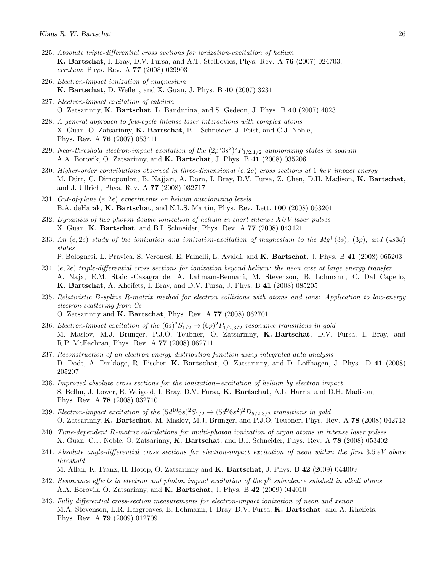- 225. Absolute triple-differential cross sections for ionization-excitation of helium K. Bartschat, I. Bray, D.V. Fursa, and A.T. Stelbovics, Phys. Rev. A 76 (2007) 024703; erratum: Phys. Rev. A 77 (2008) 029903
- 226. Electron-impact ionization of magnesium K. Bartschat, D. Weflen, and X. Guan, J. Phys. B 40 (2007) 3231
- 227. Electron-impact excitation of calcium O. Zatsarinny, K. Bartschat, L. Bandurina, and S. Gedeon, J. Phys. B 40 (2007) 4023
- 228. A general approach to few-cycle intense laser interactions with complex atoms X. Guan, O. Zatsarinny, K. Bartschat, B.I. Schneider, J. Feist, and C.J. Noble, Phys. Rev. A 76 (2007) 053411
- 229. Near-threshold electron-impact excitation of the  $(2p^53s^2)^2P_{3/2,1/2}$  autoionizing states in sodium A.A. Borovik, O. Zatsarinny, and K. Bartschat, J. Phys. B 41 (2008) 035206
- 230. Higher-order contributions observed in three-dimensional  $(e, 2e)$  cross sections at 1 keV impact energy M. Dürr, C. Dimopoulou, B. Najjari, A. Dorn, I. Bray, D.V. Fursa, Z. Chen, D.H. Madison, K. Bartschat, and J. Ullrich, Phys. Rev. A 77 (2008) 032717
- 231. Out-of-plane (e, 2e) experiments on helium autoionizing levels B.A. deHarak, K. Bartschat, and N.L.S. Martin, Phys. Rev. Lett. 100 (2008) 063201
- 232. Dynamics of two-photon double ionization of helium in short intense XUV laser pulses X. Guan, K. Bartschat, and B.I. Schneider, Phys. Rev. A 77 (2008) 043421
- 233. An (e, 2e) study of the ionization and ionization-excitation of magnesium to the  $Mq^+(3s)$ , (3p), and (4s3d) states P. Bolognesi, L. Pravica, S. Veronesi, E. Fainelli, L. Avaldi, and K. Bartschat, J. Phys. B 41 (2008) 065203
- 234. (e, 2e) triple-differential cross sections for ionization beyond helium: the neon case at large energy transfer A. Naja, E.M. Staicu-Casagrande, A. Lahmam-Bennani, M. Stevenson, B. Lohmann, C. Dal Capello, K. Bartschat, A. Kheifets, I. Bray, and D.V. Fursa, J. Phys. B 41 (2008) 085205
- 235. Relativistic B-spline R-matrix method for electron collisions with atoms and ions: Application to low-energy electron scattering from Cs O. Zatsarinny and K. Bartschat, Phys. Rev. A 77 (2008) 062701
- 236. Electron-impact excitation of the  $(6s)^2S_{1/2} \rightarrow (6p)^2P_{1/2,3/2}$  resonance transitions in gold M. Maslov, M.J. Brunger, P.J.O. Teubner, O. Zatsarinny, K. Bartschat, D.V. Fursa, I. Bray, and R.P. McEachran, Phys. Rev. A 77 (2008) 062711
- 237. Reconstruction of an electron energy distribution function using integrated data analysis D. Dodt, A. Dinklage, R. Fischer, K. Bartschat, O. Zatsarinny, and D. Loffhagen, J. Phys. D 41 (2008) 205207
- 238. Improved absolute cross sections for the ionization–excitation of helium by electron impact S. Bellm, J. Lower, E. Weigold, I. Bray, D.V. Fursa, K. Bartschat, A.L. Harris, and D.H. Madison, Phys. Rev. A 78 (2008) 032710
- 239. Electron-impact excitation of the  $(5d^{10}6s)^{2}S_{1/2} \rightarrow (5d^{9}6s^{2})^{2}D_{5/2,3/2}$  transitions in gold O. Zatsarinny, K. Bartschat, M. Maslov, M.J. Brunger, and P.J.O. Teubner, Phys. Rev. A 78 (2008) 042713
- 240. Time-dependent R-matrix calculations for multi-photon ionization of argon atoms in intense laser pulses X. Guan, C.J. Noble, O. Zatsarinny, K. Bartschat, and B.I. Schneider, Phys. Rev. A 78 (2008) 053402
- 241. Absolute angle-differential cross sections for electron-impact excitation of neon within the first  $3.5 \text{ eV}$  above threshold M. Allan, K. Franz, H. Hotop, O. Zatsarinny and K. Bartschat, J. Phys. B 42 (2009) 044009
- 242. Resonance effects in electron and photon impact excitation of the  $p^6$  subvalence subshell in alkali atoms A.A. Borovik, O. Zatsarinny, and **K. Bartschat**, J. Phys. B 42 (2009) 044010
- 243. Fully differential cross-section measurements for electron-impact ionization of neon and xenon M.A. Stevenson, L.R. Hargreaves, B. Lohmann, I. Bray, D.V. Fursa, K. Bartschat, and A. Kheifets, Phys. Rev. A 79 (2009) 012709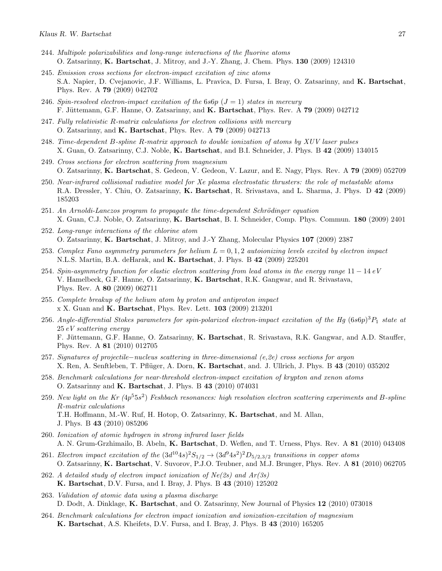- 244. Multipole polarizabilities and long-range interactions of the fluorine atoms O. Zatsarinny, K. Bartschat, J. Mitroy, and J.-Y. Zhang, J. Chem. Phys. 130 (2009) 124310
- 245. Emission cross sections for electron-impact excitation of zinc atoms S.A. Napier, D. Cvejanovic, J.F. Williams, L. Pravica, D. Fursa, I. Bray, O. Zatsarinny, and K. Bartschat, Phys. Rev. A 79 (2009) 042702
- 246. Spin-resolved electron-impact excitation of the 6s6p  $(J = 1)$  states in mercury F. Jüttemann, G.F. Hanne, O. Zatsarinny, and K. Bartschat, Phys. Rev. A 79 (2009) 042712
- 247. Fully relativistic R-matrix calculations for electron collisions with mercury O. Zatsarinny, and K. Bartschat, Phys. Rev. A 79 (2009) 042713
- 248. Time-dependent B-spline R-matrix approach to double ionization of atoms by XUV laser pulses X. Guan, O. Zatsarinny, C.J. Noble, K. Bartschat, and B.I. Schneider, J. Phys. B 42 (2009) 134015
- 249. Cross sections for electron scattering from magnesium O. Zatsarinny, K. Bartschat, S. Gedeon, V. Gedeon, V. Lazur, and E. Nagy, Phys. Rev. A 79 (2009) 052709
- 250. Near-infrared collisional radiative model for Xe plasma electrostatic thrusters: the role of metastable atoms R.A. Dressler, Y. Chiu, O. Zatsarinny, K. Bartschat, R. Srivastava, and L. Sharma, J. Phys. D 42 (2009) 185203
- $251.$  An Arnoldi-Lanczos program to propagate the time-dependent Schrödinger equation X. Guan, C.J. Noble, O. Zatsarinny, K. Bartschat, B. I. Schneider, Comp. Phys. Commun. 180 (2009) 2401
- 252. Long-range interactions of the chlorine atom O. Zatsarinny, K. Bartschat, J. Mitroy, and J.-Y Zhang, Molecular Physics 107 (2009) 2387
- 253. Complex Fano asymmetry parameters for helium  $L = 0.1, 2$  autoionizing levels excited by electron impact N.L.S. Martin, B.A. deHarak, and K. Bartschat, J. Phys. B 42 (2009) 225201
- 254. Spin-asymmetry function for elastic electron scattering from lead atoms in the energy range 11 − 14 eV V. Hamelbeck, G.F. Hanne, O. Zatsarinny, K. Bartschat, R.K. Gangwar, and R. Srivastava, Phys. Rev. A 80 (2009) 062711
- 255. Complete breakup of the helium atom by proton and antiproton impact x X. Guan and K. Bartschat, Phys. Rev. Lett. 103 (2009) 213201
- 256. Angle-differential Stokes parameters for spin-polarized electron-impact excitation of the Hg  $(6s6p)^3P_1$  state at 25 eV scattering energy F. Jüttemann, G.F. Hanne, O. Zatsarinny, K. Bartschat, R. Srivastava, R.K. Gangwar, and A.D. Stauffer, Phys. Rev. A 81 (2010) 012705
- 257. Signatures of projectile−nucleus scattering in three-dimensional (e,2e) cross sections for argon X. Ren, A. Senftleben, T. Pflüger, A. Dorn, K. Bartschat, and. J. Ullrich, J. Phys. B 43 (2010) 035202
- 258. Benchmark calculations for near-threshold electron-impact excitation of krypton and xenon atoms O. Zatsarinny and K. Bartschat, J. Phys. B 43 (2010) 074031
- 259. New light on the Kr  $(4p^55s^2)$  Feshbach resonances: high resolution electron scattering experiments and B-spline R-matrix calculations T.H. Hoffmann, M.-W. Ruf, H. Hotop, O. Zatsarinny, K. Bartschat, and M. Allan, J. Phys. B 43 (2010) 085206
- 260. Ionization of atomic hydrogen in strong infrared laser fields A. N. Grum-Grzhimailo, B. Abeln, K. Bartschat, D. Weflen, and T. Urness, Phys. Rev. A 81 (2010) 043408
- 261. Electron impact excitation of the  $(3d^{10}4s)^2S_{1/2} \rightarrow (3d^94s^2)^2D_{5/2,3/2}$  transitions in copper atoms O. Zatsarinny, K. Bartschat, V. Suvorov, P.J.O. Teubner, and M.J. Brunger, Phys. Rev. A 81 (2010) 062705
- 262. A detailed study of electron impact ionization of  $Ne(2s)$  and  $Ar(3s)$ K. Bartschat, D.V. Fursa, and I. Bray, J. Phys. B 43 (2010) 125202
- 263. Validation of atomic data using a plasma discharge D. Dodt, A. Dinklage, K. Bartschat, and O. Zatsarinny, New Journal of Physics 12 (2010) 073018
- 264. Benchmark calculations for electron impact ionization and ionization-excitation of magnesium K. Bartschat, A.S. Kheifets, D.V. Fursa, and I. Bray, J. Phys. B 43 (2010) 165205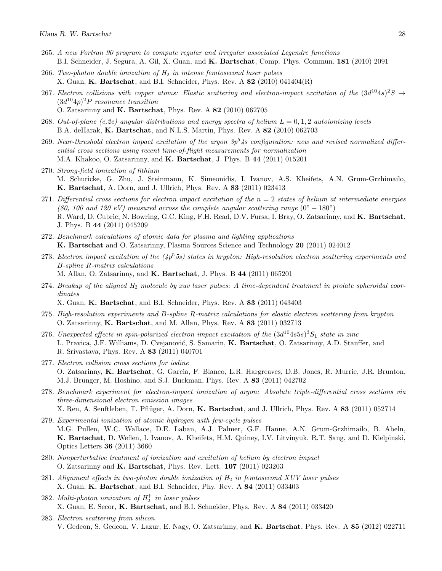- 265. A new Fortran 90 program to compute regular and irregular associated Legendre functions B.I. Schneider, J. Segura, A. Gil, X. Guan, and K. Bartschat, Comp. Phys. Commun. 181 (2010) 2091
- 266. Two-photon double ionization of  $H_2$  in intense femtosecond laser pulses X. Guan, K. Bartschat, and B.I. Schneider, Phys. Rev. A  $82$  (2010) 041404(R)
- 267. Electron collisions with copper atoms: Elastic scattering and electron-impact excitation of the  $(3d^{10}4s)^2S \rightarrow$  $(3d^{10}4p)^2P$  resonance transition O. Zatsarinny and K. Bartschat, Phys. Rev. A 82 (2010) 062705
- 268. Out-of-plane (e,2e) angular distributions and energy spectra of helium  $L = 0, 1, 2$  autoionizing levels B.A. deHarak, K. Bartschat, and N.L.S. Martin, Phys. Rev. A 82 (2010) 062703
- 269. Near-threshold electron impact excitation of the argon  $3p^5/4s$  configuration: new and revised normalized differential cross sections using recent time-of-flight measurements for normalization M.A. Khakoo, O. Zatsarinny, and K. Bartschat, J. Phys. B 44 (2011) 015201
- 270. Strong-field ionization of lithium M. Schuricke, G. Zhu, J. Steinmann, K. Simeonidis, I. Ivanov, A.S. Kheifets, A.N. Grum-Grzhimailo, K. Bartschat, A. Dorn, and J. Ullrich, Phys. Rev. A 83 (2011) 023413
- 271. Differential cross sections for electron impact excitation of the  $n = 2$  states of helium at intermediate energies (80, 100 and 120 eV) measured across the complete angular scattering range  $(0^{\circ} - 180^{\circ})$ R. Ward, D. Cubric, N. Bowring, G.C. King, F.H. Read, D.V. Fursa, I. Bray, O. Zatsarinny, and **K. Bartschat**, J. Phys. B 44 (2011) 045209
- 272. Benchmark calculations of atomic data for plasma and lighting applications K. Bartschat and O. Zatsarinny, Plasma Sources Science and Technology 20 (2011) 024012
- 273. Electron impact excitation of the  $(4p^55s)$  states in krypton: High-resolution electron scattering experiments and B-spline R-matrix calculations M. Allan, O. Zatsarinny, and K. Bartschat, J. Phys. B 44 (2011) 065201
- 274. Breakup of the aligned  $H_2$  molecule by xuv laser pulses: A time-dependent treatment in prolate spheroidal coordinates

X. Guan, K. Bartschat, and B.I. Schneider, Phys. Rev. A 83 (2011) 043403

- 275. High-resolution experiments and B-spline R-matrix calculations for elastic electron scattering from krypton O. Zatsarinny, K. Bartschat, and M. Allan, Phys. Rev. A 83 (2011) 032713
- 276. Unexpected effects in spin-polarized electron impact excitation of the  $(3d^{10}4s5s)^3S_1$  state in zinc L. Pravica, J.F. Williams, D. Cvejanović, S. Samarin, K. Bartschat, O. Zatsarinny, A.D. Stauffer, and R. Srivastava, Phys. Rev. A 83 (2011) 040701
- 277. Electron collision cross sections for iodine O. Zatsarinny, K. Bartschat, G. Garcia, F. Blanco, L.R. Hargreaves, D.B. Jones, R. Murrie, J.R. Brunton, M.J. Brunger, M. Hoshino, and S.J. Buckman, Phys. Rev. A 83 (2011) 042702
- 278. Benchmark experiment for electron-impact ionization of argon: Absolute triple-differential cross sections via three-dimensional electron emission images X. Ren, A. Senftleben, T. Pflüger, A. Dorn, K. Bartschat, and J. Ullrich, Phys. Rev. A 83 (2011) 052714
- 279. Experimental ionization of atomic hydrogen with few-cycle pulses M.G. Pullen, W.C. Wallace, D.E. Laban, A.J. Palmer, G.F. Hanne, A.N. Grum-Grzhimailo, B. Abeln, K. Bartschat, D. Weflen, I. Ivanov, A. Kheifets, H.M. Quiney, I.V. Litvinyuk, R.T. Sang, and D. Kielpinski, Optics Letters 36 (2011) 3660
- 280. Nonperturbative treatment of ionization and excitation of helium by electron impact O. Zatsarinny and K. Bartschat, Phys. Rev. Lett. 107 (2011) 023203
- 281. Alignment effects in two-photon double ionization of  $H_2$  in femtosecond XUV laser pulses X. Guan, K. Bartschat, and B.I. Schneider, Phy. Rev. A 84 (2011) 033403
- 282. Multi-photon ionization of  $H_2^+$  in laser pulses X. Guan, E. Secor, K. Bartschat, and B.I. Schneider, Phys. Rev. A 84 (2011) 033420
- 283. Electron scattering from silicon V. Gedeon, S. Gedeon, V. Lazur, E. Nagy, O. Zatsarinny, and K. Bartschat, Phys. Rev. A 85 (2012) 022711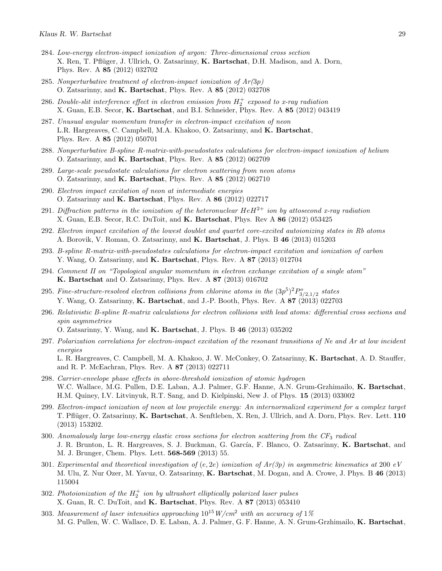- 284. Low-energy electron-impact ionization of argon: Three-dimensional cross section X. Ren, T. Pflüger, J. Ullrich, O. Zatsarinny, K. Bartschat, D.H. Madison, and A. Dorn, Phys. Rev. A 85 (2012) 032702
- 285. Nonperturbative treatment of electron-impact ionization of  $Ar(3p)$ O. Zatsarinny, and K. Bartschat, Phys. Rev. A 85 (2012) 032708
- 286. Double-slit interference effect in electron emission from  $H_2^+$  exposed to x-ray radiation X. Guan, E.B. Secor, K. Bartschat, and B.I. Schneider, Phys. Rev. A 85 (2012) 043419
- 287. Unusual angular momentum transfer in electron-impact excitation of neon L.R. Hargreaves, C. Campbell, M.A. Khakoo, O. Zatsarinny, and K. Bartschat, Phys. Rev. A 85 (2012) 050701
- 288. Nonperturbative B-spline R-matrix-with-pseudostates calculations for electron-impact ionization of helium O. Zatsarinny, and K. Bartschat, Phys. Rev. A 85 (2012) 062709
- 289. Large-scale pseudostate calculations for electron scattering from neon atoms O. Zatsarinny, and K. Bartschat, Phys. Rev. A 85 (2012) 062710
- 290. Electron impact excitation of neon at intermediate energies O. Zatsarinny and K. Bartschat, Phys. Rev. A 86 (2012) 022717
- 291. Diffraction patterns in the ionization of the heteronuclear  $HeH^{2+}$  ion by attosecond x-ray radiation X. Guan, E.B. Secor, R.C. DuToit, and K. Bartschat, Phys. Rev A 86 (2012) 053425
- 292. Electron impact excitation of the lowest doublet and quartet core-excited autoionizing states in Rb atoms A. Borovik, V. Roman, O. Zatsarinny, and K. Bartschat, J. Phys. B 46 (2013) 015203
- 293. B-spline R-matrix-with-pseudostates calculations for electron-impact excitation and ionization of carbon Y. Wang, O. Zatsarinny, and K. Bartschat, Phys. Rev. A 87 (2013) 012704
- 294. Comment II on "Topological angular momentum in electron exchange excitation of a single atom" K. Bartschat and O. Zatsarinny, Phys. Rev. A 87 (2013) 016702
- 295. Fine-structure-resolved electron collisions from chlorine atoms in the  $(3p^5)^2P^o_{3/2,1/2}$  states Y. Wang, O. Zatsarinny, K. Bartschat, and J.-P. Booth, Phys. Rev. A 87 (2013) 022703
- 296. Relativistic B-spline R-matrix calculations for electron collisions with lead atoms: differential cross sections and spin asymmetries

O. Zatsarinny, Y. Wang, and K. Bartschat, J. Phys. B 46 (2013) 035202

- 297. Polarization correlations for electron-impact excitation of the resonant transitions of Ne and Ar at low incident energies L. R. Hargreaves, C. Campbell, M. A. Khakoo, J. W. McConkey, O. Zatsarinny, K. Bartschat, A. D. Stauffer, and R. P. McEachran, Phys. Rev. A 87 (2013) 022711
- 298. Carrier-envelope phase effects in above-threshold ionization of atomic hydrogen W.C. Wallace, M.G. Pullen, D.E. Laban, A.J. Palmer, G.F. Hanne, A.N. Grum-Grzhimailo, K. Bartschat, H.M. Quiney, I.V. Litvinyuk, R.T. Sang, and D. Kielpinski, New J. of Phys. 15 (2013) 033002
- 299. Electron-impact ionization of neon at low projectile energy: An internormalized experiment for a complex target T. Pflüger, O. Zatsarinny, K. Bartschat, A. Senftleben, X. Ren, J. Ullrich, and A. Dorn, Phys. Rev. Lett. 110 (2013) 153202.
- 300. Anomalously large low-energy elastic cross sections for electron scattering from the  $CF_3$  radical J. R. Brunton, L. R. Hargreaves, S. J. Buckman, G. García, F. Blanco, O. Zatsarinny, K. Bartschat, and M. J. Brunger, Chem. Phys. Lett. 568-569 (2013) 55.
- 301. Experimental and theoretical investigation of  $(e, 2e)$  ionization of  $Ar(3p)$  in asymmetric kinematics at 200 eV M. Ulu, Z. Nur Ozer, M. Yavuz, O. Zatsarinny, K. Bartschat, M. Dogan, and A. Crowe, J. Phys. B 46 (2013) 115004
- 302. Photoionization of the  $H_2^+$  ion by ultrashort elliptically polarized laser pulses X. Guan, R. C. DuToit, and K. Bartschat, Phys. Rev. A 87 (2013) 053410
- 303. Measurement of laser intensities approaching  $10^{15} W/cm^2$  with an accuracy of 1% M. G. Pullen, W. C. Wallace, D. E. Laban, A. J. Palmer, G. F. Hanne, A. N. Grum-Grzhimailo, K. Bartschat,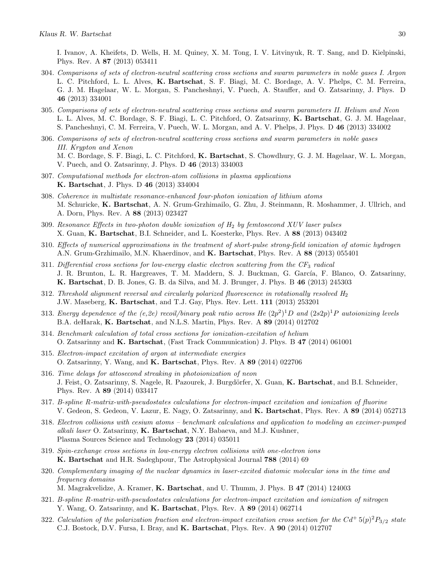I. Ivanov, A. Kheifets, D. Wells, H. M. Quiney, X. M. Tong, I. V. Litvinyuk, R. T. Sang, and D. Kielpinski, Phys. Rev. A 87 (2013) 053411

- 304. Comparisons of sets of electron-neutral scattering cross sections and swarm parameters in noble gases I. Argon L. C. Pitchford, L. L. Alves, K. Bartschat, S. F. Biagi, M. C. Bordage, A. V. Phelps, C. M. Ferreira, G. J. M. Hagelaar, W. L. Morgan, S. Pancheshnyi, V. Puech, A. Stauffer, and O. Zatsarinny, J. Phys. D 46 (2013) 334001
- 305. Comparisons of sets of electron-neutral scattering cross sections and swarm parameters II. Helium and Neon L. L. Alves, M. C. Bordage, S. F. Biagi, L. C. Pitchford, O. Zatsarinny, K. Bartschat, G. J. M. Hagelaar, S. Pancheshnyi, C. M. Ferreira, V. Puech, W. L. Morgan, and A. V. Phelps, J. Phys. D 46 (2013) 334002
- 306. Comparisons of sets of electron-neutral scattering cross sections and swarm parameters in noble gases III. Krypton and Xenon M. C. Bordage, S. F. Biagi, L. C. Pitchford, K. Bartschat, S. Chowdhury, G. J. M. Hagelaar, W. L. Morgan, V. Puech, and O. Zatsarinny, J. Phys. D 46 (2013) 334003
- 307. Computational methods for electron-atom collisions in plasma applications K. Bartschat, J. Phys. D 46 (2013) 334004
- 308. Coherence in multistate resonance-enhanced four-photon ionization of lithium atoms M. Schuricke, K. Bartschat, A. N. Grum-Grzhimailo, G. Zhu, J. Steinmann, R. Moshammer, J. Ullrich, and A. Dorn, Phys. Rev. A 88 (2013) 023427
- 309. Resonance Effects in two-photon double ionization of  $H_2$  by femtosecond XUV laser pulses X. Guan, K. Bartschat, B.I. Schneider, and L. Koesterke, Phys. Rev. A 88 (2013) 043402
- 310. Effects of numerical approximations in the treatment of short-pulse strong-field ionization of atomic hydrogen A.N. Grum-Grzhimailo, M.N. Khaerdinov, and K. Bartschat, Phys. Rev. A 88 (2013) 055401
- 311. Differential cross sections for low-energy elastic electron scattering from the  $CF_3$  radical J. R. Brunton, L. R. Hargreaves, T. M. Maddern, S. J. Buckman, G. García, F. Blanco, O. Zatsarinny, K. Bartschat, D. B. Jones, G. B. da Silva, and M. J. Brunger, J. Phys. B 46 (2013) 245303
- 312. Threshold alignment reversal and circularly polarized fluorescence in rotationally resolved  $H_2$ J.W. Maseberg, K. Bartschat, and T.J. Gay, Phys. Rev. Lett. 111 (2013) 253201
- 313. Energy dependence of the  $(e,2e)$  recoil/binary peak ratio across He  $(2p^2)^1D$  and  $(2s2p)^1P$  autoionizing levels B.A. deHarak, K. Bartschat, and N.L.S. Martin, Phys. Rev. A 89 (2014) 012702
- 314. Benchmark calculation of total cross sections for ionization-excitation of helium O. Zatsarinny and K. Bartschat, (Fast Track Communication) J. Phys. B 47 (2014) 061001
- 315. Electron-impact excitation of argon at intermediate energies O. Zatsarinny, Y. Wang, and K. Bartschat, Phys. Rev. A 89 (2014) 022706
- 316. Time delays for attosecond streaking in photoionization of neon J. Feist, O. Zatsarinny, S. Nagele, R. Pazourek, J. Burgdörfer, X. Guan, K. Bartschat, and B.I. Schneider, Phys. Rev. A 89 (2014) 033417
- 317. B-spline R-matrix-with-pseudostates calculations for electron-impact excitation and ionization of fluorine V. Gedeon, S. Gedeon, V. Lazur, E. Nagy, O. Zatsarinny, and K. Bartschat, Phys. Rev. A 89 (2014) 052713
- 318. Electron collisions with cesium atoms benchmark calculations and application to modeling an excimer-pumped alkali laser O. Zatsarinny,  $K$ . Bartschat, N.Y. Babaeva, and M.J. Kushner, Plasma Sources Science and Technology 23 (2014) 035011
- 319. Spin-exchange cross sections in low-energy electron collisions with one-electron ions K. Bartschat and H.R. Sadeghpour, The Astrophysical Journal 788 (2014) 69
- 320. Complementary imaging of the nuclear dynamics in laser-excited diatomic molecular ions in the time and frequency domains

M. Magrakvelidze, A. Kramer, K. Bartschat, and U. Thumm, J. Phys. B 47 (2014) 124003

- 321. B-spline R-matrix-with-pseudostates calculations for electron-impact excitation and ionization of nitrogen Y. Wang, O. Zatsarinny, and K. Bartschat, Phys. Rev. A 89 (2014) 062714
- 322. Calculation of the polarization fraction and electron-impact excitation cross section for the  $Cd^+5(p)^2P_{3/2}$  state C.J. Bostock, D.V. Fursa, I. Bray, and K. Bartschat, Phys. Rev. A 90 (2014) 012707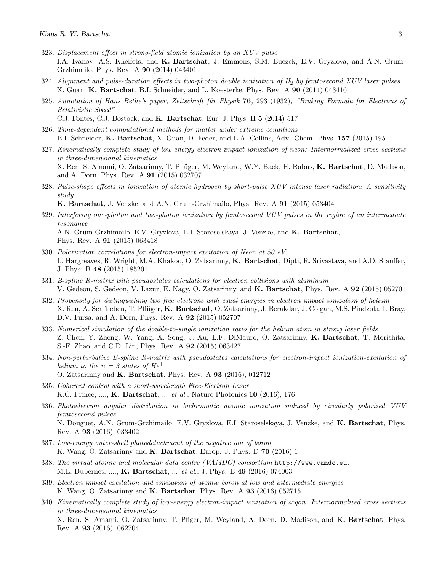- 323. Displacement effect in strong-field atomic ionization by an XUV pulse I.A. Ivanov, A.S. Kheifets, and K. Bartschat, J. Emmons, S.M. Buczek, E.V. Gryzlova, and A.N. Grum-Grzhimailo, Phys. Rev. A 90 (2014) 043401
- 324. Alignment and pulse-duration effects in two-photon double ionization of  $H_2$  by femtosecond XUV laser pulses X. Guan, K. Bartschat, B.I. Schneider, and L. Koesterke, Phys. Rev. A 90 (2014) 043416
- 325. Annotation of Hans Bethe's paper, Zeitschrift für Physik  $76$ , 293 (1932), "Braking Formula for Electrons of Relativistic Speed"
	- C.J. Fontes, C.J. Bostock, and K. Bartschat, Eur. J. Phys. H 5 (2014) 517
- 326. Time-dependent computational methods for matter under extreme conditions B.I. Schneider, K. Bartschat, X. Guan, D. Feder, and L.A. Collins, Adv. Chem. Phys. 157 (2015) 195
- 327. Kinematically complete study of low-energy electron-impact ionization of neon: Internormalized cross sections in three-dimensional kinematics X. Ren, S. Amami, O. Zatsarinny, T. Pflüger, M. Weyland, W.Y. Baek, H. Rabus, K. Bartschat, D. Madison, and A. Dorn, Phys. Rev. A 91 (2015) 032707
- 328. Pulse-shape effects in ionization of atomic hydrogen by short-pulse XUV intense laser radiation: A sensitivity study

K. Bartschat, J. Venzke, and A.N. Grum-Grzhimailo, Phys. Rev. A 91 (2015) 053404

- 329. Interfering one-photon and two-photon ionization by femtosecond VUV pulses in the region of an intermediate resonance A.N. Grum-Grzhimailo, E.V. Gryzlova, E.I. Staroselskaya, J. Venzke, and K. Bartschat, Phys. Rev. A 91 (2015) 063418
- 330. Polarization correlations for electron-impact excitation of Neon at 50 eV L. Hargreaves, R. Wright, M.A. Khakoo, O. Zatsarinny, K. Bartschat, Dipti, R. Srivastava, and A.D. Stauffer, J. Phys. B 48 (2015) 185201
- 331. B-spline R-matrix with pseudostates calculations for electron collisions with aluminum V. Gedeon, S. Gedeon, V. Lazur, E. Nagy, O. Zatsarinny, and K. Bartschat, Phys. Rev. A 92 (2015) 052701
- 332. Propensity for distinguishing two free electrons with equal energies in electron-impact ionization of helium X. Ren, A. Senftleben, T. Pflüger, K. Bartschat, O. Zatsarinny, J. Berakdar, J. Colgan, M.S. Pindzola, I. Bray, D.V. Fursa, and A. Dorn, Phys. Rev. A 92 (2015) 052707
- 333. Numerical simulation of the double-to-single ionization ratio for the helium atom in strong laser fields Z. Chen, Y. Zheng, W. Yang, X. Song, J. Xu, L.F. DiMauro, O. Zatsarinny, K. Bartschat, T. Morishita, S.-F. Zhao, and C.D. Lin, Phys. Rev. A 92 (2015) 063427
- 334. Non-perturbative B-spline R-matrix with pseudostates calculations for electron-impact ionization-excitation of helium to the  $n = 3$  states of He<sup>+</sup> O. Zatsarinny and K. Bartschat, Phys. Rev. A 93 (2016), 012712
- 335. Coherent control with a short-wavelength Free-Electron Laser K.C. Prince, ...., K. Bartschat, ... et al., Nature Photonics 10 (2016), 176
- 336. Photoelectron angular distribution in bichromatic atomic ionization induced by circularly polarized VUV femtosecond pulses N. Douguet, A.N. Grum-Grzhimailo, E.V. Gryzlova, E.I. Staroselskaya, J. Venzke, and K. Bartschat, Phys. Rev. A 93 (2016), 033402
- 337. Low-energy outer-shell photodetachment of the negative ion of boron K. Wang, O. Zatsarinny and K. Bartschat, Europ. J. Phys. D 70 (2016) 1
- 338. The virtual atomic and molecular data centre (VAMDC) consortium http://www.vamdc.eu. M.L. Dubernet, ...., **K. Bartschat**, ... *et al.*, J. Phys. B 49 (2016) 074003
- 339. Electron-impact excitation and ionization of atomic boron at low and intermediate energies K. Wang, O. Zatsarinny and K. Bartschat, Phys. Rev. A 93 (2016) 052715
- 340. Kinematically complete study of low-energy electron-impact ionization of argon: Internormalized cross sections in three-dimensional kinematics X. Ren, S. Amami, O. Zatsarinny, T. Pflger, M. Weyland, A. Dorn, D. Madison, and K. Bartschat, Phys. Rev. A 93 (2016), 062704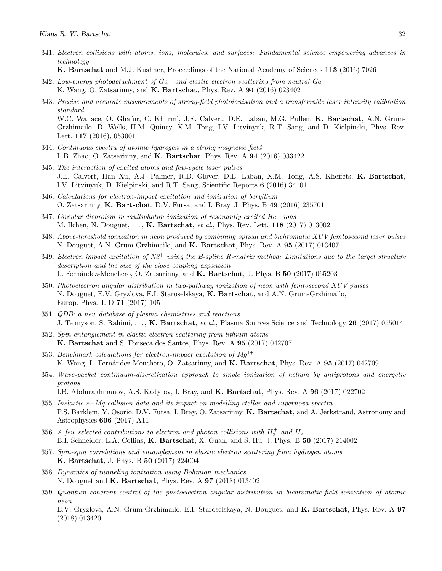- 341. Electron collisions with atoms, ions, molecules, and surfaces: Fundamental science empowering advances in technology
	- K. Bartschat and M.J. Kushner, Proceedings of the National Academy of Sciences 113 (2016) 7026
- 342. Low-energy photodetachment of Ga<sup>−</sup> and elastic electron scattering from neutral Ga K. Wang, O. Zatsarinny, and K. Bartschat, Phys. Rev. A 94 (2016) 023402
- 343. Precise and accurate measurements of strong-field photoionisation and a transferrable laser intensity calibration standard W.C. Wallace, O. Ghafur, C. Khurmi, J.E. Calvert, D.E. Laban, M.G. Pullen, K. Bartschat, A.N. Grum-Grzhimailo, D. Wells, H.M. Quiney, X.M. Tong, I.V. Litvinyuk, R.T. Sang, and D. Kielpinski, Phys. Rev. Lett. 117 (2016), 053001
- 344. Continuous spectra of atomic hydrogen in a strong magnetic field L.B. Zhao, O. Zatsarinny, and K. Bartschat, Phys. Rev. A 94 (2016) 033422
- 345. The interaction of excited atoms and few-cycle laser pulses J.E. Calvert, Han Xu, A.J. Palmer, R.D. Glover, D.E. Laban, X.M. Tong, A.S. Kheifets, K. Bartschat, I.V. Litvinyuk, D. Kielpinski, and R.T. Sang, Scientific Reports 6 (2016) 34101
- 346. Calculations for electron-impact excitation and ionization of beryllium O. Zatsarinny, K. Bartschat, D.V. Fursa, and I. Bray, J. Phys. B 49 (2016) 235701
- 347. Circular dichroism in multiphoton ionization of resonantly excited  $He^+$  ions M. Ilchen, N. Douguet, ..., **K. Bartschat**, et al., Phys. Rev. Lett. **118** (2017) 013002
- 348. Above-threshold ionization in neon produced by combining optical and bichromatic XUV femtosecond laser pulses N. Douguet, A.N. Grum-Grzhimailo, and **K. Bartschat**, Phys. Rev. A **95** (2017) 013407
- 349. Electron impact excitation of  $N3^+$  using the B-spline R-matrix method: Limitations due to the target structure description and the size of the close-coupling expansion L. Fernández-Menchero, O. Zatsarinny, and K. Bartschat, J. Phys. B 50 (2017) 065203
- 350. Photoelectron angular distribution in two-pathway ionization of neon with femtosecond XUV pulses N. Douguet, E.V. Gryzlova, E.I. Staroselskaya, K. Bartschat, and A.N. Grum-Grzhimailo, Europ. Phys. J. D 71 (2017) 105
- 351. QDB: a new database of plasma chemistries and reactions J. Tennyson, S. Rahimi, ..., K. Bartschat, et al., Plasma Sources Science and Technology 26 (2017) 055014
- 352. Spin entanglement in elastic electron scattering from lithium atoms K. Bartschat and S. Fonseca dos Santos, Phys. Rev. A 95 (2017) 042707
- 353. Benchmark calculations for electron-impact excitation of  $Mg^{4+}$ K. Wang, L. Fernández-Menchero, O. Zatsarinny, and **K. Bartschat**, Phys. Rev. A 95 (2017) 042709
- 354. Wave-packet continuum-discretization approach to single ionization of helium by antiprotons and energetic protons
	- I.B. Abdurakhmanov, A.S. Kadyrov, I. Bray, and K. Bartschat, Phys. Rev. A 96 (2017) 022702
- 355. Inelastic e−Mg collision data and its impact on modelling stellar and supernova spectra P.S. Barklem, Y. Osorio, D.V. Fursa, I. Bray, O. Zatsarinny, K. Bartschat, and A. Jerkstrand, Astronomy and Astrophysics 606 (2017) A11
- 356. A few selected contributions to electron and photon collisions with  $H_2^+$  and  $H_2$ B.I. Schneider, L.A. Collins, K. Bartschat, X. Guan, and S. Hu, J. Phys. B 50 (2017) 214002
- 357. Spin-spin correlations and entanglement in elastic electron scattering from hydrogen atoms K. Bartschat, J. Phys. B 50 (2017) 224004
- 358. Dynamics of tunneling ionization using Bohmian mechanics N. Douguet and K. Bartschat, Phys. Rev. A 97 (2018) 013402
- 359. Quantum coherent control of the photoelectron angular distribution in bichromatic-field ionization of atomic neon

E.V. Gryzlova, A.N. Grum-Grzhimailo, E.I. Staroselskaya, N. Douguet, and K. Bartschat, Phys. Rev. A 97 (2018) 013420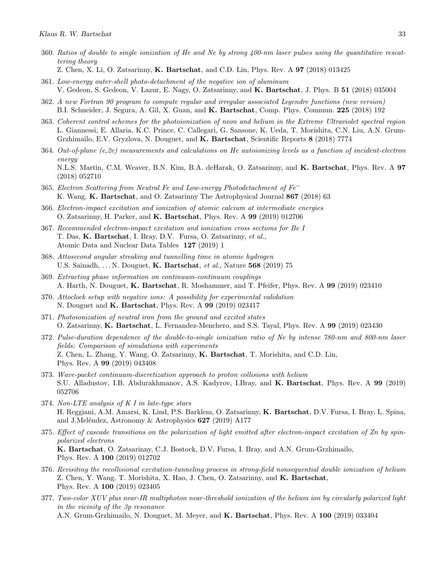- 360. Ratios of double to single ionization of He and Ne by strong 400-nm laser pulses using the quantitative rescattering theory
	- Z. Chen, X. Li, O. Zatsarinny, K. Bartschat, and C.D. Lin, Phys. Rev. A 97 (2018) 013425
- 361. Low-energy outer-shell photo-detachment of the negative ion of aluminum V. Gedeon, S. Gedeon, V. Lazur, E. Nagy, O. Zatsarinny, and K. Bartschat, J. Phys. B 51 (2018) 035004
- 362. A new Fortran 90 program to compute regular and irregular associated Legendre functions (new version) B.I. Schneider, J. Segura, A. Gil, X. Guan, and K. Bartschat, Comp. Phys. Commun. 225 (2018) 192
- 363. Coherent control schemes for the photoionization of neon and helium in the Extreme Ultraviolet spectral region L. Giannessi, E. Allaria, K.C. Prince, C. Callegari, G. Sansone, K. Ueda, T. Morishita, C.N. Liu, A.N. Grum-Grzhimailo, E.V. Gryzlova, N. Douguet, and K. Bartschat, Scientific Reports 8 (2018) 7774
- 364. Out-of-plane (e,2e) measurements and calculations on He autoionizing levels as a function of incident-electron energy N.L.S. Martin, C.M. Weaver, B.N. Kim, B.A. deHarak, O. Zatsarinny, and K. Bartschat, Phys. Rev. A 97 (2018) 052710
- 365. Electron Scattering from Neutral Fe and Low-energy Photodetachment of  $Fe<sup>-</sup>$ K. Wang, K. Bartschat, and O. Zatsarinny The Astrophysical Journal 867 (2018) 63
- 366. Electron-impact excitation and ionization of atomic calcium at intermediate energies O. Zatsarinny, H. Parker, and K. Bartschat, Phys. Rev. A 99 (2019) 012706
- 367. Recommended electron-impact excitation and ionization cross sections for Be I T. Das, K. Bartschat, I. Bray, D.V. Fursa, O. Zatsarinny, et al., Atomic Data and Nuclear Data Tables 127 (2019) 1
- 368. Attosecond angular streaking and tunnelling time in atomic hydrogen U.S. Sainadh, ... N. Douguet, K. Bartschat, et al., Nature 568 (2019) 75
- 369. Extracting phase information on continuum-continuum couplings A. Harth, N. Douguet, K. Bartschat, R. Moshammer, and T. Pfeifer, Phys. Rev. A 99 (2019) 023410
- 370. Attoclock setup with negative ions: A possibility for experimental validation N. Douguet and K. Bartschat, Phys. Rev. A 99 (2019) 023417
- 371. Photoionization of neutral iron from the ground and excited states O. Zatsarinny, K. Bartschat, L. Fernandez-Menchero, and S.S. Tayal, Phys. Rev. A 99 (2019) 023430
- 372. Pulse-duration dependence of the double-to-single ionization ratio of Ne by intense 780-nm and 800-nm laser fields: Comparison of simulations with experiments Z. Chen, L. Zhang, Y. Wang, O. Zatsarinny, K. Bartschat, T. Morishita, and C.D. Lin, Phys. Rev. A 99 (2019) 043408
- 373. Wave-packet continuum-discretization approach to proton collisions with helium S.U. Alladustov, I.B. Abdurakhmanov, A.S. Kadyrov, I.Bray, and K. Bartschat, Phys. Rev. A 99 (2019) 052706
- 374. Non-LTE analysis of K I in late-type stars H. Reggiani, A.M. Amarsi, K. Lind, P.S. Barklem, O. Zatsarinny, K. Bartschat, D.V. Fursa, I. Bray, L. Spina, and J.Meléndez, Astronomy & Astrophysics  $627$  (2019) A177
- 375. Effect of cascade transitions on the polarization of light emitted after electron-impact excitation of Zn by spinpolarized electrons K. Bartschat, O. Zatsarinny, C.J. Bostock, D.V. Fursa, I. Bray, and A.N. Grum-Grzhimailo, Phys. Rev. A 100 (2019) 012702
- 376. Revisiting the recollisional excitation-tunneling process in strong-field nonsequential double ionization of helium Z. Chen, Y. Wang, T. Morishita, X. Hao, J. Chen, O. Zatsarinny, and K. Bartschat, Phys. Rev. A 100 (2019) 023405
- 377. Two-color XUV plus near-IR multiphoton near-threshold ionization of the helium ion by circularly polarized light in the vicinity of the 3p resonance A.N. Grum-Grzhimailo, N. Douguet, M. Meyer, and K. Bartschat, Phys. Rev. A 100 (2019) 033404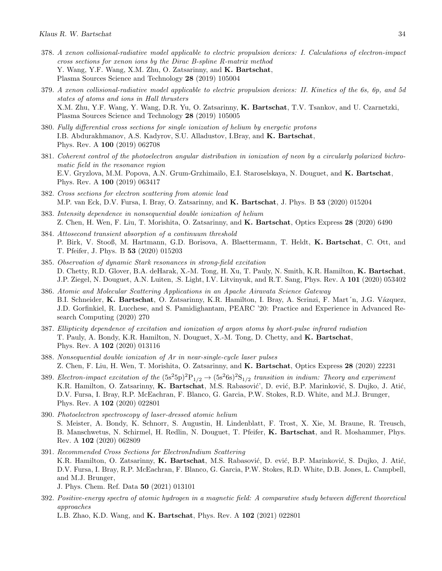- 378. A xenon collisional-radiative model applicable to electric propulsion devices: I. Calculations of electron-impact cross sections for xenon ions by the Dirac B-spline R-matrix method Y. Wang, Y.F. Wang, X.M. Zhu, O. Zatsarinny, and K. Bartschat, Plasma Sources Science and Technology 28 (2019) 105004
- 379. A xenon collisional-radiative model applicable to electric propulsion devices: II. Kinetics of the 6s, 6p, and 5d states of atoms and ions in Hall thrusters X.M. Zhu, Y.F. Wang, Y. Wang, D.R. Yu, O. Zatsarinny, K. Bartschat, T.V. Tsankov, and U. Czarnetzki, Plasma Sources Science and Technology 28 (2019) 105005
- 380. Fully differential cross sections for single ionization of helium by energetic protons I.B. Abdurakhmanov, A.S. Kadyrov, S.U. Alladustov, I.Bray, and K. Bartschat, Phys. Rev. A 100 (2019) 062708
- 381. Coherent control of the photoelectron angular distribution in ionization of neon by a circularly polarized bichromatic field in the resonance region E.V. Gryzlova, M.M. Popova, A.N. Grum-Grzhimailo, E.I. Staroselskaya, N. Douguet, and K. Bartschat, Phys. Rev. A 100 (2019) 063417
- 382. Cross sections for electron scattering from atomic lead M.P. van Eck, D.V. Fursa, I. Bray, O. Zatsarinny, and **K. Bartschat**, J. Phys. B 53 (2020) 015204
- 383. Intensity dependence in nonsequential double ionization of helium Z. Chen, H. Wen, F. Liu, T. Morishita, O. Zatsarinny, and K. Bartschat, Optics Express 28 (2020) 6490
- 384. Attosecond transient absorption of a continuum threshold P. Birk, V. Stooß, M. Hartmann, G.D. Borisova, A. Blaettermann, T. Heldt, K. Bartschat, C. Ott, and T. Pfeifer, J. Phys. B 53 (2020) 015203
- 385. Observation of dynamic Stark resonances in strong-field excitation D. Chetty, R.D. Glover, B.A. deHarak, X.-M. Tong, H. Xu, T. Pauly, N. Smith, K.R. Hamilton, K. Bartschat, J.P. Ziegel, N. Douguet, A.N. Luiten, .S. Light, I.V. Litvinyuk, and R.T. Sang, Phys. Rev. A 101 (2020) 053402
- 386. Atomic and Molecular Scattering Applications in an Apache Airavata Science Gateway B.I. Schneider, K. Bartschat, O. Zatsarinny, K.R. Hamilton, I. Bray, A. Scrinzi, F. Mart´n, J.G. Vázquez, J.D. Gorfinkiel, R. Lucchese, and S. Pamidighantam, PEARC '20: Practice and Experience in Advanced Research Computing (2020) 270
- 387. Ellipticity dependence of excitation and ionization of argon atoms by short-pulse infrared radiation T. Pauly, A. Bondy, K.R. Hamilton, N. Douguet, X.-M. Tong, D. Chetty, and K. Bartschat, Phys. Rev. A 102 (2020) 013116
- 388. Nonsequential double ionization of Ar in near-single-cycle laser pulses Z. Chen, F. Liu, H. Wen, T. Morishita, O. Zatsarinny, and K. Bartschat, Optics Express 28 (2020) 22231
- 389. Electron-impact excitation of the  $(5s^25p)^2P_{1/2} \rightarrow (5s^26s)^2S_{1/2}$  transition in indium: Theory and experiment K.R. Hamilton, O. Zatsarinny, K. Bartschat, M.S. Rabasović', D. ević, B.P. Marinković, S. Dujko, J. Atić, D.V. Fursa, I. Bray, R.P. McEachran, F. Blanco, G. Garcia, P.W. Stokes, R.D. White, and M.J. Brunger, Phys. Rev. A 102 (2020) 022801
- 390. Photoelectron spectroscopy of laser-dressed atomic helium S. Meister, A. Bondy, K. Schnorr, S. Augustin, H. Lindenblatt, F. Trost, X. Xie, M. Braune, R. Treusch, B. Manschwetus, N. Schirmel, H. Redlin, N. Douguet, T. Pfeifer, K. Bartschat, and R. Moshammer, Phys. Rev. A 102 (2020) 062809
- 391. Recommended Cross Sections for ElectronIndium Scattering K.R. Hamilton, O. Zatsarinny, K. Bartschat, M.S. Rabasović, D. ević, B.P. Marinković, S. Dujko, J. Atić, D.V. Fursa, I. Bray, R.P. McEachran, F. Blanco, G. Garcia, P.W. Stokes, R.D. White, D.B. Jones, L. Campbell, and M.J. Brunger, J. Phys. Chem. Ref. Data 50 (2021) 013101
- 392. Positive-energy spectra of atomic hydrogen in a magnetic field: A comparative study between different theoretical approaches

L.B. Zhao, K.D. Wang, and K. Bartschat, Phys. Rev. A 102 (2021) 022801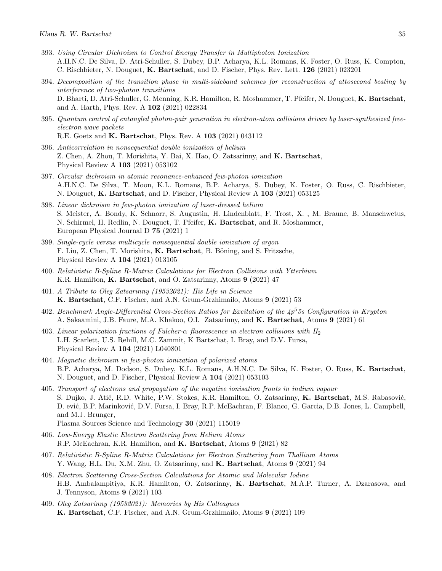- 393. Using Circular Dichroism to Control Energy Transfer in Multiphoton Ionization A.H.N.C. De Silva, D. Atri-Schuller, S. Dubey, B.P. Acharya, K.L. Romans, K. Foster, O. Russ, K. Compton, C. Rischbieter, N. Douguet, K. Bartschat, and D. Fischer, Phys. Rev. Lett. 126 (2021) 023201
- 394. Decomposition of the transition phase in multi-sideband schemes for reconstruction of attosecond beating by interference of two-photon transitions D. Bharti, D. Atri-Schuller, G. Menning, K.R. Hamilton, R. Moshammer, T. Pfeifer, N. Douguet, K. Bartschat, and A. Harth, Phys. Rev. A 102 (2021) 022834
- 395. Quantum control of entangled photon-pair generation in electron-atom collisions driven by laser-synthesized freeelectron wave packets R.E. Goetz and K. Bartschat, Phys. Rev. A 103 (2021) 043112
- 396. Anticorrelation in nonsequential double ionization of helium Z. Chen, A. Zhou, T. Morishita, Y. Bai, X. Hao, O. Zatsarinny, and K. Bartschat, Physical Review A 103 (2021) 053102
- 397. Circular dichroism in atomic resonance-enhanced few-photon ionization A.H.N.C. De Silva, T. Moon, K.L. Romans, B.P. Acharya, S. Dubey, K. Foster, O. Russ, C. Rischbieter, N. Douguet, K. Bartschat, and D. Fischer, Physical Review A 103 (2021) 053125
- 398. Linear dichroism in few-photon ionization of laser-dressed helium S. Meister, A. Bondy, K. Schnorr, S. Augustin, H. Lindenblatt, F. Trost, X. , M. Braune, B. Manschwetus, N. Schirmel, H. Redlin, N. Douguet, T. Pfeifer, K. Bartschat, and R. Moshammer, European Physical Journal D 75 (2021) 1
- 399. Single-cycle versus multicycle nonsequential double ionization of argon F. Liu, Z. Chen, T. Morishita, K. Bartschat, B. Böning, and S. Fritzsche, Physical Review A 104 (2021) 013105
- 400. Relativistic B-Spline R-Matrix Calculations for Electron Collisions with Ytterbium K.R. Hamilton, K. Bartschat, and O. Zatsarinny, Atoms 9 (2021) 47
- 401. A Tribute to Oleg Zatsarinny (19532021): His Life in Science K. Bartschat, C.F. Fischer, and A.N. Grum-Grzhimailo, Atoms 9 (2021) 53
- 402. Benchmark Angle-Differential Cross-Section Ratios for Excitation of the  $4p^5$ 5s Configuration in Krypton A. Sakaamini, J.B. Faure, M.A. Khakoo, O.I. Zatsarinny, and K. Bartschat, Atoms 9 (2021) 61
- 403. Linear polarization fractions of Fulcher- $\alpha$  fluorescence in electron collisions with  $H_2$ L.H. Scarlett, U.S. Rehill, M.C. Zammit, K Bartschat, I. Bray, and D.V. Fursa, Physical Review A 104 (2021) L040801
- 404. Magnetic dichroism in few-photon ionization of polarized atoms B.P. Acharya, M. Dodson, S. Dubey, K.L. Romans, A.H.N.C. De Silva, K. Foster, O. Russ, K. Bartschat, N. Douguet, and D. Fischer, Physical Review A 104 (2021) 053103
- 405. Transport of electrons and propagation of the negative ionisation fronts in indium vapour S. Dujko, J. Atić, R.D. White, P.W. Stokes, K.R. Hamilton, O. Zatsarinny, K. Bartschat, M.S. Rabasović, D. ević, B.P. Marinković, D.V. Fursa, I. Bray, R.P. McEachran, F. Blanco, G. Garcia, D.B. Jones, L. Campbell, and M.J. Brunger, Plasma Sources Science and Technology 30 (2021) 115019
- 406. Low-Energy Elastic Electron Scattering from Helium Atoms R.P. McEachran, K.R. Hamilton, and K. Bartschat, Atoms 9 (2021) 82
- 407. Relativistic B-Spline R-Matrix Calculations for Electron Scattering from Thallium Atoms Y. Wang, H.L. Du, X.M. Zhu, O. Zatsarinny, and K. Bartschat, Atoms 9 (2021) 94
- 408. Electron Scattering Cross-Section Calculations for Atomic and Molecular Iodine H.B. Ambalampitiya, K.R. Hamilton, O. Zatsarinny, K. Bartschat, M.A.P. Turner, A. Dzarasova, and J. Tennyson, Atoms 9 (2021) 103
- 409. Oleg Zatsarinny (19532021): Memories by His Colleagues K. Bartschat, C.F. Fischer, and A.N. Grum-Grzhimailo, Atoms 9 (2021) 109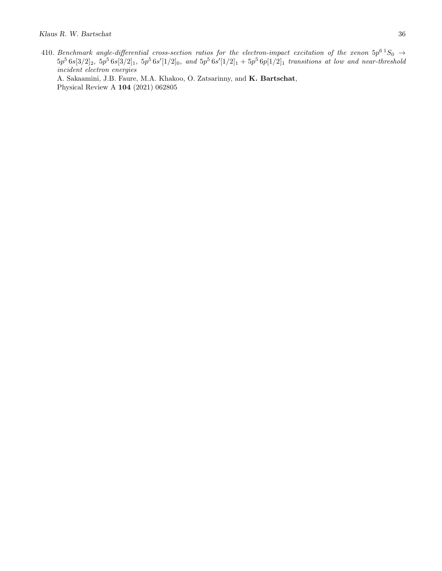410. Benchmark angle-differential cross-section ratios for the electron-impact excitation of the xenon  $5p^6$   $^1S_0$   $\rightarrow$  $5p^56s[3/2]_2$ ,  $5p^56s[3/2]_1$ ,  $5p^56s'[1/2]_0$ , and  $5p^56s'[1/2]_1 + 5p^56p[1/2]_1$  transitions at low and near-threshold incident electron energies A. Sakaamini, J.B. Faure, M.A. Khakoo, O. Zatsarinny, and K. Bartschat, Physical Review A 104 (2021) 062805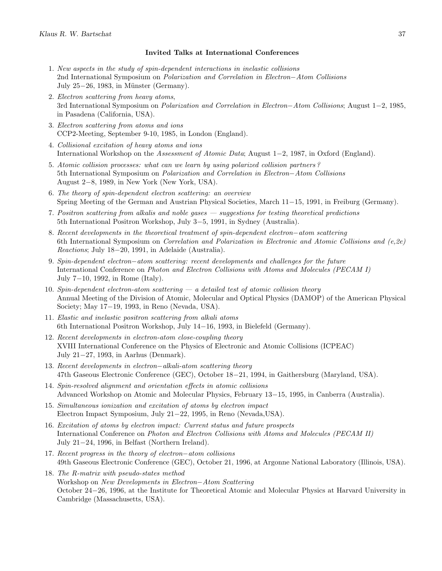#### Invited Talks at International Conferences

- 1. New aspects in the study of spin-dependent interactions in inelastic collisions 2nd International Symposium on Polarization and Correlation in Electron−Atom Collisions July 25 $-26$ , 1983, in Münster (Germany).
- 2. Electron scattering from heavy atoms, 3rd International Symposium on Polarization and Correlation in Electron−Atom Collisions; August 1−2, 1985, in Pasadena (California, USA).
- 3. Electron scattering from atoms and ions CCP2-Meeting, September 9-10, 1985, in London (England).
- 4. Collisional excitation of heavy atoms and ions International Workshop on the Assessment of Atomic Data; August 1−2, 1987, in Oxford (England).
- 5. Atomic collision processes: what can we learn by using polarized collision partners ? 5th International Symposium on Polarization and Correlation in Electron−Atom Collisions August 2−8, 1989, in New York (New York, USA).
- 6. The theory of spin-dependent electron scattering: an overview Spring Meeting of the German and Austrian Physical Societies, March 11−15, 1991, in Freiburg (Germany).
- 7. Positron scattering from alkalis and noble gases suggestions for testing theoretical predictions 5th International Positron Workshop, July 3−5, 1991, in Sydney (Australia).
- 8. Recent developments in the theoretical treatment of spin-dependent electron–atom scattering 6th International Symposium on Correlation and Polarization in Electronic and Atomic Collisions and  $(e, 2e)$ Reactions; July 18−20, 1991, in Adelaide (Australia).
- 9. Spin-dependent electron–atom scattering: recent developments and challenges for the future International Conference on Photon and Electron Collisions with Atoms and Molecules (PECAM I) July 7−10, 1992, in Rome (Italy).
- 10. Spin-dependent electron-atom scattering  $-a$  detailed test of atomic collision theory Annual Meeting of the Division of Atomic, Molecular and Optical Physics (DAMOP) of the American Physical Society; May 17−19, 1993, in Reno (Nevada, USA).
- 11. Elastic and inelastic positron scattering from alkali atoms 6th International Positron Workshop, July 14−16, 1993, in Bielefeld (Germany).
- 12. Recent developments in electron-atom close-coupling theory XVIII International Conference on the Physics of Electronic and Atomic Collisions (ICPEAC) July 21−27, 1993, in Aarhus (Denmark).
- 13. Recent developments in electron−alkali-atom scattering theory 47th Gaseous Electronic Conference (GEC), October 18−21, 1994, in Gaithersburg (Maryland, USA).
- 14. Spin-resolved alignment and orientation effects in atomic collisions Advanced Workshop on Atomic and Molecular Physics, February 13−15, 1995, in Canberra (Australia).
- 15. Simultaneous ionization and excitation of atoms by electron impact Electron Impact Symposium, July 21−22, 1995, in Reno (Nevada,USA).
- 16. Excitation of atoms by electron impact: Current status and future prospects International Conference on Photon and Electron Collisions with Atoms and Molecules (PECAM II) July 21−24, 1996, in Belfast (Northern Ireland).
- 17. Recent progress in the theory of electron−atom collisions 49th Gaseous Electronic Conference (GEC), October 21, 1996, at Argonne National Laboratory (Illinois, USA).
- 18. The R-matrix with pseudo-states method Workshop on New Developments in Electron−Atom Scattering October 24−26, 1996, at the Institute for Theoretical Atomic and Molecular Physics at Harvard University in Cambridge (Massachusetts, USA).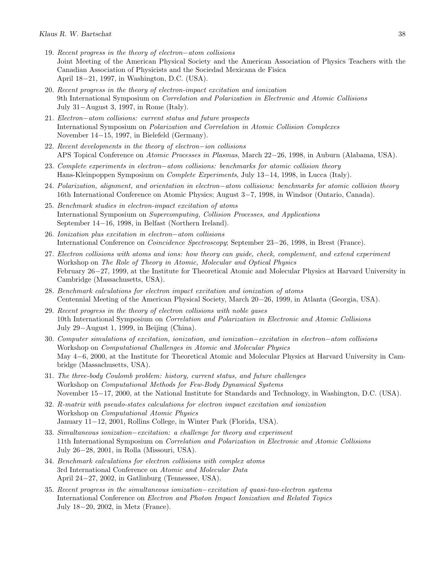- 19. Recent progress in the theory of electron−atom collisions Joint Meeting of the American Physical Society and the American Association of Physics Teachers with the Canadian Association of Physicists and the Sociedad Mexicana de Fisica April 18−21, 1997, in Washington, D.C. (USA).
- 20. Recent progress in the theory of electron-impact excitation and ionization 9th International Symposium on Correlation and Polarization in Electronic and Atomic Collisions July 31−August 3, 1997, in Rome (Italy).
- 21. Electron−atom collisions: current status and future prospects International Symposium on Polarization and Correlation in Atomic Collision Complexes November 14−15, 1997, in Bielefeld (Germany).
- 22. Recent developments in the theory of electron−ion collisions APS Topical Conference on Atomic Processes in Plasmas, March 22−26, 1998, in Auburn (Alabama, USA).
- 23. Complete experiments in electron−atom collisions: benchmarks for atomic collision theory Hans-Kleinpoppen Symposium on Complete Experiments, July 13−14, 1998, in Lucca (Italy).
- 24. Polarization, alignment, and orientation in electron−atom collisions: benchmarks for atomic collision theory 16th International Conference on Atomic Physics; August 3−7, 1998, in Windsor (Ontario, Canada).
- 25. Benchmark studies in electron-impact excitation of atoms International Symposium on Supercomputing, Collision Processes, and Applications September 14−16, 1998, in Belfast (Northern Ireland).
- 26. Ionization plus excitation in electron−atom collisions International Conference on Coincidence Spectroscopy; September 23−26, 1998, in Brest (France).
- 27. Electron collisions with atoms and ions: how theory can guide, check, complement, and extend experiment Workshop on The Role of Theory in Atomic, Molecular and Optical Physics February 26−27, 1999, at the Institute for Theoretical Atomic and Molecular Physics at Harvard University in Cambridge (Massachusetts, USA).
- 28. Benchmark calculations for electron impact excitation and ionization of atoms Centennial Meeting of the American Physical Society, March 20−26, 1999, in Atlanta (Georgia, USA).
- 29. Recent progress in the theory of electron collisions with noble gases 10th International Symposium on Correlation and Polarization in Electronic and Atomic Collisions July 29−August 1, 1999, in Beijing (China).
- 30. Computer simulations of excitation, ionization, and ionization−excitation in electron−atom collisions Workshop on Computational Challenges in Atomic and Molecular Physics May 4−6, 2000, at the Institute for Theoretical Atomic and Molecular Physics at Harvard University in Cambridge (Massachusetts, USA).
- 31. The three-body Coulomb problem: history, current status, and future challenges Workshop on Computational Methods for Few-Body Dynamical Systems November 15−17, 2000, at the National Institute for Standards and Technology, in Washington, D.C. (USA).
- 32. R-matrix with pseudo-states calculations for electron impact excitation and ionization Workshop on Computational Atomic Physics January 11−12, 2001, Rollins College, in Winter Park (Florida, USA).
- 33. Simultaneous ionization−excitation: a challenge for theory and experiment 11th International Symposium on Correlation and Polarization in Electronic and Atomic Collisions July 26−28, 2001, in Rolla (Missouri, USA).
- 34. Benchmark calculations for electron collisions with complex atoms 3rd International Conference on Atomic and Molecular Data April 24−27, 2002, in Gatlinburg (Tennessee, USA).
- 35. Recent progress in the simultaneous ionization−excitation of quasi-two-electron systems International Conference on Electron and Photon Impact Ionization and Related Topics July 18−20, 2002, in Metz (France).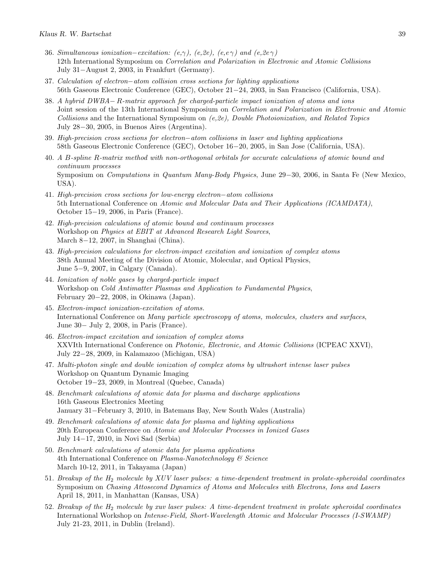- 36. Simultaneous ionization–excitation:  $(e, \gamma)$ ,  $(e, 2e)$ ,  $(e, e \gamma)$  and  $(e, 2e \gamma)$ 12th International Symposium on Correlation and Polarization in Electronic and Atomic Collisions July 31−August 2, 2003, in Frankfurt (Germany).
- 37. Calculation of electron−atom collision cross sections for lighting applications 56th Gaseous Electronic Conference (GEC), October 21−24, 2003, in San Francisco (California, USA).
- 38. A hybrid DWBA− R-matrix approach for charged-particle impact ionization of atoms and ions Joint session of the 13th International Symposium on Correlation and Polarization in Electronic and Atomic Collisions and the International Symposium on  $(e,2e)$ , Double Photoionization, and Related Topics July 28−30, 2005, in Buenos Aires (Argentina).
- 39. High-precision cross sections for electron−atom collisions in laser and lighting applications 58th Gaseous Electronic Conference (GEC), October 16−20, 2005, in San Jose (California, USA).
- 40. A B-spline R-matrix method with non-orthogonal orbitals for accurate calculations of atomic bound and continuum processes Symposium on Computations in Quantum Many-Body Physics, June 29−30, 2006, in Santa Fe (New Mexico, USA).
- 41. High-precision cross sections for low-energy electron−atom collisions 5th International Conference on Atomic and Molecular Data and Their Applications (ICAMDATA), October 15−19, 2006, in Paris (France).
- 42. High-precision calculations of atomic bound and continuum processes Workshop on Physics at EBIT at Advanced Research Light Sources, March 8−12, 2007, in Shanghai (China).
- 43. High-precision calculations for electron-impact excitation and ionization of complex atoms 38th Annual Meeting of the Division of Atomic, Molecular, and Optical Physics, June 5−9, 2007, in Calgary (Canada).
- 44. Ionization of noble gases by charged-particle impact Workshop on Cold Antimatter Plasmas and Application to Fundamental Physics, February 20−22, 2008, in Okinawa (Japan).
- 45. Electron-impact ionization-excitation of atoms. International Conference on Many particle spectroscopy of atoms, molecules, clusters and surfaces, June 30− July 2, 2008, in Paris (France).
- 46. Electron-impact excitation and ionization of complex atoms XXVIth International Conference on Photonic, Electronic, and Atomic Collisions (ICPEAC XXVI), July 22−28, 2009, in Kalamazoo (Michigan, USA)
- 47. Multi-photon single and double ionization of complex atoms by ultrashort intense laser pulses Workshop on Quantum Dynamic Imaging October 19−23, 2009, in Montreal (Quebec, Canada)
- 48. Benchmark calculations of atomic data for plasma and discharge applications 16th Gaseous Electronics Meeting January 31−February 3, 2010, in Batemans Bay, New South Wales (Australia)
- 49. Benchmark calculations of atomic data for plasma and lighting applications 20th European Conference on Atomic and Molecular Processes in Ionized Gases July 14−17, 2010, in Novi Sad (Serbia)
- 50. Benchmark calculations of atomic data for plasma applications 4th International Conference on Plasma-Nanotechnology & Science March 10-12, 2011, in Takayama (Japan)
- 51. Breakup of the H<sub>2</sub> molecule by XUV laser pulses: a time-dependent treatment in prolate-spheroidal coordinates Symposium on Chasing Attosecond Dynamics of Atoms and Molecules with Electrons, Ions and Lasers April 18, 2011, in Manhattan (Kansas, USA)
- 52. Breakup of the H2 molecule by xuv laser pulses: A time-dependent treatment in prolate spheroidal coordinates International Workshop on Intense-Field, Short-Wavelength Atomic and Molecular Processes (I-SWAMP) July 21-23, 2011, in Dublin (Ireland).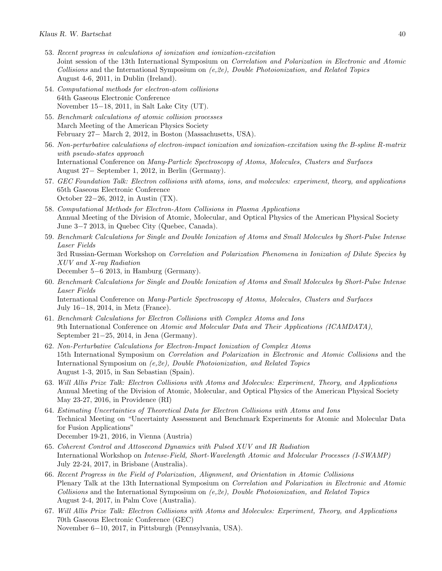- 53. Recent progress in calculations of ionization and ionization-excitation Joint session of the 13th International Symposium on Correlation and Polarization in Electronic and Atomic Collisions and the International Symposium on (e,2e), Double Photoionization, and Related Topics August 4-6, 2011, in Dublin (Ireland).
- 54. Computational methods for electron-atom collisions 64th Gaseous Electronic Conference November 15−18, 2011, in Salt Lake City (UT).
- 55. Benchmark calculations of atomic collision processes March Meeting of the American Physics Society February 27− March 2, 2012, in Boston (Massachusetts, USA).
- 56. Non-perturbative calculations of electron-impact ionization and ionization-excitation using the B-spline R-matrix with pseudo-states approach International Conference on Many-Particle Spectroscopy of Atoms, Molecules, Clusters and Surfaces August 27− September 1, 2012, in Berlin (Germany).
- 57. GEC Foundation Talk: Electron collisions with atoms, ions, and molecules: experiment, theory, and applications 65th Gaseous Electronic Conference October 22−26, 2012, in Austin (TX).
- 58. Computational Methods for Electron-Atom Collisions in Plasma Applications Annual Meeting of the Division of Atomic, Molecular, and Optical Physics of the American Physical Society June 3−7 2013, in Quebec City (Quebec, Canada).
- 59. Benchmark Calculations for Single and Double Ionization of Atoms and Small Molecules by Short-Pulse Intense Laser Fields 3rd Russian-German Workshop on Correlation and Polarization Phenomena in Ionization of Dilute Species by XUV and X-ray Radiation December 5−6 2013, in Hamburg (Germany).
- 60. Benchmark Calculations for Single and Double Ionization of Atoms and Small Molecules by Short-Pulse Intense Laser Fields International Conference on Many-Particle Spectroscopy of Atoms, Molecules, Clusters and Surfaces July 16−18, 2014, in Metz (France).
- 61. Benchmark Calculations for Electron Collisions with Complex Atoms and Ions 9th International Conference on Atomic and Molecular Data and Their Applications (ICAMDATA), September 21−25, 2014, in Jena (Germany).
- 62. Non-Perturbative Calculations for Electron-Impact Ionization of Complex Atoms 15th International Symposium on Correlation and Polarization in Electronic and Atomic Collisions and the International Symposium on (e,2e), Double Photoionization, and Related Topics August 1-3, 2015, in San Sebastian (Spain).
- 63. Will Allis Prize Talk: Electron Collisions with Atoms and Molecules: Experiment, Theory, and Applications Annual Meeting of the Division of Atomic, Molecular, and Optical Physics of the American Physical Society May 23-27, 2016, in Providence (RI)
- 64. Estimating Uncertainties of Theoretical Data for Electron Collisions with Atoms and Ions Technical Meeting on "Uncertainty Assessment and Benchmark Experiments for Atomic and Molecular Data for Fusion Applications" December 19-21, 2016, in Vienna (Austria)
- 65. Coherent Control and Attosecond Dynamics with Pulsed XUV and IR Radiation International Workshop on Intense-Field, Short-Wavelength Atomic and Molecular Processes (I-SWAMP) July 22-24, 2017, in Brisbane (Australia).
- 66. Recent Progress in the Field of Polarization, Alignment, and Orientation in Atomic Collisions Plenary Talk at the 13th International Symposium on Correlation and Polarization in Electronic and Atomic Collisions and the International Symposium on  $(e,2e)$ , Double Photoionization, and Related Topics August 2-4, 2017, in Palm Cove (Australia).
- 67. Will Allis Prize Talk: Electron Collisions with Atoms and Molecules: Experiment, Theory, and Applications 70th Gaseous Electronic Conference (GEC) November 6−10, 2017, in Pittsburgh (Pennsylvania, USA).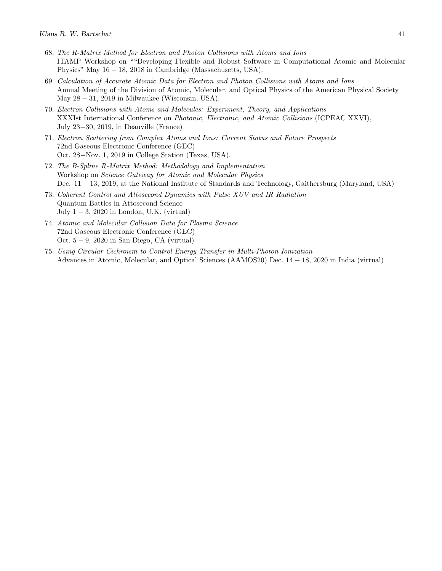- 68. The R-Matrix Method for Electron and Photon Collisions with Atoms and Ions ITAMP Workshop on ""Developing Flexible and Robust Software in Computational Atomic and Molecular Physics" May 16 − 18, 2018 in Cambridge (Massachusetts, USA).
- 69. Calculation of Accurate Atomic Data for Electron and Photon Collisions with Atoms and Ions Annual Meeting of the Division of Atomic, Molecular, and Optical Physics of the American Physical Society May  $28 - 31$ ,  $2019$  in Milwaukee (Wisconsin, USA).
- 70. Electron Collisions with Atoms and Molecules: Experiment, Theory, and Applications XXXIst International Conference on *Photonic, Electronic, and Atomic Collisions* (ICPEAC XXVI), July 23−30, 2019, in Deauville (France)
- 71. Electron Scattering from Complex Atoms and Ions: Current Status and Future Prospects 72nd Gaseous Electronic Conference (GEC) Oct. 28−Nov. 1, 2019 in College Station (Texas, USA).
- 72. The B-Spline R-Matrix Method: Methodology and Implementation Workshop on Science Gateway for Atomic and Molecular Physics Dec. 11 − 13, 2019, at the National Institute of Standards and Technology, Gaithersburg (Maryland, USA)
- 73. Coherent Control and Attosecond Dynamics with Pulse XUV and IR Radiation Quantum Battles in Attosecond Science July  $1 - 3$ , 2020 in London, U.K. (virtual)
- 74. Atomic and Molecular Collision Data for Plasma Science 72nd Gaseous Electronic Conference (GEC) Oct. 5 − 9, 2020 in San Diego, CA (virtual)
- 75. Using Circular Cichroism to Control Energy Transfer in Multi-Photon Ionization Advances in Atomic, Molecular, and Optical Sciences (AAMOS20) Dec. 14 − 18, 2020 in India (virtual)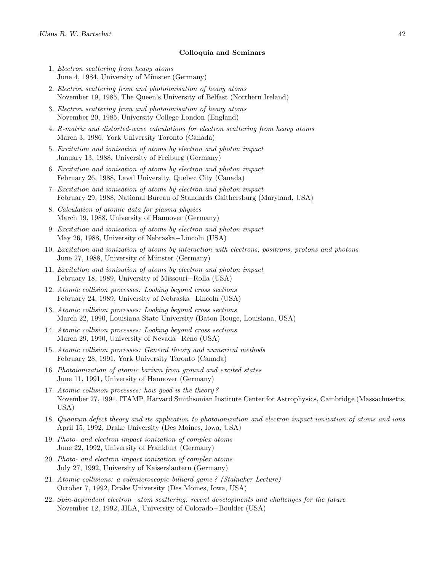#### Colloquia and Seminars

- 1. Electron scattering from heavy atoms June 4, 1984, University of Münster (Germany)
- 2. Electron scattering from and photoionisation of heavy atoms November 19, 1985, The Queen's University of Belfast (Northern Ireland)
- 3. Electron scattering from and photoionisation of heavy atoms November 20, 1985, University College London (England)
- 4. R-matrix and distorted-wave calculations for electron scattering from heavy atoms March 3, 1986, York University Toronto (Canada)
- 5. Excitation and ionisation of atoms by electron and photon impact January 13, 1988, University of Freiburg (Germany)
- 6. Excitation and ionisation of atoms by electron and photon impact February 26, 1988, Laval University, Quebec City (Canada)
- 7. Excitation and ionisation of atoms by electron and photon impact February 29, 1988, National Bureau of Standards Gaithersburg (Maryland, USA)
- 8. Calculation of atomic data for plasma physics March 19, 1988, University of Hannover (Germany)
- 9. Excitation and ionisation of atoms by electron and photon impact May 26, 1988, University of Nebraska−Lincoln (USA)
- 10. Excitation and ionization of atoms by interaction with electrons, positrons, protons and photons June 27, 1988, University of Münster (Germany)
- 11. Excitation and ionisation of atoms by electron and photon impact February 18, 1989, University of Missouri−Rolla (USA)
- 12. Atomic collision processes: Looking beyond cross sections February 24, 1989, University of Nebraska−Lincoln (USA)
- 13. Atomic collision processes: Looking beyond cross sections March 22, 1990, Louisiana State University (Baton Rouge, Louisiana, USA)
- 14. Atomic collision processes: Looking beyond cross sections March 29, 1990, University of Nevada−Reno (USA)
- 15. Atomic collision processes: General theory and numerical methods February 28, 1991, York University Toronto (Canada)
- 16. Photoionization of atomic barium from ground and excited states June 11, 1991, University of Hannover (Germany)
- 17. Atomic collision processes: how good is the theory ? November 27, 1991, ITAMP, Harvard Smithsonian Institute Center for Astrophysics, Cambridge (Massachusetts, USA)
- 18. Quantum defect theory and its application to photoionization and electron impact ionization of atoms and ions April 15, 1992, Drake University (Des Moines, Iowa, USA)
- 19. Photo- and electron impact ionization of complex atoms June 22, 1992, University of Frankfurt (Germany)
- 20. Photo- and electron impact ionization of complex atoms July 27, 1992, University of Kaiserslautern (Germany)
- 21. Atomic collisions: a submicroscopic billiard game ? (Stalnaker Lecture) October 7, 1992, Drake University (Des Moines, Iowa, USA)
- 22. Spin-dependent electron−atom scattering: recent developments and challenges for the future November 12, 1992, JILA, University of Colorado−Boulder (USA)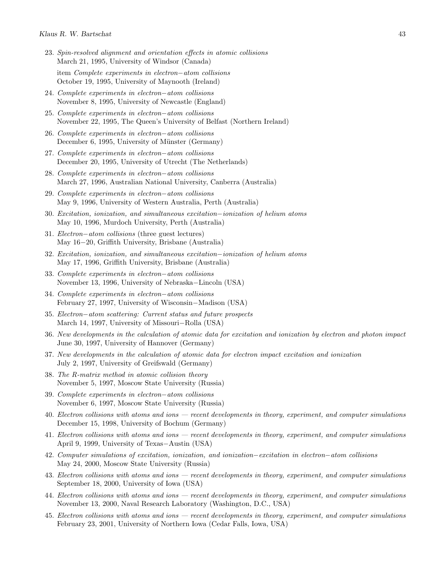- 23. Spin-resolved alignment and orientation effects in atomic collisions March 21, 1995, University of Windsor (Canada) item Complete experiments in electron−atom collisions October 19, 1995, University of Maynooth (Ireland)
- 24. Complete experiments in electron−atom collisions November 8, 1995, University of Newcastle (England)
- 25. Complete experiments in electron−atom collisions November 22, 1995, The Queen's University of Belfast (Northern Ireland)
- 26. Complete experiments in electron−atom collisions December 6, 1995, University of Münster (Germany)
- 27. Complete experiments in electron−atom collisions December 20, 1995, University of Utrecht (The Netherlands)
- 28. Complete experiments in electron−atom collisions March 27, 1996, Australian National University, Canberra (Australia)
- 29. Complete experiments in electron−atom collisions May 9, 1996, University of Western Australia, Perth (Australia)
- 30. Excitation, ionization, and simultaneous excitation−ionization of helium atoms May 10, 1996, Murdoch University, Perth (Australia)
- 31. Electron−atom collisions (three guest lectures) May 16−20, Griffith University, Brisbane (Australia)
- 32. Excitation, ionization, and simultaneous excitation−ionization of helium atoms May 17, 1996, Griffith University, Brisbane (Australia)
- 33. Complete experiments in electron−atom collisions November 13, 1996, University of Nebraska−Lincoln (USA)
- 34. Complete experiments in electron−atom collisions February 27, 1997, University of Wisconsin−Madison (USA)
- 35. Electron−atom scattering: Current status and future prospects March 14, 1997, University of Missouri−Rolla (USA)
- 36. New developments in the calculation of atomic data for excitation and ionization by electron and photon impact June 30, 1997, University of Hannover (Germany)
- 37. New developments in the calculation of atomic data for electron impact excitation and ionization July 2, 1997, University of Greifswald (Germany)
- 38. The R-matrix method in atomic collision theory November 5, 1997, Moscow State University (Russia)
- 39. Complete experiments in electron−atom collisions November 6, 1997, Moscow State University (Russia)
- 40. Electron collisions with atoms and ions recent developments in theory, experiment, and computer simulations December 15, 1998, University of Bochum (Germany)
- 41. Electron collisions with atoms and ions recent developments in theory, experiment, and computer simulations April 9, 1999, University of Texas−Austin (USA)
- 42. Computer simulations of excitation, ionization, and ionization−excitation in electron−atom collisions May 24, 2000, Moscow State University (Russia)
- 43. Electron collisions with atoms and ions recent developments in theory, experiment, and computer simulations September 18, 2000, University of Iowa (USA)
- 44. Electron collisions with atoms and ions recent developments in theory, experiment, and computer simulations November 13, 2000, Naval Research Laboratory (Washington, D.C., USA)
- 45. Electron collisions with atoms and ions recent developments in theory, experiment, and computer simulations February 23, 2001, University of Northern Iowa (Cedar Falls, Iowa, USA)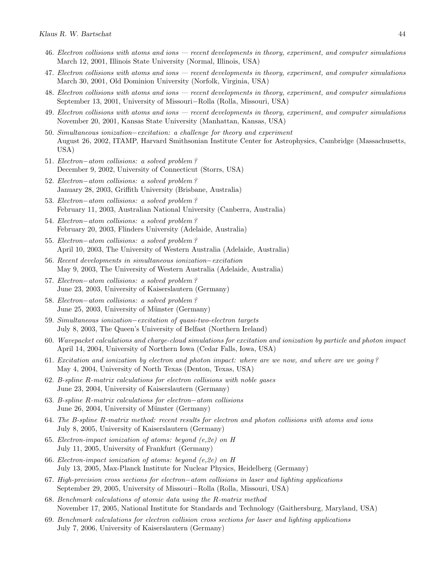- 46. Electron collisions with atoms and ions recent developments in theory, experiment, and computer simulations March 12, 2001, Illinois State University (Normal, Illinois, USA)
- 47. Electron collisions with atoms and ions recent developments in theory, experiment, and computer simulations March 30, 2001, Old Dominion University (Norfolk, Virginia, USA)
- 48. Electron collisions with atoms and ions recent developments in theory, experiment, and computer simulations September 13, 2001, University of Missouri−Rolla (Rolla, Missouri, USA)
- 49. Electron collisions with atoms and ions recent developments in theory, experiment, and computer simulations November 20, 2001, Kansas State University (Manhattan, Kansas, USA)
- 50. Simultaneous ionization−excitation: a challenge for theory and experiment August 26, 2002, ITAMP, Harvard Smithsonian Institute Center for Astrophysics, Cambridge (Massachusetts, USA)
- 51. Electron−atom collisions: a solved problem ? December 9, 2002, University of Connecticut (Storrs, USA)
- 52. Electron−atom collisions: a solved problem ? January 28, 2003, Griffith University (Brisbane, Australia)
- 53. Electron−atom collisions: a solved problem ? February 11, 2003, Australian National University (Canberra, Australia)
- 54. Electron−atom collisions: a solved problem ? February 20, 2003, Flinders University (Adelaide, Australia)
- 55. Electron−atom collisions: a solved problem ? April 10, 2003, The University of Western Australia (Adelaide, Australia)
- 56. Recent developments in simultaneous ionization−excitation May 9, 2003, The University of Western Australia (Adelaide, Australia)
- 57. Electron−atom collisions: a solved problem ? June 23, 2003, University of Kaiserslautern (Germany)
- 58. Electron−atom collisions: a solved problem ? June 25, 2003, University of Münster (Germany)
- 59. Simultaneous ionization−excitation of quasi-two-electron targets July 8, 2003, The Queen's University of Belfast (Northern Ireland)
- 60. Wavepacket calculations and charge-cloud simulations for excitation and ionization by particle and photon impact April 14, 2004, University of Northern Iowa (Cedar Falls, Iowa, USA)
- 61. Excitation and ionization by electron and photon impact: where are we now, and where are we going ? May 4, 2004, University of North Texas (Denton, Texas, USA)
- 62. B-spline R-matrix calculations for electron collisions with noble gases June 23, 2004, University of Kaiserslautern (Germany)
- 63. B-spline R-matrix calculations for electron−atom collisions June 26, 2004, University of Münster (Germany)
- 64. The B-spline R-matrix method: recent results for electron and photon collisions with atoms and ions July 8, 2005, University of Kaiserslautern (Germany)
- 65. Electron-impact ionization of atoms: beyond (e,2e) on H July 11, 2005, University of Frankfurt (Germany)
- 66. Electron-impact ionization of atoms: beyond (e,2e) on H July 13, 2005, Max-Planck Institute for Nuclear Physics, Heidelberg (Germany)
- 67. High-precision cross sections for electron−atom collisions in laser and lighting applications September 29, 2005, University of Missouri−Rolla (Rolla, Missouri, USA)
- 68. Benchmark calculations of atomic data using the R-matrix method November 17, 2005, National Institute for Standards and Technology (Gaithersburg, Maryland, USA)
- 69. Benchmark calculations for electron collision cross sections for laser and lighting applications July 7, 2006, University of Kaiserslautern (Germany)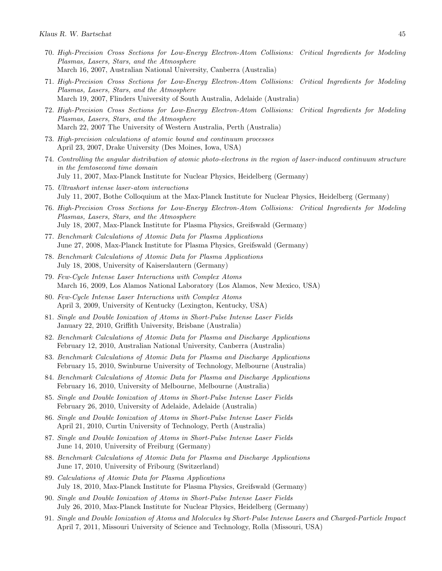- 70. High-Precision Cross Sections for Low-Energy Electron-Atom Collisions: Critical Ingredients for Modeling Plasmas, Lasers, Stars, and the Atmosphere March 16, 2007, Australian National University, Canberra (Australia)
- 71. High-Precision Cross Sections for Low-Energy Electron-Atom Collisions: Critical Ingredients for Modeling Plasmas, Lasers, Stars, and the Atmosphere March 19, 2007, Flinders University of South Australia, Adelaide (Australia)
- 72. High-Precision Cross Sections for Low-Energy Electron-Atom Collisions: Critical Ingredients for Modeling Plasmas, Lasers, Stars, and the Atmosphere March 22, 2007 The University of Western Australia, Perth (Australia)
- 73. High-precision calculations of atomic bound and continuum processes April 23, 2007, Drake University (Des Moines, Iowa, USA)
- 74. Controlling the angular distribution of atomic photo-electrons in the region of laser-induced continuum structure in the femtosecond time domain July 11, 2007, Max-Planck Institute for Nuclear Physics, Heidelberg (Germany)
- 75. Ultrashort intense laser-atom interactions July 11, 2007, Bothe Colloquium at the Max-Planck Institute for Nuclear Physics, Heidelberg (Germany)
- 76. High-Precision Cross Sections for Low-Energy Electron-Atom Collisions: Critical Ingredients for Modeling Plasmas, Lasers, Stars, and the Atmosphere July 18, 2007, Max-Planck Institute for Plasma Physics, Greifswald (Germany)
- 77. Benchmark Calculations of Atomic Data for Plasma Applications June 27, 2008, Max-Planck Institute for Plasma Physics, Greifswald (Germany)
- 78. Benchmark Calculations of Atomic Data for Plasma Applications July 18, 2008, University of Kaiserslautern (Germany)
- 79. Few-Cycle Intense Laser Interactions with Complex Atoms March 16, 2009, Los Alamos National Laboratory (Los Alamos, New Mexico, USA)
- 80. Few-Cycle Intense Laser Interactions with Complex Atoms April 3, 2009, University of Kentucky (Lexington, Kentucky, USA)
- 81. Single and Double Ionization of Atoms in Short-Pulse Intense Laser Fields January 22, 2010, Griffith University, Brisbane (Australia)
- 82. Benchmark Calculations of Atomic Data for Plasma and Discharge Applications February 12, 2010, Australian National University, Canberra (Australia)
- 83. Benchmark Calculations of Atomic Data for Plasma and Discharge Applications February 15, 2010, Swinburne University of Technology, Melbourne (Australia)
- 84. Benchmark Calculations of Atomic Data for Plasma and Discharge Applications February 16, 2010, University of Melbourne, Melbourne (Australia)
- 85. Single and Double Ionization of Atoms in Short-Pulse Intense Laser Fields February 26, 2010, University of Adelaide, Adelaide (Australia)
- 86. Single and Double Ionization of Atoms in Short-Pulse Intense Laser Fields April 21, 2010, Curtin University of Technology, Perth (Australia)
- 87. Single and Double Ionization of Atoms in Short-Pulse Intense Laser Fields June 14, 2010, University of Freiburg (Germany)
- 88. Benchmark Calculations of Atomic Data for Plasma and Discharge Applications June 17, 2010, University of Fribourg (Switzerland)
- 89. Calculations of Atomic Data for Plasma Applications July 18, 2010, Max-Planck Institute for Plasma Physics, Greifswald (Germany)
- 90. Single and Double Ionization of Atoms in Short-Pulse Intense Laser Fields July 26, 2010, Max-Planck Institute for Nuclear Physics, Heidelberg (Germany)
- 91. Single and Double Ionization of Atoms and Molecules by Short-Pulse Intense Lasers and Charged-Particle Impact April 7, 2011, Missouri University of Science and Technology, Rolla (Missouri, USA)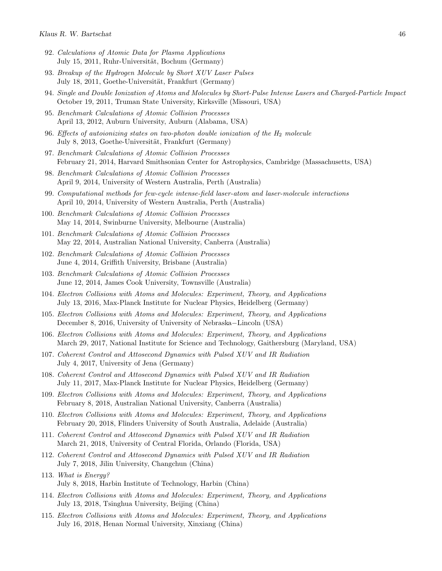- 92. Calculations of Atomic Data for Plasma Applications July 15, 2011, Ruhr-Universität, Bochum (Germany)
- 93. Breakup of the Hydrogen Molecule by Short XUV Laser Pulses July 18, 2011, Goethe-Universität, Frankfurt (Germany)
- 94. Single and Double Ionization of Atoms and Molecules by Short-Pulse Intense Lasers and Charged-Particle Impact October 19, 2011, Truman State University, Kirksville (Missouri, USA)
- 95. Benchmark Calculations of Atomic Collision Processes April 13, 2012, Auburn University, Auburn (Alabama, USA)
- 96. Effects of autoionizing states on two-photon double ionization of the  $H_2$  molecule July 8, 2013, Goethe-Universität, Frankfurt (Germany)
- 97. Benchmark Calculations of Atomic Collision Processes February 21, 2014, Harvard Smithsonian Center for Astrophysics, Cambridge (Massachusetts, USA)
- 98. Benchmark Calculations of Atomic Collision Processes April 9, 2014, University of Western Australia, Perth (Australia)
- 99. Computational methods for few-cycle intense-field laser-atom and laser-molecule interactions April 10, 2014, University of Western Australia, Perth (Australia)
- 100. Benchmark Calculations of Atomic Collision Processes May 14, 2014, Swinburne University, Melbourne (Australia)
- 101. Benchmark Calculations of Atomic Collision Processes May 22, 2014, Australian National University, Canberra (Australia)
- 102. Benchmark Calculations of Atomic Collision Processes June 4, 2014, Griffith University, Brisbane (Australia)
- 103. Benchmark Calculations of Atomic Collision Processes June 12, 2014, James Cook University, Townsville (Australia)
- 104. Electron Collisions with Atoms and Molecules: Experiment, Theory, and Applications July 13, 2016, Max-Planck Institute for Nuclear Physics, Heidelberg (Germany)
- 105. Electron Collisions with Atoms and Molecules: Experiment, Theory, and Applications December 8, 2016, University of University of Nebraska−Lincoln (USA)
- 106. Electron Collisions with Atoms and Molecules: Experiment, Theory, and Applications March 29, 2017, National Institute for Science and Technology, Gaithersburg (Maryland, USA)
- 107. Coherent Control and Attosecond Dynamics with Pulsed XUV and IR Radiation July 4, 2017, University of Jena (Germany)
- 108. Coherent Control and Attosecond Dynamics with Pulsed XUV and IR Radiation July 11, 2017, Max-Planck Institute for Nuclear Physics, Heidelberg (Germany)
- 109. Electron Collisions with Atoms and Molecules: Experiment, Theory, and Applications February 8, 2018, Australian National University, Canberra (Australia)
- 110. Electron Collisions with Atoms and Molecules: Experiment, Theory, and Applications February 20, 2018, Flinders University of South Australia, Adelaide (Australia)
- 111. Coherent Control and Attosecond Dynamics with Pulsed XUV and IR Radiation March 21, 2018, University of Central Florida, Orlando (Florida, USA)
- 112. Coherent Control and Attosecond Dynamics with Pulsed XUV and IR Radiation July 7, 2018, Jilin University, Changchun (China)
- 113. What is Energy? July 8, 2018, Harbin Institute of Technology, Harbin (China)
- 114. Electron Collisions with Atoms and Molecules: Experiment, Theory, and Applications July 13, 2018, Tsinghua University, Beijing (China)
- 115. Electron Collisions with Atoms and Molecules: Experiment, Theory, and Applications July 16, 2018, Henan Normal University, Xinxiang (China)